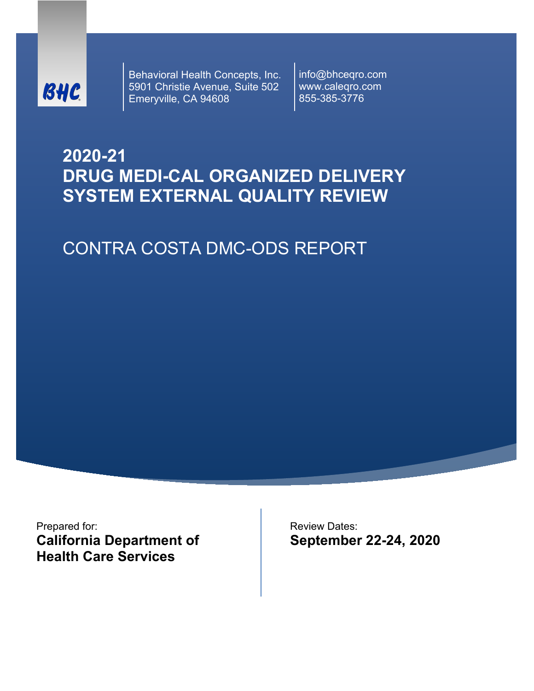

Behavioral Health Concepts, Inc. 5901 Christie Avenue, Suite 502 Emeryville, CA 94608

info@bhceqro.com www.caleqro.com 855-385-3776

# **2020-21 DRUG MEDI-CAL ORGANIZED DELIVERY SYSTEM EXTERNAL QUALITY REVIEW**

# CONTRA COSTA DMC-ODS REPORT

Prepared for: **California Department of Health Care Services** 

Review Dates: **September 22-24, 2020**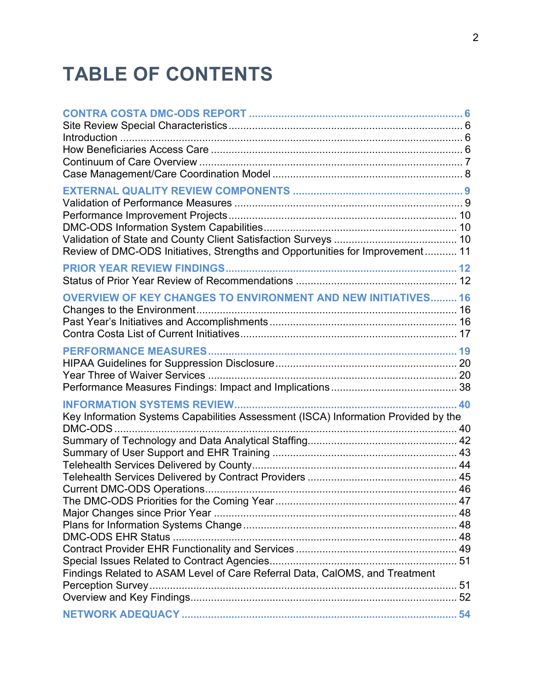# **TABLE OF CONTENTS**

| Review of DMC-ODS Initiatives, Strengths and Opportunities for Improvement 11      |  |
|------------------------------------------------------------------------------------|--|
|                                                                                    |  |
| <b>OVERVIEW OF KEY CHANGES TO ENVIRONMENT AND NEW INITIATIVES 16</b>               |  |
|                                                                                    |  |
| Key Information Systems Capabilities Assessment (ISCA) Information Provided by the |  |
| Findings Related to ASAM Level of Care Referral Data, CalOMS, and Treatment        |  |
|                                                                                    |  |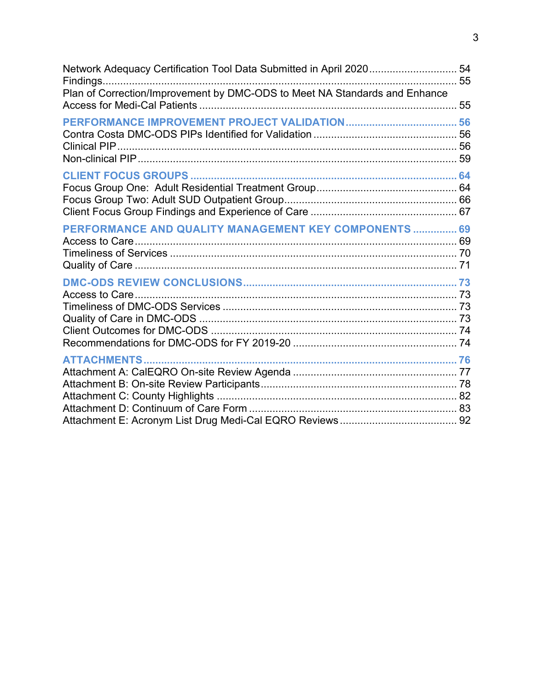| Network Adequacy Certification Tool Data Submitted in April 2020 54<br>Plan of Correction/Improvement by DMC-ODS to Meet NA Standards and Enhance |    |
|---------------------------------------------------------------------------------------------------------------------------------------------------|----|
|                                                                                                                                                   | 55 |
|                                                                                                                                                   |    |
|                                                                                                                                                   |    |
|                                                                                                                                                   |    |
|                                                                                                                                                   |    |
|                                                                                                                                                   |    |
|                                                                                                                                                   |    |
|                                                                                                                                                   |    |
|                                                                                                                                                   |    |
| PERFORMANCE AND QUALITY MANAGEMENT KEY COMPONENTS  69                                                                                             |    |
|                                                                                                                                                   |    |
|                                                                                                                                                   |    |
|                                                                                                                                                   |    |
|                                                                                                                                                   |    |
|                                                                                                                                                   |    |
|                                                                                                                                                   |    |
|                                                                                                                                                   |    |
|                                                                                                                                                   |    |
|                                                                                                                                                   |    |
| <b>ATTACHMENTS</b>                                                                                                                                |    |
|                                                                                                                                                   |    |
|                                                                                                                                                   |    |
|                                                                                                                                                   |    |
|                                                                                                                                                   |    |
|                                                                                                                                                   |    |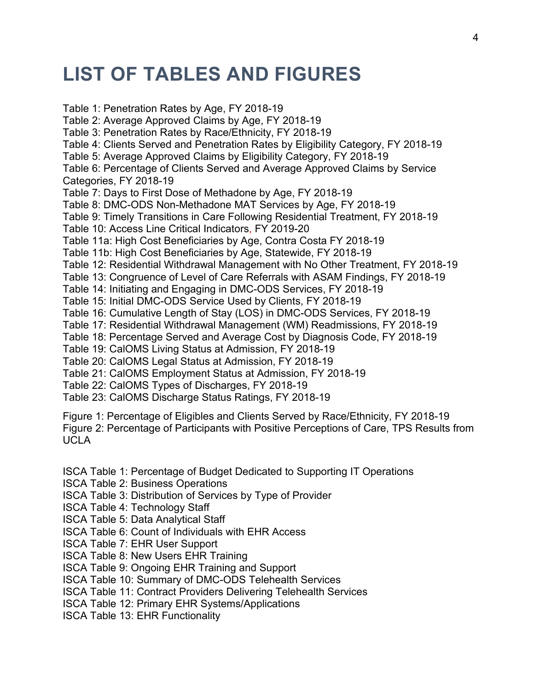# **LIST OF TABLES AND FIGURES**

Table 1: Penetration Rates by Age, FY 2018-19 Table 2: Average Approved Claims by Age, FY 2018-19 Table 3: Penetration Rates by Race/Ethnicity, FY 2018-19 Table 4: Clients Served and Penetration Rates by Eligibility Category, FY 2018-19 Table 5: Average Approved Claims by Eligibility Category, FY 2018-19 Table 6: Percentage of Clients Served and Average Approved Claims by Service Categories, FY 2018-19 Table 7: Days to First Dose of Methadone by Age, FY 2018-19 Table 8: DMC-ODS Non-Methadone MAT Services by Age, FY 2018-19 Table 9: Timely Transitions in Care Following Residential Treatment, FY 2018-19 Table 10: Access Line Critical Indicators, FY 2019-20 Table 11a: High Cost Beneficiaries by Age, Contra Costa FY 2018-19 Table 11b: High Cost Beneficiaries by Age, Statewide, FY 2018-19 Table 12: Residential Withdrawal Management with No Other Treatment, FY 2018-19 Table 13: Congruence of Level of Care Referrals with ASAM Findings, FY 2018-19 Table 14: Initiating and Engaging in DMC-ODS Services, FY 2018-19 Table 15: Initial DMC-ODS Service Used by Clients, FY 2018-19 Table 16: Cumulative Length of Stay (LOS) in DMC-ODS Services, FY 2018-19 Table 17: Residential Withdrawal Management (WM) Readmissions, FY 2018-19 Table 18: Percentage Served and Average Cost by Diagnosis Code, FY 2018-19 Table 19: CalOMS Living Status at Admission, FY 2018-19 Table 20: CalOMS Legal Status at Admission, FY 2018-19 Table 21: CalOMS Employment Status at Admission, FY 2018-19 Table 22: CalOMS Types of Discharges, FY 2018-19 Table 23: CalOMS Discharge Status Ratings, FY 2018-19 Figure 1: Percentage of Eligibles and Clients Served by Race/Ethnicity, FY 2018-19

Figure 2: Percentage of Participants with Positive Perceptions of Care, TPS Results from UCLA

ISCA Table 1: Percentage of Budget Dedicated to Supporting IT Operations

ISCA Table 2: Business Operations

ISCA Table 3: Distribution of Services by Type of Provider

ISCA Table 4: Technology Staff

ISCA Table 5: Data Analytical Staff

ISCA Table 6: Count of Individuals with EHR Access

ISCA Table 7: EHR User Support

ISCA Table 8: New Users EHR Training

ISCA Table 9: Ongoing EHR Training and Support

ISCA Table 10: Summary of DMC-ODS Telehealth Services

ISCA Table 11: Contract Providers Delivering Telehealth Services

ISCA Table 12: Primary EHR Systems/Applications

ISCA Table 13: EHR Functionality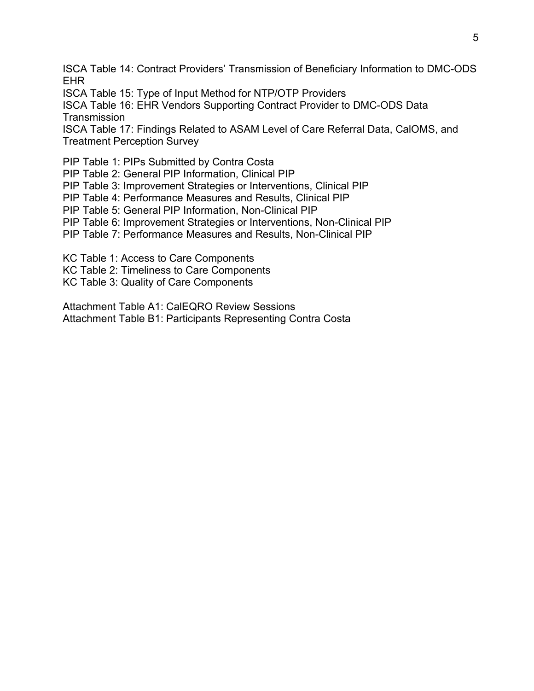ISCA Table 14: Contract Providers' Transmission of Beneficiary Information to DMC-ODS EHR

ISCA Table 15: Type of Input Method for NTP/OTP Providers

ISCA Table 16: EHR Vendors Supporting Contract Provider to DMC-ODS Data **Transmission** 

ISCA Table 17: Findings Related to ASAM Level of Care Referral Data, CalOMS, and Treatment Perception Survey

PIP Table 1: PIPs Submitted by Contra Costa

PIP Table 2: General PIP Information, Clinical PIP

PIP Table 3: Improvement Strategies or Interventions, Clinical PIP

PIP Table 4: Performance Measures and Results, Clinical PIP

PIP Table 5: General PIP Information, Non-Clinical PIP

PIP Table 6: Improvement Strategies or Interventions, Non-Clinical PIP

PIP Table 7: Performance Measures and Results, Non-Clinical PIP

KC Table 1: Access to Care Components

KC Table 2: Timeliness to Care Components

KC Table 3: Quality of Care Components

Attachment Table A1: CalEQRO Review Sessions Attachment Table B1: Participants Representing Contra Costa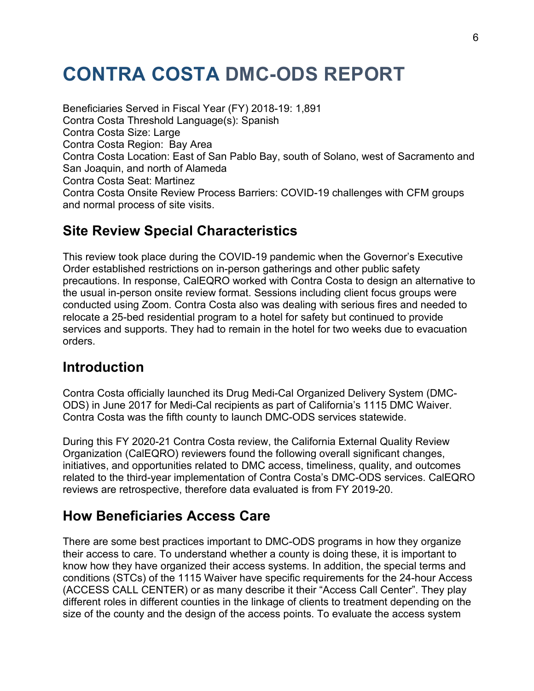# <span id="page-5-0"></span>**CONTRA COSTA DMC-ODS REPORT**

Beneficiaries Served in Fiscal Year (FY) 2018-19: 1,891 Contra Costa Threshold Language(s): Spanish Contra Costa Size: Large Contra Costa Region: Bay Area Contra Costa Location: East of San Pablo Bay, south of Solano, west of Sacramento and San Joaquin, and north of Alameda Contra Costa Seat: Martinez Contra Costa Onsite Review Process Barriers: COVID-19 challenges with CFM groups and normal process of site visits.

## <span id="page-5-1"></span>**Site Review Special Characteristics**

This review took place during the COVID-19 pandemic when the Governor's Executive Order established restrictions on in-person gatherings and other public safety precautions. In response, CalEQRO worked with Contra Costa to design an alternative to the usual in-person onsite review format. Sessions including client focus groups were conducted using Zoom. Contra Costa also was dealing with serious fires and needed to relocate a 25-bed residential program to a hotel for safety but continued to provide services and supports. They had to remain in the hotel for two weeks due to evacuation orders.

## <span id="page-5-2"></span>**Introduction**

Contra Costa officially launched its Drug Medi-Cal Organized Delivery System (DMC-ODS) in June 2017 for Medi-Cal recipients as part of California's 1115 DMC Waiver. Contra Costa was the fifth county to launch DMC-ODS services statewide.

During this FY 2020-21 Contra Costa review, the California External Quality Review Organization (CalEQRO) reviewers found the following overall significant changes, initiatives, and opportunities related to DMC access, timeliness, quality, and outcomes related to the third-year implementation of Contra Costa's DMC-ODS services. CalEQRO reviews are retrospective, therefore data evaluated is from FY 2019-20.

## <span id="page-5-3"></span>**How Beneficiaries Access Care**

There are some best practices important to DMC-ODS programs in how they organize their access to care. To understand whether a county is doing these, it is important to know how they have organized their access systems. In addition, the special terms and conditions (STCs) of the 1115 Waiver have specific requirements for the 24-hour Access (ACCESS CALL CENTER) or as many describe it their "Access Call Center". They play different roles in different counties in the linkage of clients to treatment depending on the size of the county and the design of the access points. To evaluate the access system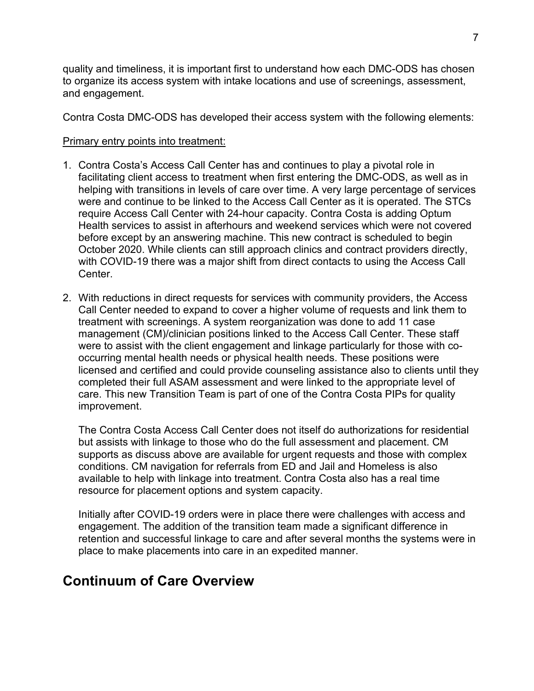quality and timeliness, it is important first to understand how each DMC-ODS has chosen to organize its access system with intake locations and use of screenings, assessment, and engagement.

Contra Costa DMC-ODS has developed their access system with the following elements:

#### Primary entry points into treatment:

- 1. Contra Costa's Access Call Center has and continues to play a pivotal role in facilitating client access to treatment when first entering the DMC-ODS, as well as in helping with transitions in levels of care over time. A very large percentage of services were and continue to be linked to the Access Call Center as it is operated. The STCs require Access Call Center with 24-hour capacity. Contra Costa is adding Optum Health services to assist in afterhours and weekend services which were not covered before except by an answering machine. This new contract is scheduled to begin October 2020. While clients can still approach clinics and contract providers directly, with COVID-19 there was a major shift from direct contacts to using the Access Call Center.
- 2. With reductions in direct requests for services with community providers, the Access Call Center needed to expand to cover a higher volume of requests and link them to treatment with screenings. A system reorganization was done to add 11 case management (CM)/clinician positions linked to the Access Call Center. These staff were to assist with the client engagement and linkage particularly for those with cooccurring mental health needs or physical health needs. These positions were licensed and certified and could provide counseling assistance also to clients until they completed their full ASAM assessment and were linked to the appropriate level of care. This new Transition Team is part of one of the Contra Costa PIPs for quality improvement.

The Contra Costa Access Call Center does not itself do authorizations for residential but assists with linkage to those who do the full assessment and placement. CM supports as discuss above are available for urgent requests and those with complex conditions. CM navigation for referrals from ED and Jail and Homeless is also available to help with linkage into treatment. Contra Costa also has a real time resource for placement options and system capacity.

Initially after COVID-19 orders were in place there were challenges with access and engagement. The addition of the transition team made a significant difference in retention and successful linkage to care and after several months the systems were in place to make placements into care in an expedited manner.

## <span id="page-6-0"></span>**Continuum of Care Overview**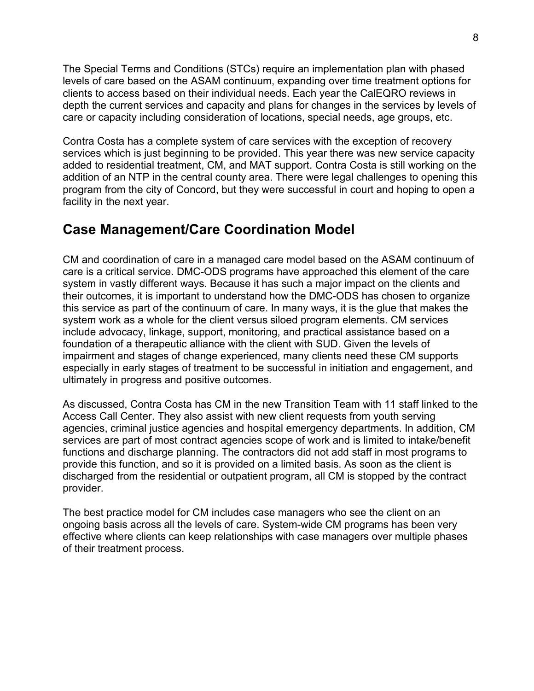The Special Terms and Conditions (STCs) require an implementation plan with phased levels of care based on the ASAM continuum, expanding over time treatment options for clients to access based on their individual needs. Each year the CalEQRO reviews in depth the current services and capacity and plans for changes in the services by levels of care or capacity including consideration of locations, special needs, age groups, etc.

Contra Costa has a complete system of care services with the exception of recovery services which is just beginning to be provided. This year there was new service capacity added to residential treatment, CM, and MAT support. Contra Costa is still working on the addition of an NTP in the central county area. There were legal challenges to opening this program from the city of Concord, but they were successful in court and hoping to open a facility in the next year.

## <span id="page-7-0"></span>**Case Management/Care Coordination Model**

CM and coordination of care in a managed care model based on the ASAM continuum of care is a critical service. DMC-ODS programs have approached this element of the care system in vastly different ways. Because it has such a major impact on the clients and their outcomes, it is important to understand how the DMC-ODS has chosen to organize this service as part of the continuum of care. In many ways, it is the glue that makes the system work as a whole for the client versus siloed program elements. CM services include advocacy, linkage, support, monitoring, and practical assistance based on a foundation of a therapeutic alliance with the client with SUD. Given the levels of impairment and stages of change experienced, many clients need these CM supports especially in early stages of treatment to be successful in initiation and engagement, and ultimately in progress and positive outcomes.

As discussed, Contra Costa has CM in the new Transition Team with 11 staff linked to the Access Call Center. They also assist with new client requests from youth serving agencies, criminal justice agencies and hospital emergency departments. In addition, CM services are part of most contract agencies scope of work and is limited to intake/benefit functions and discharge planning. The contractors did not add staff in most programs to provide this function, and so it is provided on a limited basis. As soon as the client is discharged from the residential or outpatient program, all CM is stopped by the contract provider.

The best practice model for CM includes case managers who see the client on an ongoing basis across all the levels of care. System-wide CM programs has been very effective where clients can keep relationships with case managers over multiple phases of their treatment process.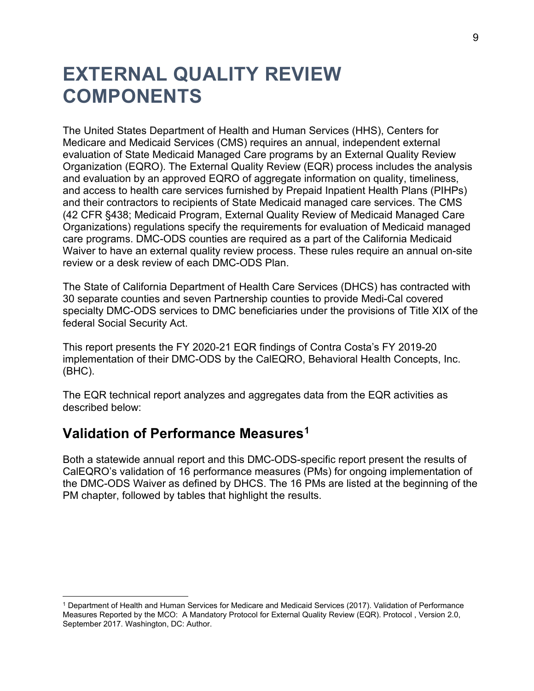# <span id="page-8-0"></span>**EXTERNAL QUALITY REVIEW COMPONENTS**

The United States Department of Health and Human Services (HHS), Centers for Medicare and Medicaid Services (CMS) requires an annual, independent external evaluation of State Medicaid Managed Care programs by an External Quality Review Organization (EQRO). The External Quality Review (EQR) process includes the analysis and evaluation by an approved EQRO of aggregate information on quality, timeliness, and access to health care services furnished by Prepaid Inpatient Health Plans (PIHPs) and their contractors to recipients of State Medicaid managed care services. The CMS (42 CFR §438; Medicaid Program, External Quality Review of Medicaid Managed Care Organizations) regulations specify the requirements for evaluation of Medicaid managed care programs. DMC-ODS counties are required as a part of the California Medicaid Waiver to have an external quality review process. These rules require an annual on-site review or a desk review of each DMC-ODS Plan.

The State of California Department of Health Care Services (DHCS) has contracted with 30 separate counties and seven Partnership counties to provide Medi-Cal covered specialty DMC-ODS services to DMC beneficiaries under the provisions of Title XIX of the federal Social Security Act.

This report presents the FY 2020-21 EQR findings of Contra Costa's FY 2019-20 implementation of their DMC-ODS by the CalEQRO, Behavioral Health Concepts, Inc. (BHC).

The EQR technical report analyzes and aggregates data from the EQR activities as described below:

## <span id="page-8-1"></span>**Validation of Performance Measures[1](#page-8-2)**

Both a statewide annual report and this DMC-ODS-specific report present the results of CalEQRO's validation of 16 performance measures (PMs) for ongoing implementation of the DMC-ODS Waiver as defined by DHCS. The 16 PMs are listed at the beginning of the PM chapter, followed by tables that highlight the results.

<span id="page-8-2"></span><sup>1</sup> Department of Health and Human Services for Medicare and Medicaid Services (2017). Validation of Performance Measures Reported by the MCO: A Mandatory Protocol for External Quality Review (EQR). Protocol , Version 2.0, September 2017. Washington, DC: Author.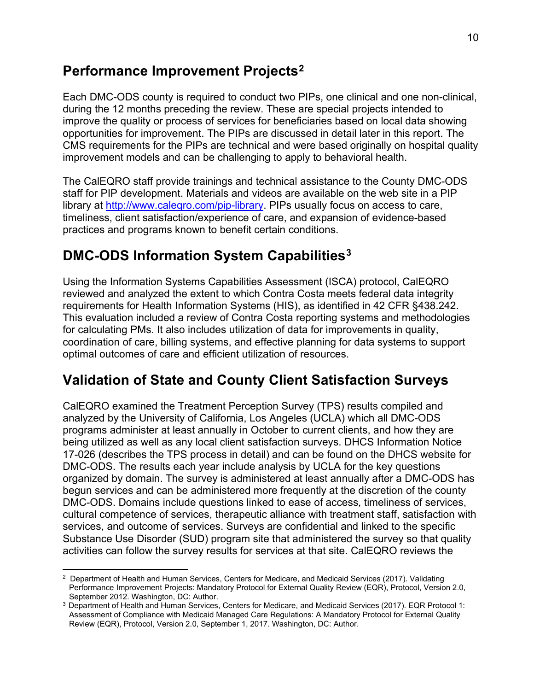## <span id="page-9-0"></span>**Performance Improvement Projects[2](#page-9-3)**

Each DMC-ODS county is required to conduct two PIPs, one clinical and one non-clinical, during the 12 months preceding the review. These are special projects intended to improve the quality or process of services for beneficiaries based on local data showing opportunities for improvement. The PIPs are discussed in detail later in this report. The CMS requirements for the PIPs are technical and were based originally on hospital quality improvement models and can be challenging to apply to behavioral health.

The CalEQRO staff provide trainings and technical assistance to the County DMC-ODS staff for PIP development. Materials and videos are available on the web site in a PIP library at [http://www.caleqro.com/pip-library.](http://www.caleqro.com/pip-library) PIPs usually focus on access to care, timeliness, client satisfaction/experience of care, and expansion of evidence-based practices and programs known to benefit certain conditions.

# <span id="page-9-1"></span>**DMC-ODS Information System Capabilities[3](#page-9-4)**

Using the Information Systems Capabilities Assessment (ISCA) protocol, CalEQRO reviewed and analyzed the extent to which Contra Costa meets federal data integrity requirements for Health Information Systems (HIS), as identified in 42 CFR §438.242. This evaluation included a review of Contra Costa reporting systems and methodologies for calculating PMs. It also includes utilization of data for improvements in quality, coordination of care, billing systems, and effective planning for data systems to support optimal outcomes of care and efficient utilization of resources.

## <span id="page-9-2"></span>**Validation of State and County Client Satisfaction Surveys**

CalEQRO examined the Treatment Perception Survey (TPS) results compiled and analyzed by the University of California, Los Angeles (UCLA) which all DMC-ODS programs administer at least annually in October to current clients, and how they are being utilized as well as any local client satisfaction surveys. DHCS Information Notice 17-026 (describes the TPS process in detail) and can be found on the DHCS website for DMC-ODS. The results each year include analysis by UCLA for the key questions organized by domain. The survey is administered at least annually after a DMC-ODS has begun services and can be administered more frequently at the discretion of the county DMC-ODS. Domains include questions linked to ease of access, timeliness of services, cultural competence of services, therapeutic alliance with treatment staff, satisfaction with services, and outcome of services. Surveys are confidential and linked to the specific Substance Use Disorder (SUD) program site that administered the survey so that quality activities can follow the survey results for services at that site. CalEQRO reviews the

<span id="page-9-3"></span> $2$  Department of Health and Human Services, Centers for Medicare, and Medicaid Services (2017). Validating Performance Improvement Projects: Mandatory Protocol for External Quality Review (EQR), Protocol, Version 2.0, September 2012. Washington, DC: Author.

<span id="page-9-4"></span><sup>3</sup> Department of Health and Human Services, Centers for Medicare, and Medicaid Services (2017). EQR Protocol 1: Assessment of Compliance with Medicaid Managed Care Regulations: A Mandatory Protocol for External Quality Review (EQR), Protocol, Version 2.0, September 1, 2017. Washington, DC: Author.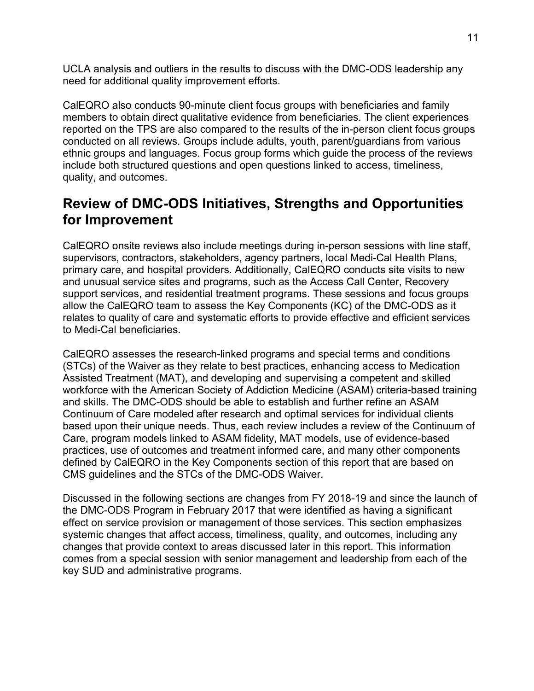UCLA analysis and outliers in the results to discuss with the DMC-ODS leadership any need for additional quality improvement efforts.

CalEQRO also conducts 90-minute client focus groups with beneficiaries and family members to obtain direct qualitative evidence from beneficiaries. The client experiences reported on the TPS are also compared to the results of the in-person client focus groups conducted on all reviews. Groups include adults, youth, parent/guardians from various ethnic groups and languages. Focus group forms which guide the process of the reviews include both structured questions and open questions linked to access, timeliness, quality, and outcomes.

## <span id="page-10-0"></span>**Review of DMC-ODS Initiatives, Strengths and Opportunities for Improvement**

CalEQRO onsite reviews also include meetings during in-person sessions with line staff, supervisors, contractors, stakeholders, agency partners, local Medi-Cal Health Plans, primary care, and hospital providers. Additionally, CalEQRO conducts site visits to new and unusual service sites and programs, such as the Access Call Center, Recovery support services, and residential treatment programs. These sessions and focus groups allow the CalEQRO team to assess the Key Components (KC) of the DMC-ODS as it relates to quality of care and systematic efforts to provide effective and efficient services to Medi-Cal beneficiaries.

CalEQRO assesses the research-linked programs and special terms and conditions (STCs) of the Waiver as they relate to best practices, enhancing access to Medication Assisted Treatment (MAT), and developing and supervising a competent and skilled workforce with the American Society of Addiction Medicine (ASAM) criteria-based training and skills. The DMC-ODS should be able to establish and further refine an ASAM Continuum of Care modeled after research and optimal services for individual clients based upon their unique needs. Thus, each review includes a review of the Continuum of Care, program models linked to ASAM fidelity, MAT models, use of evidence-based practices, use of outcomes and treatment informed care, and many other components defined by CalEQRO in the Key Components section of this report that are based on CMS guidelines and the STCs of the DMC-ODS Waiver.

Discussed in the following sections are changes from FY 2018-19 and since the launch of the DMC-ODS Program in February 2017 that were identified as having a significant effect on service provision or management of those services. This section emphasizes systemic changes that affect access, timeliness, quality, and outcomes, including any changes that provide context to areas discussed later in this report. This information comes from a special session with senior management and leadership from each of the key SUD and administrative programs.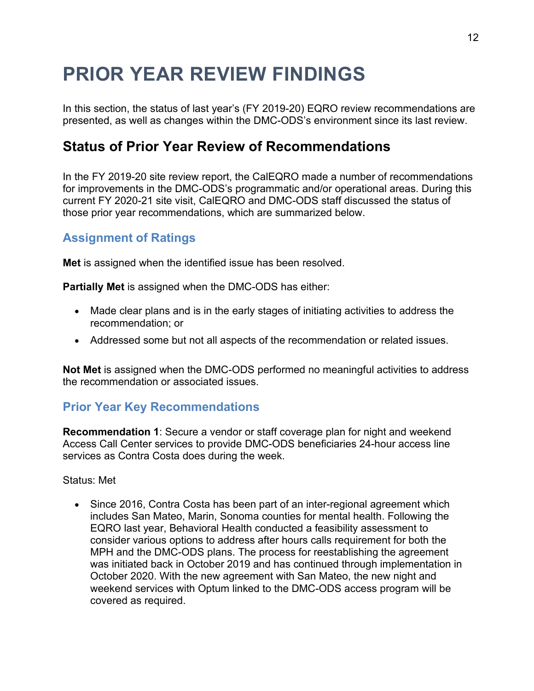# <span id="page-11-0"></span>**PRIOR YEAR REVIEW FINDINGS**

In this section, the status of last year's (FY 2019-20) EQRO review recommendations are presented, as well as changes within the DMC-ODS's environment since its last review.

## <span id="page-11-1"></span>**Status of Prior Year Review of Recommendations**

In the FY 2019-20 site review report, the CalEQRO made a number of recommendations for improvements in the DMC-ODS's programmatic and/or operational areas. During this current FY 2020-21 site visit, CalEQRO and DMC-ODS staff discussed the status of those prior year recommendations, which are summarized below.

### **Assignment of Ratings**

**Met** is assigned when the identified issue has been resolved.

**Partially Met** is assigned when the DMC-ODS has either:

- Made clear plans and is in the early stages of initiating activities to address the recommendation; or
- Addressed some but not all aspects of the recommendation or related issues.

**Not Met** is assigned when the DMC-ODS performed no meaningful activities to address the recommendation or associated issues.

### **Prior Year Key Recommendations**

**Recommendation 1**: Secure a vendor or staff coverage plan for night and weekend Access Call Center services to provide DMC-ODS beneficiaries 24-hour access line services as Contra Costa does during the week.

#### Status: Met

• Since 2016, Contra Costa has been part of an inter-regional agreement which includes San Mateo, Marin, Sonoma counties for mental health. Following the EQRO last year, Behavioral Health conducted a feasibility assessment to consider various options to address after hours calls requirement for both the MPH and the DMC-ODS plans. The process for reestablishing the agreement was initiated back in October 2019 and has continued through implementation in October 2020. With the new agreement with San Mateo, the new night and weekend services with Optum linked to the DMC-ODS access program will be covered as required.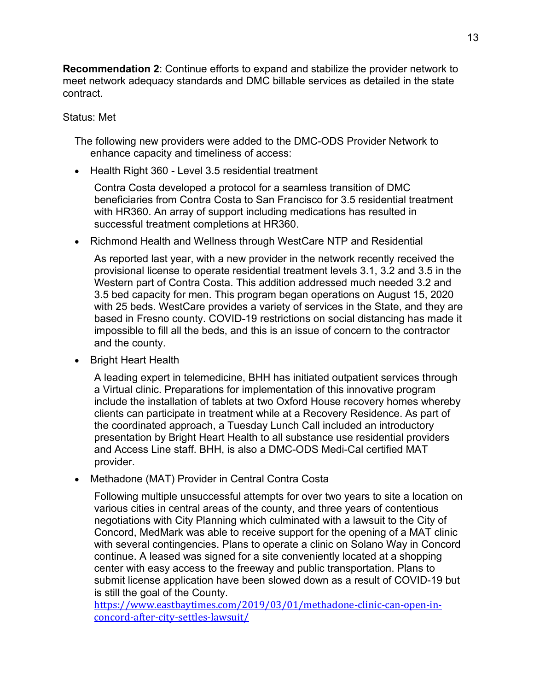**Recommendation 2**: Continue efforts to expand and stabilize the provider network to meet network adequacy standards and DMC billable services as detailed in the state contract.

#### Status: Met

The following new providers were added to the DMC-ODS Provider Network to enhance capacity and timeliness of access:

• Health Right 360 - Level 3.5 residential treatment

Contra Costa developed a protocol for a seamless transition of DMC beneficiaries from Contra Costa to San Francisco for 3.5 residential treatment with HR360. An array of support including medications has resulted in successful treatment completions at HR360.

• Richmond Health and Wellness through WestCare NTP and Residential

As reported last year, with a new provider in the network recently received the provisional license to operate residential treatment levels 3.1, 3.2 and 3.5 in the Western part of Contra Costa. This addition addressed much needed 3.2 and 3.5 bed capacity for men. This program began operations on August 15, 2020 with 25 beds. WestCare provides a variety of services in the State, and they are based in Fresno county. COVID-19 restrictions on social distancing has made it impossible to fill all the beds, and this is an issue of concern to the contractor and the county.

• Bright Heart Health

A leading expert in telemedicine, BHH has initiated outpatient services through a Virtual clinic. Preparations for implementation of this innovative program include the installation of tablets at two Oxford House recovery homes whereby clients can participate in treatment while at a Recovery Residence. As part of the coordinated approach, a Tuesday Lunch Call included an introductory presentation by Bright Heart Health to all substance use residential providers and Access Line staff. BHH, is also a DMC-ODS Medi-Cal certified MAT provider.

• Methadone (MAT) Provider in Central Contra Costa

Following multiple unsuccessful attempts for over two years to site a location on various cities in central areas of the county, and three years of contentious negotiations with City Planning which culminated with a lawsuit to the City of Concord, MedMark was able to receive support for the opening of a MAT clinic with several contingencies. Plans to operate a clinic on Solano Way in Concord continue. A leased was signed for a site conveniently located at a shopping center with easy access to the freeway and public transportation. Plans to submit license application have been slowed down as a result of COVID-19 but is still the goal of the County.

[https://www.eastbaytimes.com/2019/03/01/methadone-clinic-can-open-in](https://www.eastbaytimes.com/2019/03/01/methadone-clinic-can-open-in-concord-after-city-settles-lawsuit/)[concord-after-city-settles-lawsuit/](https://www.eastbaytimes.com/2019/03/01/methadone-clinic-can-open-in-concord-after-city-settles-lawsuit/)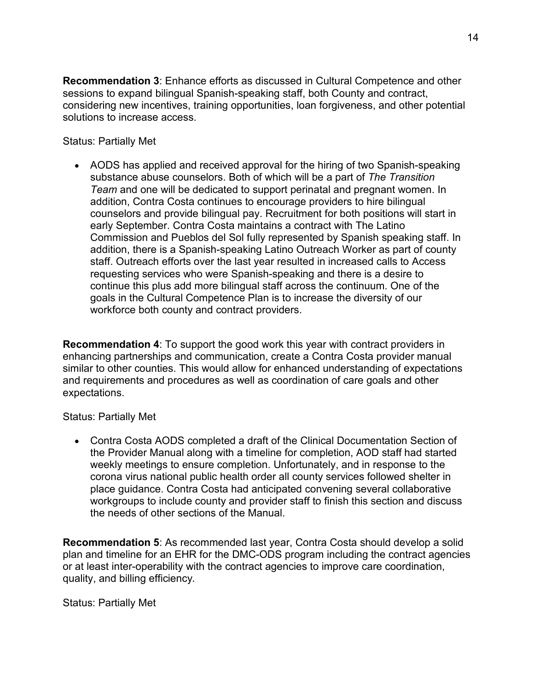**Recommendation 3**: Enhance efforts as discussed in Cultural Competence and other sessions to expand bilingual Spanish-speaking staff, both County and contract, considering new incentives, training opportunities, loan forgiveness, and other potential solutions to increase access.

Status: Partially Met

• AODS has applied and received approval for the hiring of two Spanish-speaking substance abuse counselors. Both of which will be a part of *The Transition Team* and one will be dedicated to support perinatal and pregnant women. In addition, Contra Costa continues to encourage providers to hire bilingual counselors and provide bilingual pay. Recruitment for both positions will start in early September. Contra Costa maintains a contract with The Latino Commission and Pueblos del Sol fully represented by Spanish speaking staff. In addition, there is a Spanish-speaking Latino Outreach Worker as part of county staff. Outreach efforts over the last year resulted in increased calls to Access requesting services who were Spanish-speaking and there is a desire to continue this plus add more bilingual staff across the continuum. One of the goals in the Cultural Competence Plan is to increase the diversity of our workforce both county and contract providers.

**Recommendation 4**: To support the good work this year with contract providers in enhancing partnerships and communication, create a Contra Costa provider manual similar to other counties. This would allow for enhanced understanding of expectations and requirements and procedures as well as coordination of care goals and other expectations.

Status: Partially Met

• Contra Costa AODS completed a draft of the Clinical Documentation Section of the Provider Manual along with a timeline for completion, AOD staff had started weekly meetings to ensure completion. Unfortunately, and in response to the corona virus national public health order all county services followed shelter in place guidance. Contra Costa had anticipated convening several collaborative workgroups to include county and provider staff to finish this section and discuss the needs of other sections of the Manual.

**Recommendation 5**: As recommended last year, Contra Costa should develop a solid plan and timeline for an EHR for the DMC-ODS program including the contract agencies or at least inter-operability with the contract agencies to improve care coordination, quality, and billing efficiency.

Status: Partially Met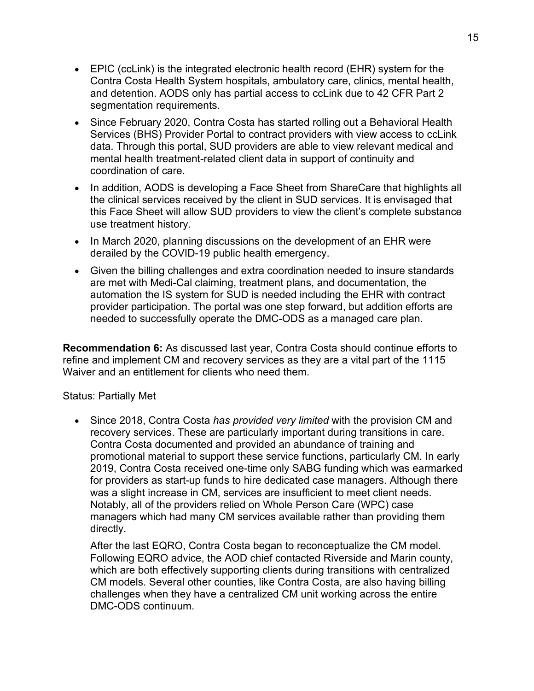- EPIC (ccLink) is the integrated electronic health record (EHR) system for the Contra Costa Health System hospitals, ambulatory care, clinics, mental health, and detention. AODS only has partial access to ccLink due to 42 CFR Part 2 segmentation requirements.
- Since February 2020, Contra Costa has started rolling out a Behavioral Health Services (BHS) Provider Portal to contract providers with view access to ccLink data. Through this portal, SUD providers are able to view relevant medical and mental health treatment-related client data in support of continuity and coordination of care.
- In addition, AODS is developing a Face Sheet from ShareCare that highlights all the clinical services received by the client in SUD services. It is envisaged that this Face Sheet will allow SUD providers to view the client's complete substance use treatment history.
- In March 2020, planning discussions on the development of an EHR were derailed by the COVID-19 public health emergency.
- Given the billing challenges and extra coordination needed to insure standards are met with Medi-Cal claiming, treatment plans, and documentation, the automation the IS system for SUD is needed including the EHR with contract provider participation. The portal was one step forward, but addition efforts are needed to successfully operate the DMC-ODS as a managed care plan.

**Recommendation 6:** As discussed last year, Contra Costa should continue efforts to refine and implement CM and recovery services as they are a vital part of the 1115 Waiver and an entitlement for clients who need them.

#### Status: Partially Met

• Since 2018, Contra Costa *has provided very limited* with the provision CM and recovery services. These are particularly important during transitions in care. Contra Costa documented and provided an abundance of training and promotional material to support these service functions, particularly CM. In early 2019, Contra Costa received one-time only SABG funding which was earmarked for providers as start-up funds to hire dedicated case managers. Although there was a slight increase in CM, services are insufficient to meet client needs. Notably, all of the providers relied on Whole Person Care (WPC) case managers which had many CM services available rather than providing them directly.

After the last EQRO, Contra Costa began to reconceptualize the CM model. Following EQRO advice, the AOD chief contacted Riverside and Marin county, which are both effectively supporting clients during transitions with centralized CM models. Several other counties, like Contra Costa, are also having billing challenges when they have a centralized CM unit working across the entire DMC-ODS continuum.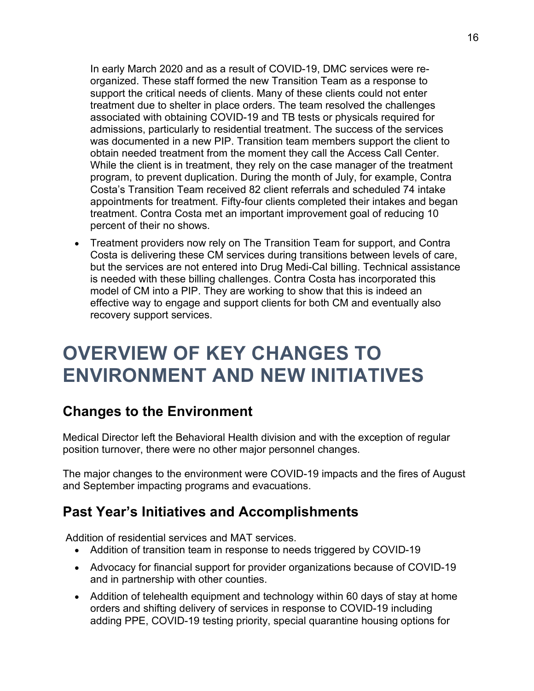In early March 2020 and as a result of COVID-19, DMC services were reorganized. These staff formed the new Transition Team as a response to support the critical needs of clients. Many of these clients could not enter treatment due to shelter in place orders. The team resolved the challenges associated with obtaining COVID-19 and TB tests or physicals required for admissions, particularly to residential treatment. The success of the services was documented in a new PIP. Transition team members support the client to obtain needed treatment from the moment they call the Access Call Center. While the client is in treatment, they rely on the case manager of the treatment program, to prevent duplication. During the month of July, for example, Contra Costa's Transition Team received 82 client referrals and scheduled 74 intake appointments for treatment. Fifty-four clients completed their intakes and began treatment. Contra Costa met an important improvement goal of reducing 10 percent of their no shows.

• Treatment providers now rely on The Transition Team for support, and Contra Costa is delivering these CM services during transitions between levels of care, but the services are not entered into Drug Medi-Cal billing. Technical assistance is needed with these billing challenges. Contra Costa has incorporated this model of CM into a PIP. They are working to show that this is indeed an effective way to engage and support clients for both CM and eventually also recovery support services.

# <span id="page-15-0"></span>**OVERVIEW OF KEY CHANGES TO ENVIRONMENT AND NEW INITIATIVES**

## <span id="page-15-1"></span>**Changes to the Environment**

Medical Director left the Behavioral Health division and with the exception of regular position turnover, there were no other major personnel changes.

The major changes to the environment were COVID-19 impacts and the fires of August and September impacting programs and evacuations.

## <span id="page-15-2"></span>**Past Year's Initiatives and Accomplishments**

Addition of residential services and MAT services.

- Addition of transition team in response to needs triggered by COVID-19
- Advocacy for financial support for provider organizations because of COVID-19 and in partnership with other counties.
- Addition of telehealth equipment and technology within 60 days of stay at home orders and shifting delivery of services in response to COVID-19 including adding PPE, COVID-19 testing priority, special quarantine housing options for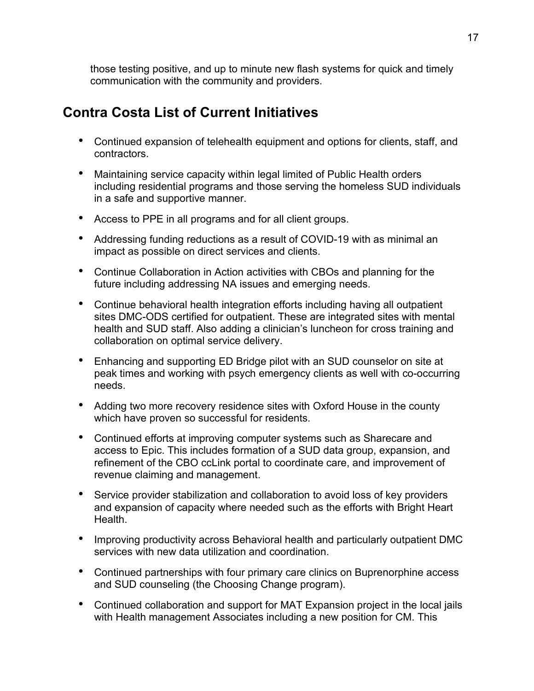those testing positive, and up to minute new flash systems for quick and timely communication with the community and providers.

## <span id="page-16-0"></span>**Contra Costa List of Current Initiatives**

- Continued expansion of telehealth equipment and options for clients, staff, and contractors.
- Maintaining service capacity within legal limited of Public Health orders including residential programs and those serving the homeless SUD individuals in a safe and supportive manner.
- Access to PPE in all programs and for all client groups.
- Addressing funding reductions as a result of COVID-19 with as minimal an impact as possible on direct services and clients.
- Continue Collaboration in Action activities with CBOs and planning for the future including addressing NA issues and emerging needs.
- Continue behavioral health integration efforts including having all outpatient sites DMC-ODS certified for outpatient. These are integrated sites with mental health and SUD staff. Also adding a clinician's luncheon for cross training and collaboration on optimal service delivery.
- Enhancing and supporting ED Bridge pilot with an SUD counselor on site at peak times and working with psych emergency clients as well with co-occurring needs.
- Adding two more recovery residence sites with Oxford House in the county which have proven so successful for residents.
- Continued efforts at improving computer systems such as Sharecare and access to Epic. This includes formation of a SUD data group, expansion, and refinement of the CBO ccLink portal to coordinate care, and improvement of revenue claiming and management.
- Service provider stabilization and collaboration to avoid loss of key providers and expansion of capacity where needed such as the efforts with Bright Heart Health.
- Improving productivity across Behavioral health and particularly outpatient DMC services with new data utilization and coordination.
- Continued partnerships with four primary care clinics on Buprenorphine access and SUD counseling (the Choosing Change program).
- Continued collaboration and support for MAT Expansion project in the local jails with Health management Associates including a new position for CM. This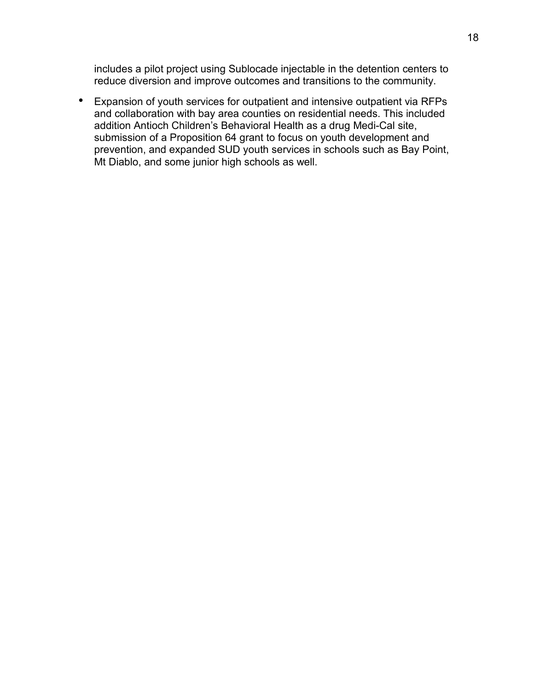includes a pilot project using Sublocade injectable in the detention centers to reduce diversion and improve outcomes and transitions to the community.

• Expansion of youth services for outpatient and intensive outpatient via RFPs and collaboration with bay area counties on residential needs. This included addition Antioch Children's Behavioral Health as a drug Medi-Cal site, submission of a Proposition 64 grant to focus on youth development and prevention, and expanded SUD youth services in schools such as Bay Point, Mt Diablo, and some junior high schools as well.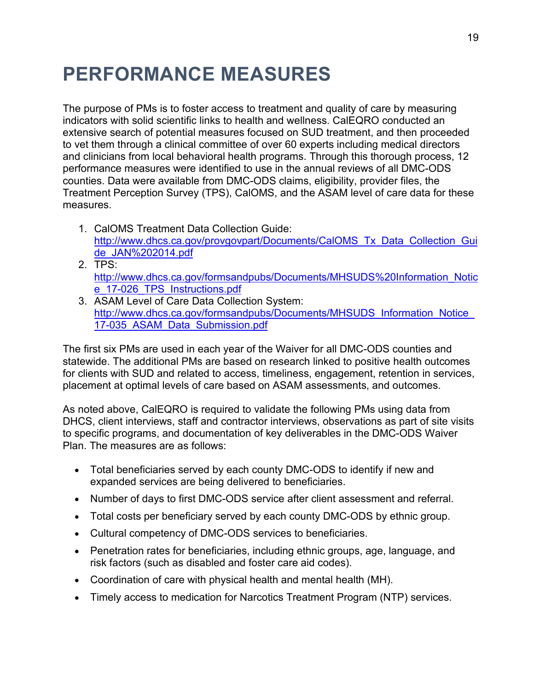# <span id="page-18-0"></span>**PERFORMANCE MEASURES**

The purpose of PMs is to foster access to treatment and quality of care by measuring indicators with solid scientific links to health and wellness. CalEQRO conducted an extensive search of potential measures focused on SUD treatment, and then proceeded to vet them through a clinical committee of over 60 experts including medical directors and clinicians from local behavioral health programs. Through this thorough process, 12 performance measures were identified to use in the annual reviews of all DMC-ODS counties. Data were available from DMC-ODS claims, eligibility, provider files, the Treatment Perception Survey (TPS), CalOMS, and the ASAM level of care data for these measures.

- 1. CalOMS Treatment Data Collection Guide: [http://www.dhcs.ca.gov/provgovpart/Documents/CalOMS\\_Tx\\_Data\\_Collection\\_Gui](http://www.dhcs.ca.gov/provgovpart/Documents/CalOMS_Tx_Data_Collection_Guide_JAN%202014.pdf) [de\\_JAN%202014.pdf](http://www.dhcs.ca.gov/provgovpart/Documents/CalOMS_Tx_Data_Collection_Guide_JAN%202014.pdf)
- 2. TPS: [http://www.dhcs.ca.gov/formsandpubs/Documents/MHSUDS%20Information\\_Notic](http://www.dhcs.ca.gov/formsandpubs/Documents/MHSUDS%20Information_Notice_17-026_TPS_Instructions.pdf) [e\\_17-026\\_TPS\\_Instructions.pdf](http://www.dhcs.ca.gov/formsandpubs/Documents/MHSUDS%20Information_Notice_17-026_TPS_Instructions.pdf)
- 3. ASAM Level of Care Data Collection System: http://www.dhcs.ca.gov/formsandpubs/Documents/MHSUDS\_Information\_Notice [17-035\\_ASAM\\_Data\\_Submission.pdf](http://www.dhcs.ca.gov/formsandpubs/Documents/MHSUDS_Information_Notice_17-035_ASAM_Data_Submission.pdf)

The first six PMs are used in each year of the Waiver for all DMC-ODS counties and statewide. The additional PMs are based on research linked to positive health outcomes for clients with SUD and related to access, timeliness, engagement, retention in services, placement at optimal levels of care based on ASAM assessments, and outcomes.

As noted above, CalEQRO is required to validate the following PMs using data from DHCS, client interviews, staff and contractor interviews, observations as part of site visits to specific programs, and documentation of key deliverables in the DMC-ODS Waiver Plan. The measures are as follows:

- Total beneficiaries served by each county DMC-ODS to identify if new and expanded services are being delivered to beneficiaries.
- Number of days to first DMC-ODS service after client assessment and referral.
- Total costs per beneficiary served by each county DMC-ODS by ethnic group.
- Cultural competency of DMC-ODS services to beneficiaries.
- Penetration rates for beneficiaries, including ethnic groups, age, language, and risk factors (such as disabled and foster care aid codes).
- Coordination of care with physical health and mental health (MH).
- Timely access to medication for Narcotics Treatment Program (NTP) services.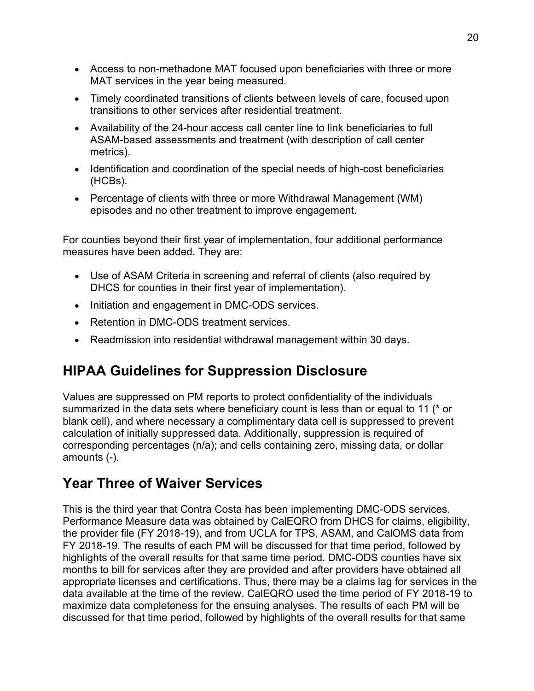- Access to non-methadone MAT focused upon beneficiaries with three or more MAT services in the year being measured.
- Timely coordinated transitions of clients between levels of care, focused upon transitions to other services after residential treatment.
- Availability of the 24-hour access call center line to link beneficiaries to full ASAM-based assessments and treatment (with description of call center metrics).
- Identification and coordination of the special needs of high-cost beneficiaries (HCBs).
- Percentage of clients with three or more Withdrawal Management (WM) episodes and no other treatment to improve engagement.

For counties beyond their first year of implementation, four additional performance measures have been added. They are:

- Use of ASAM Criteria in screening and referral of clients (also required by DHCS for counties in their first year of implementation).
- Initiation and engagement in DMC-ODS services.
- Retention in DMC-ODS treatment services.
- Readmission into residential withdrawal management within 30 days.

## <span id="page-19-0"></span>**HIPAA Guidelines for Suppression Disclosure**

Values are suppressed on PM reports to protect confidentiality of the individuals summarized in the data sets where beneficiary count is less than or equal to 11 (\* or blank cell), and where necessary a complimentary data cell is suppressed to prevent calculation of initially suppressed data. Additionally, suppression is required of corresponding percentages (n/a); and cells containing zero, missing data, or dollar amounts (-).

## <span id="page-19-1"></span>**Year Three of Waiver Services**

This is the third year that Contra Costa has been implementing DMC-ODS services. Performance Measure data was obtained by CalEQRO from DHCS for claims, eligibility, the provider file (FY 2018-19), and from UCLA for TPS, ASAM, and CalOMS data from FY 2018-19. The results of each PM will be discussed for that time period, followed by highlights of the overall results for that same time period. DMC-ODS counties have six months to bill for services after they are provided and after providers have obtained all appropriate licenses and certifications. Thus, there may be a claims lag for services in the data available at the time of the review. CalEQRO used the time period of FY 2018-19 to maximize data completeness for the ensuing analyses. The results of each PM will be discussed for that time period, followed by highlights of the overall results for that same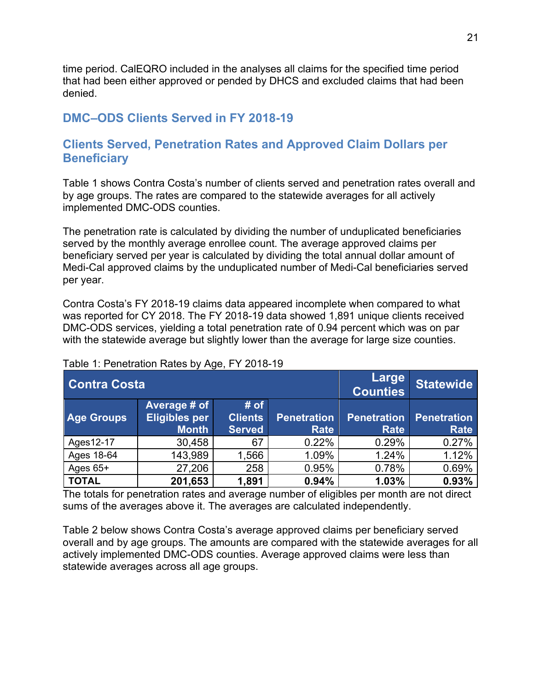time period. CalEQRO included in the analyses all claims for the specified time period that had been either approved or pended by DHCS and excluded claims that had been denied.

#### **DMC–ODS Clients Served in FY 2018-19**

#### **Clients Served, Penetration Rates and Approved Claim Dollars per Beneficiary**

Table 1 shows Contra Costa's number of clients served and penetration rates overall and by age groups. The rates are compared to the statewide averages for all actively implemented DMC-ODS counties.

The penetration rate is calculated by dividing the number of unduplicated beneficiaries served by the monthly average enrollee count. The average approved claims per beneficiary served per year is calculated by dividing the total annual dollar amount of Medi-Cal approved claims by the unduplicated number of Medi-Cal beneficiaries served per year.

Contra Costa's FY 2018-19 claims data appeared incomplete when compared to what was reported for CY 2018. The FY 2018-19 data showed 1,891 unique clients received DMC-ODS services, yielding a total penetration rate of 0.94 percent which was on par with the statewide average but slightly lower than the average for large size counties.

| <b>Contra Costa</b> |                                               |                                         |                                   | Large<br><b>Counties</b>          | <b>Statewide</b>                  |
|---------------------|-----------------------------------------------|-----------------------------------------|-----------------------------------|-----------------------------------|-----------------------------------|
| <b>Age Groups</b>   | Average # of<br>Eligibles per<br><b>Month</b> | # of<br><b>Clients</b><br><b>Served</b> | <b>Penetration</b><br><b>Rate</b> | <b>Penetration</b><br><b>Rate</b> | <b>Penetration</b><br><b>Rate</b> |
| Ages12-17           | 30,458                                        | 67                                      | 0.22%                             | 0.29%                             | 0.27%                             |
| Ages 18-64          | 143,989                                       | 1,566                                   | 1.09%                             | 1.24%                             | 1.12%                             |
| Ages $65+$          | 27,206                                        | 258                                     | 0.95%                             | 0.78%                             | 0.69%                             |
| <b>TOTAL</b>        | 201,653                                       | 1,891                                   | 0.94%                             | 1.03%                             | 0.93%                             |

#### Table 1: Penetration Rates by Age, FY 2018-19

The totals for penetration rates and average number of eligibles per month are not direct sums of the averages above it. The averages are calculated independently.

Table 2 below shows Contra Costa's average approved claims per beneficiary served overall and by age groups. The amounts are compared with the statewide averages for all actively implemented DMC-ODS counties. Average approved claims were less than statewide averages across all age groups.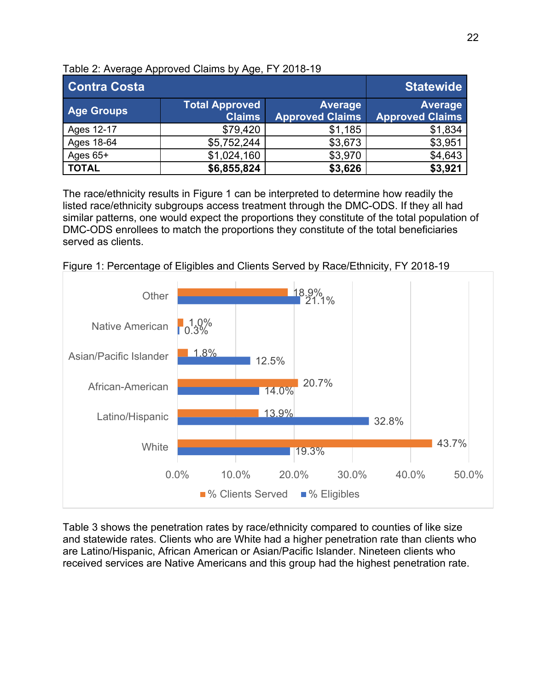| <b>Contra Costa</b> |                                        |                                          | <b>Statewide</b>                         |
|---------------------|----------------------------------------|------------------------------------------|------------------------------------------|
| <b>Age Groups</b>   | <b>Total Approved</b><br><b>Claims</b> | <b>Average</b><br><b>Approved Claims</b> | <b>Average</b><br><b>Approved Claims</b> |
| Ages 12-17          | \$79,420                               | \$1,185                                  | \$1,834                                  |
| Ages 18-64          | \$5,752,244                            | \$3,673                                  | \$3,951                                  |
| Ages $65+$          | \$1,024,160                            | \$3,970                                  | \$4,643                                  |
| <b>TOTAL</b>        | \$6,855,824                            | \$3,626                                  | \$3,921                                  |

Table 2: Average Approved Claims by Age, FY 2018-19

The race/ethnicity results in Figure 1 can be interpreted to determine how readily the listed race/ethnicity subgroups access treatment through the DMC-ODS. If they all had similar patterns, one would expect the proportions they constitute of the total population of DMC-ODS enrollees to match the proportions they constitute of the total beneficiaries served as clients.



Figure 1: Percentage of Eligibles and Clients Served by Race/Ethnicity, FY 2018-19

Table 3 shows the penetration rates by race/ethnicity compared to counties of like size and statewide rates. Clients who are White had a higher penetration rate than clients who are Latino/Hispanic, African American or Asian/Pacific Islander. Nineteen clients who received services are Native Americans and this group had the highest penetration rate.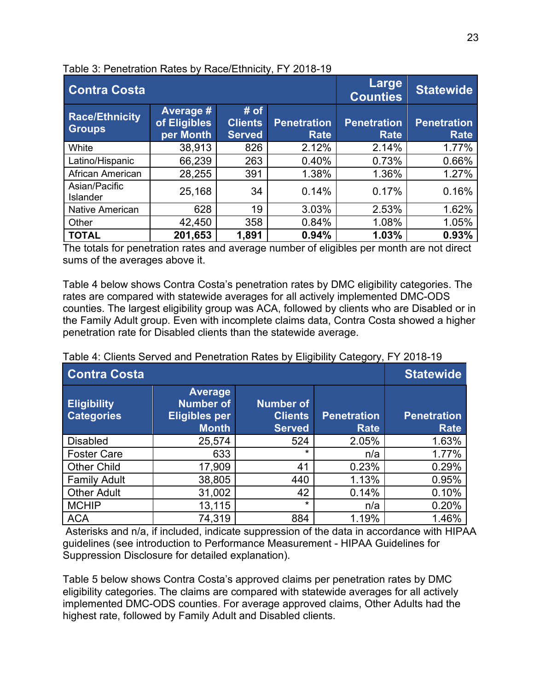| <b>Contra Costa</b>                    |                                        |                                         | . .                               | Large<br><b>Counties</b>          | <b>Statewide</b>                  |
|----------------------------------------|----------------------------------------|-----------------------------------------|-----------------------------------|-----------------------------------|-----------------------------------|
| <b>Race/Ethnicity</b><br><b>Groups</b> | Average #<br>of Eligibles<br>per Month | # of<br><b>Clients</b><br><b>Served</b> | <b>Penetration</b><br><b>Rate</b> | <b>Penetration</b><br><b>Rate</b> | <b>Penetration</b><br><b>Rate</b> |
| White                                  | 38,913                                 | 826                                     | 2.12%                             | 2.14%                             | 1.77%                             |
| Latino/Hispanic                        | 66,239                                 | 263                                     | 0.40%                             | 0.73%                             | 0.66%                             |
| African American                       | 28,255                                 | 391                                     | 1.38%                             | 1.36%                             | 1.27%                             |
| Asian/Pacific<br><b>Islander</b>       | 25,168                                 | 34                                      | 0.14%                             | 0.17%                             | 0.16%                             |
| <b>Native American</b>                 | 628                                    | 19                                      | 3.03%                             | 2.53%                             | 1.62%                             |
| Other                                  | 42,450                                 | 358                                     | 0.84%                             | 1.08%                             | 1.05%                             |
| <b>TOTAL</b>                           | 201,653                                | 1,891                                   | 0.94%                             | 1.03%                             | 0.93%                             |

The totals for penetration rates and average number of eligibles per month are not direct sums of the averages above it.

Table 4 below shows Contra Costa's penetration rates by DMC eligibility categories. The rates are compared with statewide averages for all actively implemented DMC-ODS counties. The largest eligibility group was ACA, followed by clients who are Disabled or in the Family Adult group. Even with incomplete claims data, Contra Costa showed a higher penetration rate for Disabled clients than the statewide average.

| <b>Contra Costa</b>                     |                                                                            |                                                     | - ອ - - - - -              | <b>Statewide</b>                  |
|-----------------------------------------|----------------------------------------------------------------------------|-----------------------------------------------------|----------------------------|-----------------------------------|
| <b>Eligibility</b><br><b>Categories</b> | <b>Average</b><br><b>Number of</b><br><b>Eligibles per</b><br><b>Month</b> | <b>Number of</b><br><b>Clients</b><br><b>Served</b> | <b>Penetration</b><br>Rate | <b>Penetration</b><br><b>Rate</b> |
| <b>Disabled</b>                         | 25,574                                                                     | 524                                                 | 2.05%                      | 1.63%                             |
| <b>Foster Care</b>                      | 633                                                                        | *                                                   | n/a                        | 1.77%                             |
| <b>Other Child</b>                      | 17,909                                                                     | 41                                                  | 0.23%                      | 0.29%                             |
| <b>Family Adult</b>                     | 38,805                                                                     | 440                                                 | 1.13%                      | 0.95%                             |
| <b>Other Adult</b>                      | 31,002                                                                     | 42                                                  | 0.14%                      | 0.10%                             |
| <b>MCHIP</b>                            | 13,115                                                                     | $\star$                                             | n/a                        | 0.20%                             |
| <b>ACA</b>                              | 74,319                                                                     | 884                                                 | 1.19%                      | 1.46%                             |

| Table 4: Clients Served and Penetration Rates by Eligibility Category, FY 2018-19 |  |  |
|-----------------------------------------------------------------------------------|--|--|
|-----------------------------------------------------------------------------------|--|--|

Asterisks and n/a, if included, indicate suppression of the data in accordance with HIPAA guidelines (see introduction to Performance Measurement - HIPAA Guidelines for Suppression Disclosure for detailed explanation).

Table 5 below shows Contra Costa's approved claims per penetration rates by DMC eligibility categories. The claims are compared with statewide averages for all actively implemented DMC-ODS counties. For average approved claims, Other Adults had the highest rate, followed by Family Adult and Disabled clients.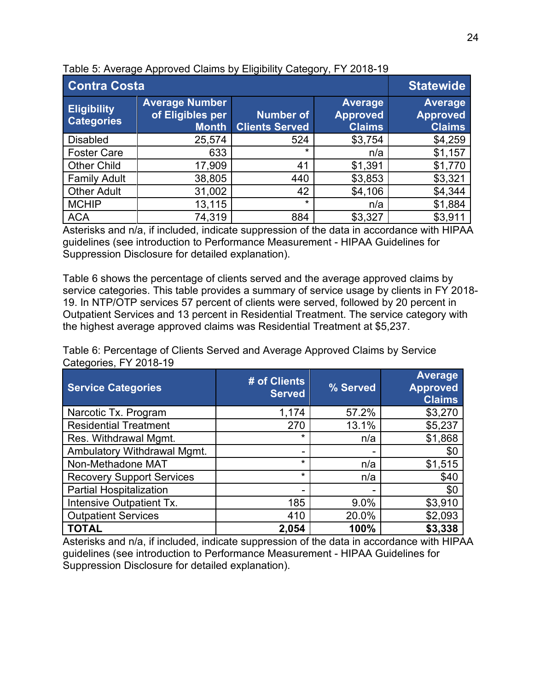| <b>Contra Costa</b>                     | <b>Statewide</b>                                          |                                           |                                                    |                                                    |
|-----------------------------------------|-----------------------------------------------------------|-------------------------------------------|----------------------------------------------------|----------------------------------------------------|
| <b>Eligibility</b><br><b>Categories</b> | <b>Average Number</b><br>of Eligibles per<br><b>Month</b> | <b>Number of</b><br><b>Clients Served</b> | <b>Average</b><br><b>Approved</b><br><b>Claims</b> | <b>Average</b><br><b>Approved</b><br><b>Claims</b> |
| <b>Disabled</b>                         | 25,574                                                    | 524                                       | \$3,754                                            | \$4,259                                            |
| <b>Foster Care</b>                      | 633                                                       | $\star$                                   | n/a                                                | \$1,157                                            |
| <b>Other Child</b>                      | 17,909                                                    | 41                                        | \$1,391                                            | \$1,770                                            |
| <b>Family Adult</b>                     | 38,805                                                    | 440                                       | \$3,853                                            | \$3,321                                            |
| <b>Other Adult</b>                      | 31,002                                                    | 42                                        | \$4,106                                            | \$4,344                                            |
| <b>MCHIP</b>                            | 13,115                                                    | $\star$                                   | n/a                                                | \$1,884                                            |
| <b>ACA</b>                              | 74,319                                                    | 884                                       | \$3,327                                            | \$3,911                                            |

Table 5: Average Approved Claims by Eligibility Category, FY 2018-19

Asterisks and n/a, if included, indicate suppression of the data in accordance with HIPAA guidelines (see introduction to Performance Measurement - HIPAA Guidelines for Suppression Disclosure for detailed explanation).

Table 6 shows the percentage of clients served and the average approved claims by service categories. This table provides a summary of service usage by clients in FY 2018- 19. In NTP/OTP services 57 percent of clients were served, followed by 20 percent in Outpatient Services and 13 percent in Residential Treatment. The service category with the highest average approved claims was Residential Treatment at \$5,237.

| Table 6: Percentage of Clients Served and Average Approved Claims by Service |  |
|------------------------------------------------------------------------------|--|
| Categories, FY 2018-19                                                       |  |

| <b>Service Categories</b>        | # of Clients<br><b>Served</b> | % Served | <b>Average</b><br><b>Approved</b><br><b>Claims</b> |
|----------------------------------|-------------------------------|----------|----------------------------------------------------|
| Narcotic Tx. Program             | 1,174                         | 57.2%    | \$3,270                                            |
| <b>Residential Treatment</b>     | 270                           | 13.1%    | \$5,237                                            |
| Res. Withdrawal Mgmt.            | $\star$                       | n/a      | \$1,868                                            |
| Ambulatory Withdrawal Mgmt.      |                               |          | \$0                                                |
| Non-Methadone MAT                | $\star$                       | n/a      | \$1,515                                            |
| <b>Recovery Support Services</b> | $\star$                       | n/a      | \$40                                               |
| <b>Partial Hospitalization</b>   |                               |          | \$0                                                |
| Intensive Outpatient Tx.         | 185                           | 9.0%     | \$3,910                                            |
| <b>Outpatient Services</b>       | 410                           | 20.0%    | \$2,093                                            |
| <b>TOTAL</b>                     | 2,054                         | 100%     | \$3,338                                            |

Asterisks and n/a, if included, indicate suppression of the data in accordance with HIPAA guidelines (see introduction to Performance Measurement - HIPAA Guidelines for Suppression Disclosure for detailed explanation).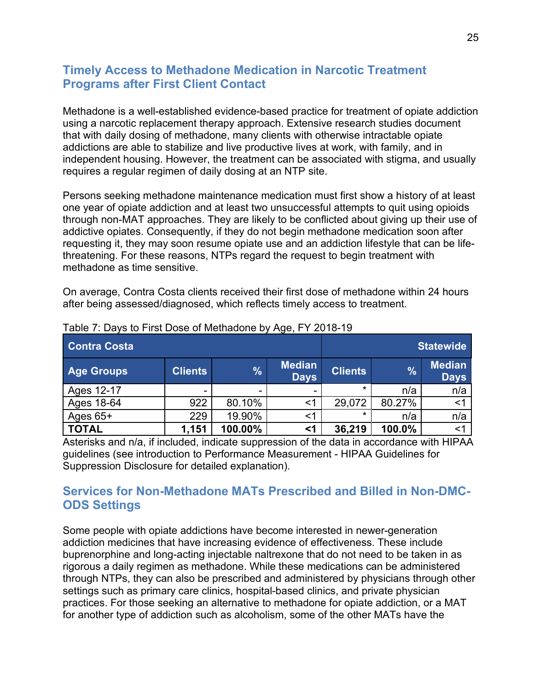#### **Timely Access to Methadone Medication in Narcotic Treatment Programs after First Client Contact**

Methadone is a well-established evidence-based practice for treatment of opiate addiction using a narcotic replacement therapy approach. Extensive research studies document that with daily dosing of methadone, many clients with otherwise intractable opiate addictions are able to stabilize and live productive lives at work, with family, and in independent housing. However, the treatment can be associated with stigma, and usually requires a regular regimen of daily dosing at an NTP site.

Persons seeking methadone maintenance medication must first show a history of at least one year of opiate addiction and at least two unsuccessful attempts to quit using opioids through non-MAT approaches. They are likely to be conflicted about giving up their use of addictive opiates. Consequently, if they do not begin methadone medication soon after requesting it, they may soon resume opiate use and an addiction lifestyle that can be lifethreatening. For these reasons, NTPs regard the request to begin treatment with methadone as time sensitive.

On average, Contra Costa clients received their first dose of methadone within 24 hours after being assessed/diagnosed, which reflects timely access to treatment.

| <b>Contra Costa</b> |                |         |                              |                | <b>Statewide</b> |                              |
|---------------------|----------------|---------|------------------------------|----------------|------------------|------------------------------|
| <b>Age Groups</b>   | <b>Clients</b> | %       | <b>Median</b><br><b>Days</b> | <b>Clients</b> | $\frac{9}{6}$    | <b>Median</b><br><b>Days</b> |
| Ages 12-17          | -              | -       |                              | $\star$        | n/a              | n/a                          |
| Ages 18-64          | 922            | 80.10%  | <1                           | 29,072         | 80.27%           | $<$ 1                        |
| Ages $65+$          | 229            | 19.90%  | <1                           | ×              | n/a              | n/a                          |
| <b>TOTAL</b>        | 1,151          | 100.00% | $\leq$ 1                     | 36,219         | 100.0%           | $\leq$ 1                     |

Table 7: Days to First Dose of Methadone by Age, FY 2018-19

Asterisks and n/a, if included, indicate suppression of the data in accordance with HIPAA guidelines (see introduction to Performance Measurement - HIPAA Guidelines for Suppression Disclosure for detailed explanation).

#### **Services for Non-Methadone MATs Prescribed and Billed in Non-DMC-ODS Settings**

Some people with opiate addictions have become interested in newer-generation addiction medicines that have increasing evidence of effectiveness. These include buprenorphine and long-acting injectable naltrexone that do not need to be taken in as rigorous a daily regimen as methadone. While these medications can be administered through NTPs, they can also be prescribed and administered by physicians through other settings such as primary care clinics, hospital-based clinics, and private physician practices. For those seeking an alternative to methadone for opiate addiction, or a MAT for another type of addiction such as alcoholism, some of the other MATs have the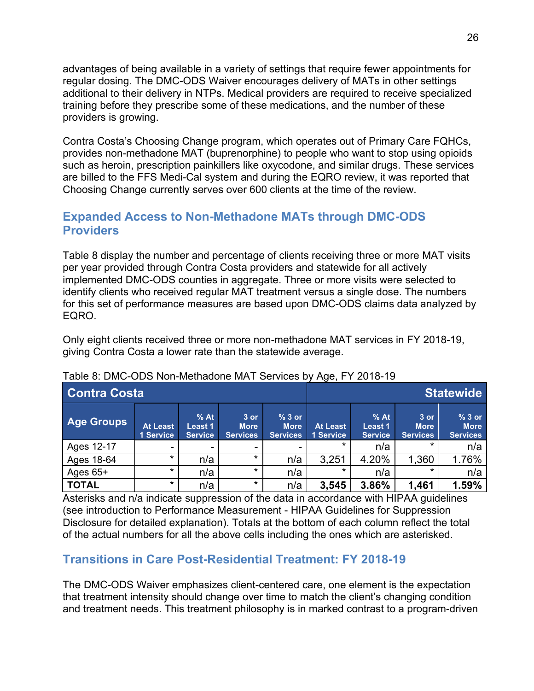advantages of being available in a variety of settings that require fewer appointments for regular dosing. The DMC-ODS Waiver encourages delivery of MATs in other settings additional to their delivery in NTPs. Medical providers are required to receive specialized training before they prescribe some of these medications, and the number of these providers is growing.

Contra Costa's Choosing Change program, which operates out of Primary Care FQHCs, provides non-methadone MAT (buprenorphine) to people who want to stop using opioids such as heroin, prescription painkillers like oxycodone, and similar drugs. These services are billed to the FFS Medi-Cal system and during the EQRO review, it was reported that Choosing Change currently serves over 600 clients at the time of the review.

### **Expanded Access to Non-Methadone MATs through DMC-ODS Providers**

Table 8 display the number and percentage of clients receiving three or more MAT visits per year provided through Contra Costa providers and statewide for all actively implemented DMC-ODS counties in aggregate. Three or more visits were selected to identify clients who received regular MAT treatment versus a single dose. The numbers for this set of performance measures are based upon DMC-ODS claims data analyzed by EQRO.

Only eight clients received three or more non-methadone MAT services in FY 2018-19, giving Contra Costa a lower rate than the statewide average.

| <b>Contra Costa</b> |                              |                                     |                                          |                                           |                       |                                     | <b>Statewide</b>                         |                                           |
|---------------------|------------------------------|-------------------------------------|------------------------------------------|-------------------------------------------|-----------------------|-------------------------------------|------------------------------------------|-------------------------------------------|
| Age Groups          | <b>At Least</b><br>1 Service | $%$ At<br>Least 1<br><b>Service</b> | $3$ or<br><b>More</b><br><b>Services</b> | $%3$ or<br><b>More</b><br><b>Services</b> | At Least<br>1 Service | $%$ At<br>Least 1<br><b>Service</b> | $3$ or<br><b>More</b><br><b>Services</b> | $%3$ or<br><b>More</b><br><b>Services</b> |
| Ages 12-17          |                              | -                                   | ۰                                        |                                           | $\star$               | n/a                                 | $\star$                                  | n/a                                       |
| Ages 18-64          | $\star$                      | n/a                                 | $\star$                                  | n/a                                       | 3,251                 | 4.20%                               | ,360                                     | 1.76%                                     |
| Ages $65+$          | $\star$                      | n/a                                 | $\star$                                  | n/a                                       | $\star$               | n/a                                 | *                                        | n/a                                       |
| <b>TOTAL</b>        | $\star$                      | n/a                                 | $\star$                                  | n/a                                       | 3,545                 | 3.86%                               | 1,461                                    | 1.59%                                     |

#### Table 8: DMC-ODS Non-Methadone MAT Services by Age, FY 2018-19

Asterisks and n/a indicate suppression of the data in accordance with HIPAA guidelines (see introduction to Performance Measurement - HIPAA Guidelines for Suppression Disclosure for detailed explanation). Totals at the bottom of each column reflect the total of the actual numbers for all the above cells including the ones which are asterisked.

### **Transitions in Care Post-Residential Treatment: FY 2018-19**

The DMC-ODS Waiver emphasizes client-centered care, one element is the expectation that treatment intensity should change over time to match the client's changing condition and treatment needs. This treatment philosophy is in marked contrast to a program-driven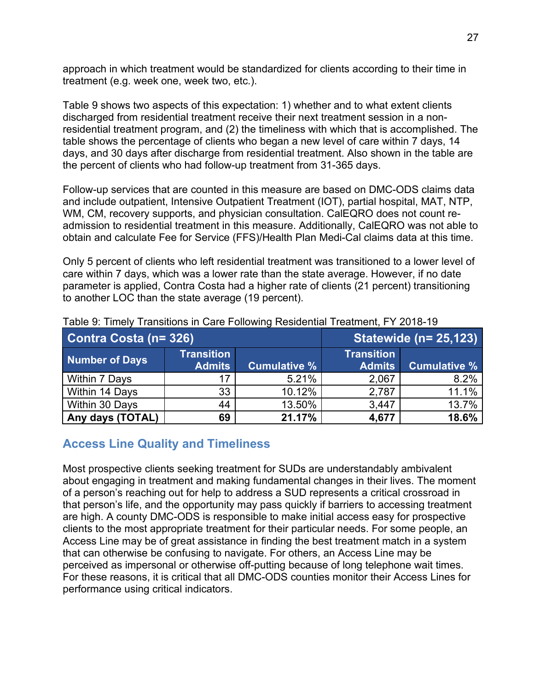approach in which treatment would be standardized for clients according to their time in treatment (e.g. week one, week two, etc.).

Table 9 shows two aspects of this expectation: 1) whether and to what extent clients discharged from residential treatment receive their next treatment session in a nonresidential treatment program, and (2) the timeliness with which that is accomplished. The table shows the percentage of clients who began a new level of care within 7 days, 14 days, and 30 days after discharge from residential treatment. Also shown in the table are the percent of clients who had follow-up treatment from 31-365 days.

Follow-up services that are counted in this measure are based on DMC-ODS claims data and include outpatient, Intensive Outpatient Treatment (IOT), partial hospital, MAT, NTP, WM, CM, recovery supports, and physician consultation. CalEQRO does not count readmission to residential treatment in this measure. Additionally, CalEQRO was not able to obtain and calculate Fee for Service (FFS)/Health Plan Medi-Cal claims data at this time.

Only 5 percent of clients who left residential treatment was transitioned to a lower level of care within 7 days, which was a lower rate than the state average. However, if no date parameter is applied, Contra Costa had a higher rate of clients (21 percent) transitioning to another LOC than the state average (19 percent).

| Contra Costa (n= 326) |                   | <b>Statewide (n= 25,123)</b> |                   |                     |  |
|-----------------------|-------------------|------------------------------|-------------------|---------------------|--|
| <b>Number of Days</b> | <b>Transition</b> |                              | <b>Transition</b> |                     |  |
|                       | <b>Admits</b>     | <b>Cumulative %</b>          | <b>Admits</b>     | <b>Cumulative %</b> |  |
| Within 7 Days         | 17                | 5.21%                        | 2,067             | 8.2%                |  |
| Within 14 Days        | 33                | 10.12%                       | 2,787             | 11.1%               |  |
| Within 30 Days        | 44                | 13.50%                       | 3,447             | 13.7%               |  |
| Any days (TOTAL)      | 69                | 21.17%                       | 4,677             | 18.6%               |  |

Table 9: Timely Transitions in Care Following Residential Treatment, FY 2018-19

#### **Access Line Quality and Timeliness**

Most prospective clients seeking treatment for SUDs are understandably ambivalent about engaging in treatment and making fundamental changes in their lives. The moment of a person's reaching out for help to address a SUD represents a critical crossroad in that person's life, and the opportunity may pass quickly if barriers to accessing treatment are high. A county DMC-ODS is responsible to make initial access easy for prospective clients to the most appropriate treatment for their particular needs. For some people, an Access Line may be of great assistance in finding the best treatment match in a system that can otherwise be confusing to navigate. For others, an Access Line may be perceived as impersonal or otherwise off-putting because of long telephone wait times. For these reasons, it is critical that all DMC-ODS counties monitor their Access Lines for performance using critical indicators.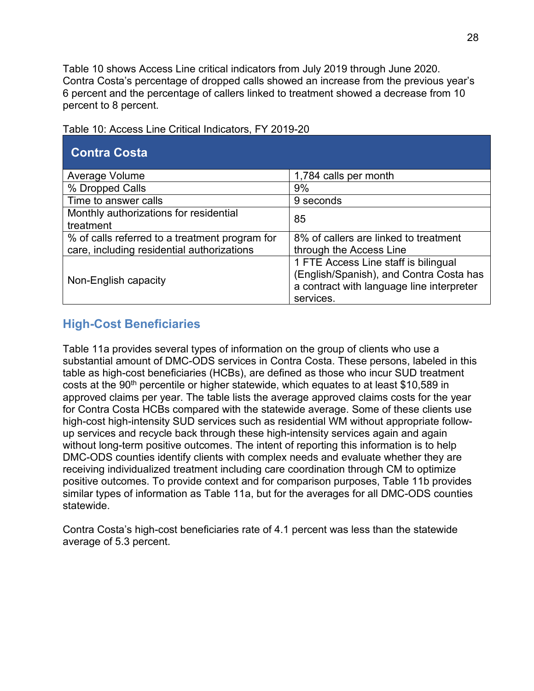Table 10 shows Access Line critical indicators from July 2019 through June 2020. Contra Costa's percentage of dropped calls showed an increase from the previous year's 6 percent and the percentage of callers linked to treatment showed a decrease from 10 percent to 8 percent.

| <b>Contra Costa</b>                                                                          |                                                                                                                                           |
|----------------------------------------------------------------------------------------------|-------------------------------------------------------------------------------------------------------------------------------------------|
| Average Volume                                                                               | 1,784 calls per month                                                                                                                     |
| % Dropped Calls                                                                              | 9%                                                                                                                                        |
| Time to answer calls                                                                         | 9 seconds                                                                                                                                 |
| Monthly authorizations for residential<br>treatment                                          | 85                                                                                                                                        |
| % of calls referred to a treatment program for<br>care, including residential authorizations | 8% of callers are linked to treatment<br>through the Access Line                                                                          |
| Non-English capacity                                                                         | 1 FTE Access Line staff is bilingual<br>(English/Spanish), and Contra Costa has<br>a contract with language line interpreter<br>services. |

Table 10: Access Line Critical Indicators, FY 2019-20

## **High-Cost Beneficiaries**

Table 11a provides several types of information on the group of clients who use a substantial amount of DMC-ODS services in Contra Costa. These persons, labeled in this table as high-cost beneficiaries (HCBs), are defined as those who incur SUD treatment costs at the 90<sup>th</sup> percentile or higher statewide, which equates to at least \$10,589 in approved claims per year. The table lists the average approved claims costs for the year for Contra Costa HCBs compared with the statewide average. Some of these clients use high-cost high-intensity SUD services such as residential WM without appropriate followup services and recycle back through these high-intensity services again and again without long-term positive outcomes. The intent of reporting this information is to help DMC-ODS counties identify clients with complex needs and evaluate whether they are receiving individualized treatment including care coordination through CM to optimize positive outcomes. To provide context and for comparison purposes, Table 11b provides similar types of information as Table 11a, but for the averages for all DMC-ODS counties statewide.

Contra Costa's high-cost beneficiaries rate of 4.1 percent was less than the statewide average of 5.3 percent.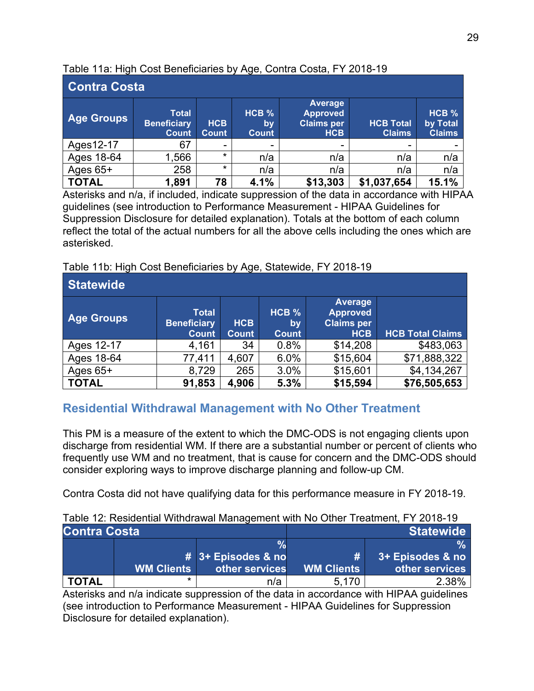| <b>Contra Costa</b> |                                                    |                            |                      |                                                                      |                                   |                                    |  |  |  |
|---------------------|----------------------------------------------------|----------------------------|----------------------|----------------------------------------------------------------------|-----------------------------------|------------------------------------|--|--|--|
| <b>Age Groups</b>   | <b>Total</b><br><b>Beneficiary</b><br><b>Count</b> | <b>HCB</b><br><b>Count</b> | HCB %<br>by<br>Count | <b>Average</b><br><b>Approved</b><br><b>Claims per</b><br><b>HCB</b> | <b>HCB Total</b><br><b>Claims</b> | HCB %<br>by Total<br><b>Claims</b> |  |  |  |
| Ages12-17           | 67                                                 | -                          | -                    | -                                                                    | ٠                                 |                                    |  |  |  |
| Ages 18-64          | 566, ا                                             | $\star$                    | n/a                  | n/a                                                                  | n/a                               | n/a                                |  |  |  |
| Ages $65+$          | 258                                                | $\star$                    | n/a                  | n/a                                                                  | n/a                               | n/a                                |  |  |  |
| <b>TOTAL</b>        | 1,891                                              | 78                         | 4.1%                 | \$13,303                                                             | \$1,037,654                       | 15.1%                              |  |  |  |

Table 11a: High Cost Beneficiaries by Age, Contra Costa, FY 2018-19

Asterisks and n/a, if included, indicate suppression of the data in accordance with HIPAA guidelines (see introduction to Performance Measurement - HIPAA Guidelines for Suppression Disclosure for detailed explanation). Totals at the bottom of each column reflect the total of the actual numbers for all the above cells including the ones which are asterisked.

Table 11b: High Cost Beneficiaries by Age, Statewide, FY 2018-19

| <b>Statewide</b>  |                                                    |                            |                                    |                                                                      |                         |  |  |
|-------------------|----------------------------------------------------|----------------------------|------------------------------------|----------------------------------------------------------------------|-------------------------|--|--|
| <b>Age Groups</b> | <b>Total</b><br><b>Beneficiary</b><br><b>Count</b> | <b>HCB</b><br><b>Count</b> | HCB %<br><b>by</b><br><b>Count</b> | <b>Average</b><br><b>Approved</b><br><b>Claims per</b><br><b>HCB</b> | <b>HCB Total Claims</b> |  |  |
| Ages 12-17        | 4,161                                              | 34                         | 0.8%                               | \$14,208                                                             | \$483,063               |  |  |
| Ages 18-64        | 77,411                                             | 4,607                      | 6.0%                               | \$15,604                                                             | \$71,888,322            |  |  |
| Ages $65+$        | 8,729                                              | 265                        | 3.0%                               | \$15,601                                                             | \$4,134,267             |  |  |
| <b>TOTAL</b>      | 91,853                                             | 4,906                      | 5.3%                               | \$15,594                                                             | \$76,505,653            |  |  |

## **Residential Withdrawal Management with No Other Treatment**

This PM is a measure of the extent to which the DMC-ODS is not engaging clients upon discharge from residential WM. If there are a substantial number or percent of clients who frequently use WM and no treatment, that is cause for concern and the DMC-ODS should consider exploring ways to improve discharge planning and follow-up CM.

Contra Costa did not have qualifying data for this performance measure in FY 2018-19.

| Table 12: Residential Withdrawal Management with No Other Treatment, FY 2018-19 |  |
|---------------------------------------------------------------------------------|--|
|                                                                                 |  |

| <b>Contra Costa</b> |                   |                    | Statewide  |                  |  |
|---------------------|-------------------|--------------------|------------|------------------|--|
|                     |                   |                    |            |                  |  |
|                     |                   | # 3+ Episodes & no | #          | 3+ Episodes & no |  |
|                     | <b>WM Clients</b> | other services     | WM Clients | other services   |  |
| <b>TOTAL</b>        | *                 | n/a                | 5.170      | 2.38%            |  |

Asterisks and n/a indicate suppression of the data in accordance with HIPAA guidelines (see introduction to Performance Measurement - HIPAA Guidelines for Suppression Disclosure for detailed explanation).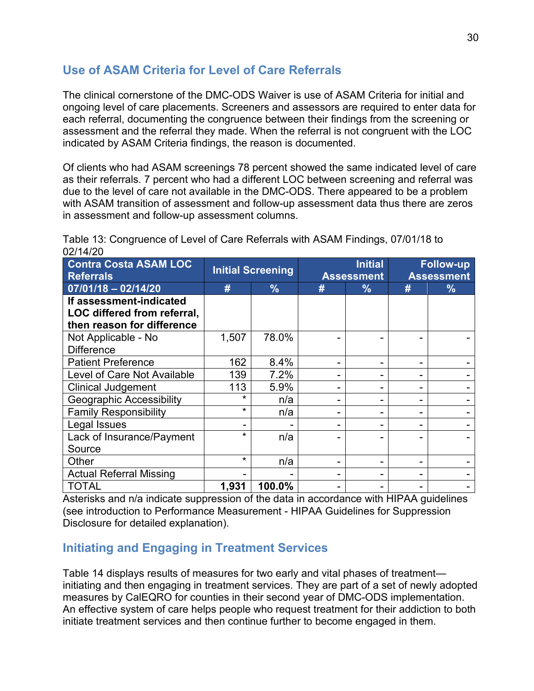### **Use of ASAM Criteria for Level of Care Referrals**

The clinical cornerstone of the DMC-ODS Waiver is use of ASAM Criteria for initial and ongoing level of care placements. Screeners and assessors are required to enter data for each referral, documenting the congruence between their findings from the screening or assessment and the referral they made. When the referral is not congruent with the LOC indicated by ASAM Criteria findings, the reason is documented.

Of clients who had ASAM screenings 78 percent showed the same indicated level of care as their referrals. 7 percent who had a different LOC between screening and referral was due to the level of care not available in the DMC-ODS. There appeared to be a problem with ASAM transition of assessment and follow-up assessment data thus there are zeros in assessment and follow-up assessment columns.

| 021 ITILU                                        |                          |               |                                     |               |                                       |               |
|--------------------------------------------------|--------------------------|---------------|-------------------------------------|---------------|---------------------------------------|---------------|
| <b>Contra Costa ASAM LOC</b><br><b>Referrals</b> | <b>Initial Screening</b> |               | <b>Initial</b><br><b>Assessment</b> |               | <b>Follow-up</b><br><b>Assessment</b> |               |
| $07/01/18 - 02/14/20$                            | #                        | $\frac{9}{6}$ | #                                   | $\frac{9}{6}$ | #                                     | $\frac{9}{6}$ |
| If assessment-indicated                          |                          |               |                                     |               |                                       |               |
| LOC differed from referral,                      |                          |               |                                     |               |                                       |               |
| then reason for difference                       |                          |               |                                     |               |                                       |               |
| Not Applicable - No                              | 1,507                    | 78.0%         |                                     |               |                                       |               |
| <b>Difference</b>                                |                          |               |                                     |               |                                       |               |
| <b>Patient Preference</b>                        | 162                      | 8.4%          |                                     |               |                                       |               |
| Level of Care Not Available                      | 139                      | 7.2%          |                                     |               |                                       |               |
| <b>Clinical Judgement</b>                        | 113                      | 5.9%          |                                     |               |                                       |               |
| <b>Geographic Accessibility</b>                  | ÷                        | n/a           |                                     |               |                                       |               |
| <b>Family Responsibility</b>                     | $\star$                  | n/a           | -                                   |               |                                       |               |
| Legal Issues                                     |                          |               | -                                   |               |                                       |               |
| Lack of Insurance/Payment                        | $\star$                  | n/a           |                                     |               |                                       |               |
| Source                                           |                          |               |                                     |               |                                       |               |
| Other                                            | $\star$                  | n/a           | -                                   |               |                                       |               |
| <b>Actual Referral Missing</b>                   |                          |               |                                     |               |                                       |               |
| TOTAL                                            | 1,931                    | 100.0%        |                                     |               |                                       |               |

Table 13: Congruence of Level of Care Referrals with ASAM Findings, 07/01/18 to 02/14/20

Asterisks and n/a indicate suppression of the data in accordance with HIPAA guidelines (see introduction to Performance Measurement - HIPAA Guidelines for Suppression Disclosure for detailed explanation).

### **Initiating and Engaging in Treatment Services**

Table 14 displays results of measures for two early and vital phases of treatment initiating and then engaging in treatment services. They are part of a set of newly adopted measures by CalEQRO for counties in their second year of DMC-ODS implementation. An effective system of care helps people who request treatment for their addiction to both initiate treatment services and then continue further to become engaged in them.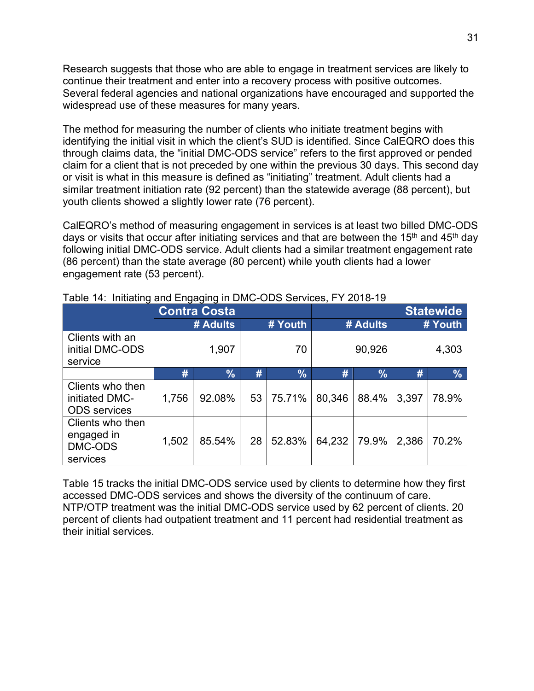Research suggests that those who are able to engage in treatment services are likely to continue their treatment and enter into a recovery process with positive outcomes. Several federal agencies and national organizations have encouraged and supported the widespread use of these measures for many years.

The method for measuring the number of clients who initiate treatment begins with identifying the initial visit in which the client's SUD is identified. Since CalEQRO does this through claims data, the "initial DMC-ODS service" refers to the first approved or pended claim for a client that is not preceded by one within the previous 30 days. This second day or visit is what in this measure is defined as "initiating" treatment. Adult clients had a similar treatment initiation rate (92 percent) than the statewide average (88 percent), but youth clients showed a slightly lower rate (76 percent).

CalEQRO's method of measuring engagement in services is at least two billed DMC-ODS days or visits that occur after initiating services and that are between the  $15<sup>th</sup>$  and  $45<sup>th</sup>$  day following initial DMC-ODS service. Adult clients had a similar treatment engagement rate (86 percent) than the state average (80 percent) while youth clients had a lower engagement rate (53 percent).

|                                                           | <b>Contra Costa</b> |               |    |               | <b>Statewide</b> |               |         |               |
|-----------------------------------------------------------|---------------------|---------------|----|---------------|------------------|---------------|---------|---------------|
|                                                           | # Adults            |               |    | # Youth       | # Adults         |               | # Youth |               |
| Clients with an<br>initial DMC-ODS<br>service             |                     | 1,907         |    | 70            |                  | 90,926        |         | 4,303         |
|                                                           | #                   | $\frac{9}{6}$ | #  | $\frac{9}{6}$ | #                | $\frac{9}{6}$ | #       | $\frac{9}{6}$ |
| Clients who then<br>initiated DMC-<br><b>ODS</b> services | 1,756               | 92.08%        | 53 | 75.71%        | 80,346           | 88.4%         | 3,397   | 78.9%         |
| Clients who then<br>engaged in<br>DMC-ODS<br>services     | 1,502               | 85.54%        | 28 | 52.83%        | 64,232           | 79.9%         | 2,386   | 70.2%         |

#### Table 14: Initiating and Engaging in DMC-ODS Services, FY 2018-19

Table 15 tracks the initial DMC-ODS service used by clients to determine how they first accessed DMC-ODS services and shows the diversity of the continuum of care. NTP/OTP treatment was the initial DMC-ODS service used by 62 percent of clients. 20 percent of clients had outpatient treatment and 11 percent had residential treatment as their initial services.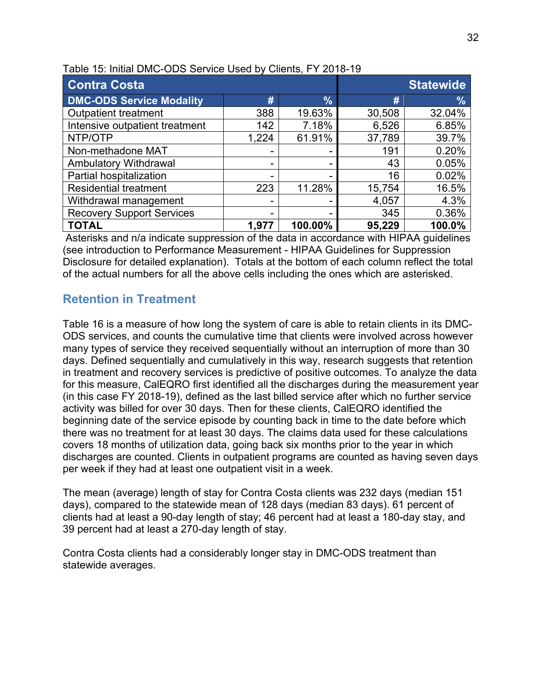| <b>Contra Costa</b>              |       | <b>Statewide</b> |        |               |
|----------------------------------|-------|------------------|--------|---------------|
| <b>DMC-ODS Service Modality</b>  | #     | $\frac{9}{6}$    | #      | $\frac{9}{6}$ |
| <b>Outpatient treatment</b>      | 388   | 19.63%           | 30,508 | 32.04%        |
| Intensive outpatient treatment   | 142   | 7.18%            | 6,526  | 6.85%         |
| NTP/OTP                          | 1,224 | 61.91%           | 37,789 | 39.7%         |
| Non-methadone MAT                | -     |                  | 191    | 0.20%         |
| Ambulatory Withdrawal            | -     |                  | 43     | 0.05%         |
| Partial hospitalization          | -     |                  | 16     | 0.02%         |
| <b>Residential treatment</b>     | 223   | 11.28%           | 15,754 | 16.5%         |
| Withdrawal management            | ۰     |                  | 4,057  | 4.3%          |
| <b>Recovery Support Services</b> | -     |                  | 345    | 0.36%         |
| <b>TOTAL</b>                     | 1,977 | 100.00%          | 95,229 | 100.0%        |

Table 15: Initial DMC-ODS Service Used by Clients, FY 2018-19

Asterisks and n/a indicate suppression of the data in accordance with HIPAA guidelines (see introduction to Performance Measurement - HIPAA Guidelines for Suppression Disclosure for detailed explanation). Totals at the bottom of each column reflect the total of the actual numbers for all the above cells including the ones which are asterisked.

### **Retention in Treatment**

Table 16 is a measure of how long the system of care is able to retain clients in its DMC-ODS services, and counts the cumulative time that clients were involved across however many types of service they received sequentially without an interruption of more than 30 days. Defined sequentially and cumulatively in this way, research suggests that retention in treatment and recovery services is predictive of positive outcomes. To analyze the data for this measure, CalEQRO first identified all the discharges during the measurement year (in this case FY 2018-19), defined as the last billed service after which no further service activity was billed for over 30 days. Then for these clients, CalEQRO identified the beginning date of the service episode by counting back in time to the date before which there was no treatment for at least 30 days. The claims data used for these calculations covers 18 months of utilization data, going back six months prior to the year in which discharges are counted. Clients in outpatient programs are counted as having seven days per week if they had at least one outpatient visit in a week.

The mean (average) length of stay for Contra Costa clients was 232 days (median 151 days), compared to the statewide mean of 128 days (median 83 days). 61 percent of clients had at least a 90-day length of stay; 46 percent had at least a 180-day stay, and 39 percent had at least a 270-day length of stay.

Contra Costa clients had a considerably longer stay in DMC-ODS treatment than statewide averages.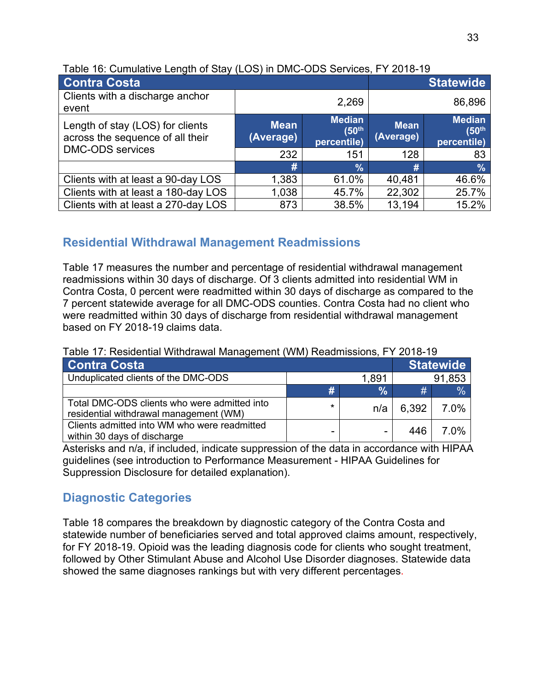| Contra Costa                                                         |                          | <b>Statewide</b>                                  |                          |                                                   |
|----------------------------------------------------------------------|--------------------------|---------------------------------------------------|--------------------------|---------------------------------------------------|
| Clients with a discharge anchor<br>event                             |                          | 2,269                                             |                          | 86,896                                            |
| Length of stay (LOS) for clients<br>across the sequence of all their | <b>Mean</b><br>(Average) | <b>Median</b><br>(50 <sup>th</sup><br>percentile) | <b>Mean</b><br>(Average) | <b>Median</b><br>$(50^{\text{th}}$<br>percentile) |
| <b>DMC-ODS</b> services                                              | 232                      | 151                                               | 128                      | 83                                                |
|                                                                      | #                        | $\frac{1}{2}$                                     | #                        | $\frac{9}{6}$                                     |
| Clients with at least a 90-day LOS                                   | 1,383                    | 61.0%                                             | 40,481                   | 46.6%                                             |
| Clients with at least a 180-day LOS                                  | 1,038                    | 45.7%                                             | 22,302                   | 25.7%                                             |
| Clients with at least a 270-day LOS                                  | 873                      | 38.5%                                             | 13,194                   | 15.2%                                             |

### **Residential Withdrawal Management Readmissions**

Table 17 measures the number and percentage of residential withdrawal management readmissions within 30 days of discharge. Of 3 clients admitted into residential WM in Contra Costa, 0 percent were readmitted within 30 days of discharge as compared to the 7 percent statewide average for all DMC-ODS counties. Contra Costa had no client who were readmitted within 30 days of discharge from residential withdrawal management based on FY 2018-19 claims data.

| <b>Contra Costa</b>                                                                    |         |               |       | <b>Statewide</b> |
|----------------------------------------------------------------------------------------|---------|---------------|-------|------------------|
| Unduplicated clients of the DMC-ODS                                                    |         | 1,891         |       | 91,853           |
|                                                                                        | #       | $\frac{1}{2}$ | #     | $\%$             |
| Total DMC-ODS clients who were admitted into<br>residential withdrawal management (WM) | $\star$ | n/a           | 6,392 | 7.0%             |
| Clients admitted into WM who were readmitted<br>within 30 days of discharge            |         |               | 446   | 7.0%             |

Table 17: Residential Withdrawal Management (WM) Readmissions, FY 2018-19

Asterisks and n/a, if included, indicate suppression of the data in accordance with HIPAA guidelines (see introduction to Performance Measurement - HIPAA Guidelines for Suppression Disclosure for detailed explanation).

## **Diagnostic Categories**

Table 18 compares the breakdown by diagnostic category of the Contra Costa and statewide number of beneficiaries served and total approved claims amount, respectively, for FY 2018-19. Opioid was the leading diagnosis code for clients who sought treatment, followed by Other Stimulant Abuse and Alcohol Use Disorder diagnoses. Statewide data showed the same diagnoses rankings but with very different percentages.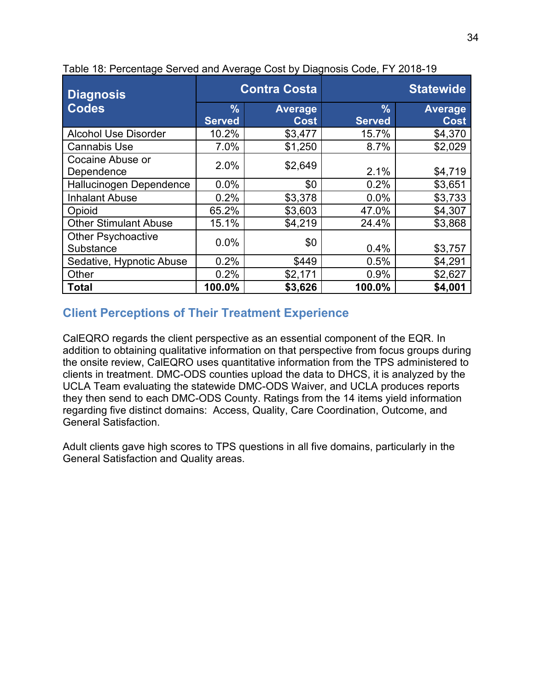| <b>Diagnosis</b>                       | <b>Contra Costa</b>            |                               | <b>Statewide</b>               |                               |  |
|----------------------------------------|--------------------------------|-------------------------------|--------------------------------|-------------------------------|--|
| <b>Codes</b>                           | $\frac{9}{6}$<br><b>Served</b> | <b>Average</b><br><b>Cost</b> | $\frac{9}{6}$<br><b>Served</b> | <b>Average</b><br><b>Cost</b> |  |
| <b>Alcohol Use Disorder</b>            | 10.2%                          | \$3,477                       | 15.7%                          | \$4,370                       |  |
| <b>Cannabis Use</b>                    | 7.0%                           | \$1,250                       | 8.7%                           | \$2,029                       |  |
| Cocaine Abuse or<br>Dependence         | 2.0%                           | \$2,649                       | 2.1%                           | \$4,719                       |  |
| Hallucinogen Dependence                | 0.0%                           | \$0                           | 0.2%                           | \$3,651                       |  |
| <b>Inhalant Abuse</b>                  | 0.2%                           | \$3,378                       | 0.0%                           | \$3,733                       |  |
| Opioid                                 | 65.2%                          | \$3,603                       | 47.0%                          | \$4,307                       |  |
| <b>Other Stimulant Abuse</b>           | 15.1%                          | \$4,219                       | 24.4%                          | \$3,868                       |  |
| <b>Other Psychoactive</b><br>Substance | 0.0%                           | \$0                           | 0.4%                           | \$3,757                       |  |
| Sedative, Hypnotic Abuse               | 0.2%                           | \$449                         | 0.5%                           | \$4,291                       |  |
| Other                                  | 0.2%                           | \$2,171                       | 0.9%                           | \$2,627                       |  |
| <b>Total</b>                           | 100.0%                         | \$3,626                       | 100.0%                         | \$4,001                       |  |

Table 18: Percentage Served and Average Cost by Diagnosis Code, FY 2018-19

### **Client Perceptions of Their Treatment Experience**

CalEQRO regards the client perspective as an essential component of the EQR. In addition to obtaining qualitative information on that perspective from focus groups during the onsite review, CalEQRO uses quantitative information from the TPS administered to clients in treatment. DMC-ODS counties upload the data to DHCS, it is analyzed by the UCLA Team evaluating the statewide DMC-ODS Waiver, and UCLA produces reports they then send to each DMC-ODS County. Ratings from the 14 items yield information regarding five distinct domains: Access, Quality, Care Coordination, Outcome, and General Satisfaction.

Adult clients gave high scores to TPS questions in all five domains, particularly in the General Satisfaction and Quality areas.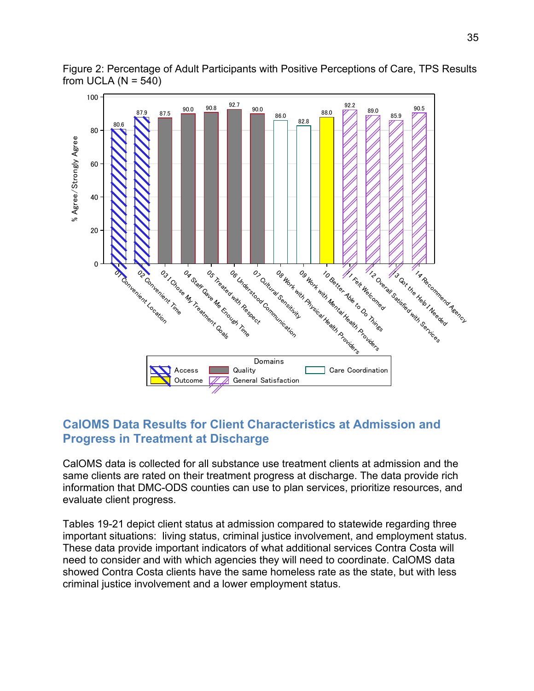

Figure 2: Percentage of Adult Participants with Positive Perceptions of Care, TPS Results from UCLA  $(N = 540)$ 

### **CalOMS Data Results for Client Characteristics at Admission and Progress in Treatment at Discharge**

CalOMS data is collected for all substance use treatment clients at admission and the same clients are rated on their treatment progress at discharge. The data provide rich information that DMC-ODS counties can use to plan services, prioritize resources, and evaluate client progress.

Tables 19-21 depict client status at admission compared to statewide regarding three important situations: living status, criminal justice involvement, and employment status. These data provide important indicators of what additional services Contra Costa will need to consider and with which agencies they will need to coordinate. CalOMS data showed Contra Costa clients have the same homeless rate as the state, but with less criminal justice involvement and a lower employment status.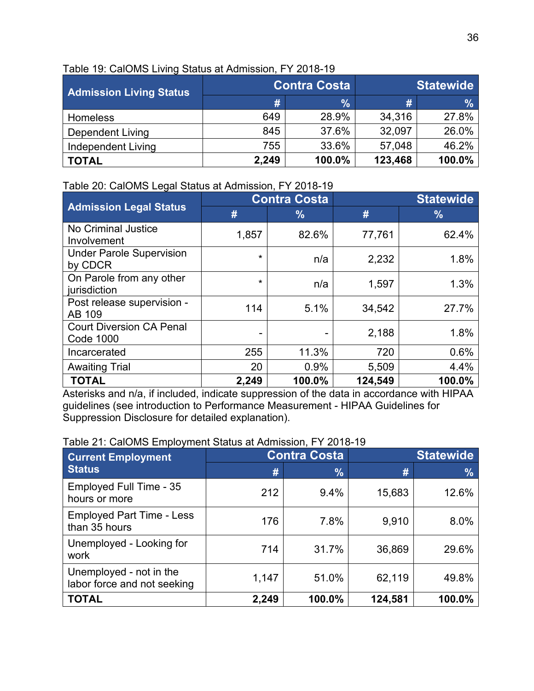| <b>Admission Living Status</b> |       | <b>Contra Costa</b> | <b>Statewide</b> |        |  |
|--------------------------------|-------|---------------------|------------------|--------|--|
|                                | #     | $\frac{0}{0}$       | #                | $\%$   |  |
| <b>Homeless</b>                | 649   | 28.9%               | 34,316           | 27.8%  |  |
| <b>Dependent Living</b>        | 845   | 37.6%               | 32,097           | 26.0%  |  |
| Independent Living             | 755   | 33.6%               | 57,048           | 46.2%  |  |
| <b>TOTAL</b>                   | 2,249 | 100.0%              | 123,468          | 100.0% |  |

#### Table 19: CalOMS Living Status at Admission, FY 2018-19

#### Table 20: CalOMS Legal Status at Admission, FY 2018-19

|                                                     | <b>Contra Costa</b> |               | <b>Statewide</b> |               |  |
|-----------------------------------------------------|---------------------|---------------|------------------|---------------|--|
| <b>Admission Legal Status</b>                       | #                   | $\frac{9}{6}$ | #                | $\frac{9}{6}$ |  |
| <b>No Criminal Justice</b><br>Involvement           | 1,857               | 82.6%         | 77,761           | 62.4%         |  |
| <b>Under Parole Supervision</b><br>by CDCR          | $\star$             | n/a           | 2,232            | 1.8%          |  |
| On Parole from any other<br>jurisdiction            | $\star$             | n/a           | 1,597            | 1.3%          |  |
| Post release supervision -<br>AB 109                | 114                 | 5.1%          | 34,542           | 27.7%         |  |
| <b>Court Diversion CA Penal</b><br><b>Code 1000</b> | -                   |               | 2,188            | 1.8%          |  |
| Incarcerated                                        | 255                 | 11.3%         | 720              | 0.6%          |  |
| <b>Awaiting Trial</b>                               | 20                  | 0.9%          | 5,509            | 4.4%          |  |
| <b>TOTAL</b>                                        | 2,249               | 100.0%        | 124,549          | 100.0%        |  |

Asterisks and n/a, if included, indicate suppression of the data in accordance with HIPAA guidelines (see introduction to Performance Measurement - HIPAA Guidelines for Suppression Disclosure for detailed explanation).

#### Table 21: CalOMS Employment Status at Admission, FY 2018-19

| <b>Current Employment</b>                              |       | <b>Contra Costa</b> | <b>Statewide</b> |               |
|--------------------------------------------------------|-------|---------------------|------------------|---------------|
| <b>Status</b>                                          | #     | $\frac{9}{6}$       | #                | $\frac{9}{6}$ |
| Employed Full Time - 35<br>hours or more               | 212   | 9.4%                | 15,683           | 12.6%         |
| <b>Employed Part Time - Less</b><br>than 35 hours      | 176   | 7.8%                | 9,910            | 8.0%          |
| Unemployed - Looking for<br>work                       | 714   | 31.7%               | 36,869           | 29.6%         |
| Unemployed - not in the<br>labor force and not seeking | 1,147 | 51.0%               | 62,119           | 49.8%         |
| <b>TOTAL</b>                                           | 2,249 | 100.0%              | 124,581          | 100.0%        |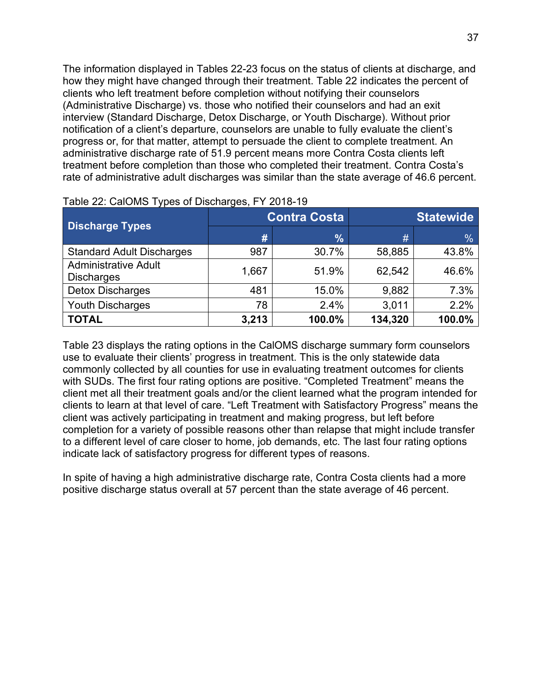The information displayed in Tables 22-23 focus on the status of clients at discharge, and how they might have changed through their treatment. Table 22 indicates the percent of clients who left treatment before completion without notifying their counselors (Administrative Discharge) vs. those who notified their counselors and had an exit interview (Standard Discharge, Detox Discharge, or Youth Discharge). Without prior notification of a client's departure, counselors are unable to fully evaluate the client's progress or, for that matter, attempt to persuade the client to complete treatment. An administrative discharge rate of 51.9 percent means more Contra Costa clients left treatment before completion than those who completed their treatment. Contra Costa's rate of administrative adult discharges was similar than the state average of 46.6 percent.

| <b>Discharge Types</b>                           |       | <b>Contra Costa</b> | <b>Statewide</b> |               |  |
|--------------------------------------------------|-------|---------------------|------------------|---------------|--|
|                                                  | #     | $\frac{9}{6}$       | #                | $\frac{0}{0}$ |  |
| <b>Standard Adult Discharges</b>                 | 987   | 30.7%               | 58,885           | 43.8%         |  |
| <b>Administrative Adult</b><br><b>Discharges</b> | 1,667 | 51.9%               | 62,542           | 46.6%         |  |
| <b>Detox Discharges</b>                          | 481   | 15.0%               | 9,882            | 7.3%          |  |
| <b>Youth Discharges</b>                          | 78    | 2.4%                | 3,011            | 2.2%          |  |
| <b>TOTAL</b>                                     | 3,213 | 100.0%              | 134,320          | 100.0%        |  |

|  | Table 22: CalOMS Types of Discharges, FY 2018-19 |  |
|--|--------------------------------------------------|--|
|--|--------------------------------------------------|--|

Table 23 displays the rating options in the CalOMS discharge summary form counselors use to evaluate their clients' progress in treatment. This is the only statewide data commonly collected by all counties for use in evaluating treatment outcomes for clients with SUDs. The first four rating options are positive. "Completed Treatment" means the client met all their treatment goals and/or the client learned what the program intended for clients to learn at that level of care. "Left Treatment with Satisfactory Progress" means the client was actively participating in treatment and making progress, but left before completion for a variety of possible reasons other than relapse that might include transfer to a different level of care closer to home, job demands, etc. The last four rating options indicate lack of satisfactory progress for different types of reasons.

In spite of having a high administrative discharge rate, Contra Costa clients had a more positive discharge status overall at 57 percent than the state average of 46 percent.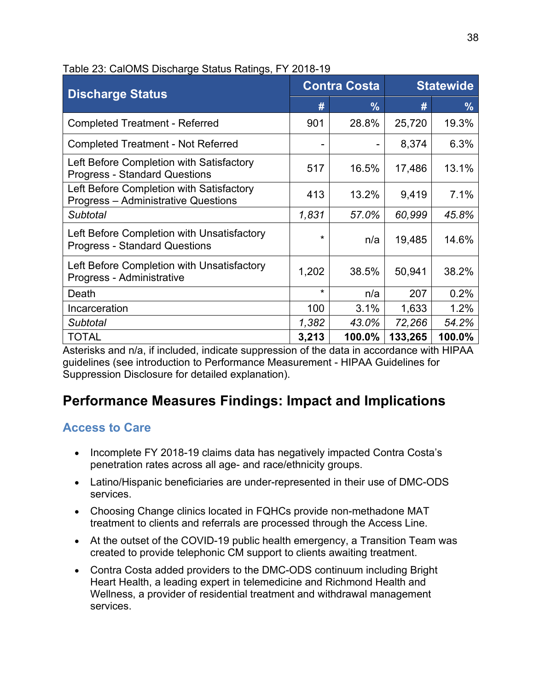| <b>Discharge Status</b>                                                                |         | <b>Contra Costa</b> |         | <b>Statewide</b> |  |
|----------------------------------------------------------------------------------------|---------|---------------------|---------|------------------|--|
|                                                                                        | #       | $\frac{9}{6}$       | #       | $\frac{9}{6}$    |  |
| <b>Completed Treatment - Referred</b>                                                  | 901     | 28.8%               | 25,720  | 19.3%            |  |
| <b>Completed Treatment - Not Referred</b>                                              |         | -                   | 8,374   | 6.3%             |  |
| Left Before Completion with Satisfactory<br><b>Progress - Standard Questions</b>       | 517     | 16.5%               | 17,486  | 13.1%            |  |
| Left Before Completion with Satisfactory<br><b>Progress - Administrative Questions</b> | 413     | 13.2%               | 9,419   | 7.1%             |  |
| <b>Subtotal</b>                                                                        | 1,831   | 57.0%               | 60,999  | 45.8%            |  |
| Left Before Completion with Unsatisfactory<br><b>Progress - Standard Questions</b>     | $\star$ | n/a                 | 19,485  | 14.6%            |  |
| Left Before Completion with Unsatisfactory<br>Progress - Administrative                | 1,202   | 38.5%               | 50,941  | 38.2%            |  |
| Death                                                                                  | $\star$ | n/a                 | 207     | 0.2%             |  |
| Incarceration                                                                          | 100     | 3.1%                | 1,633   | 1.2%             |  |
| <b>Subtotal</b>                                                                        | 1,382   | 43.0%               | 72,266  | 54.2%            |  |
| <b>TOTAL</b>                                                                           | 3,213   | 100.0%              | 133,265 | 100.0%           |  |

#### Table 23: CalOMS Discharge Status Ratings, FY 2018-19

Asterisks and n/a, if included, indicate suppression of the data in accordance with HIPAA guidelines (see introduction to Performance Measurement - HIPAA Guidelines for Suppression Disclosure for detailed explanation).

# **Performance Measures Findings: Impact and Implications**

### **Access to Care**

- Incomplete FY 2018-19 claims data has negatively impacted Contra Costa's penetration rates across all age- and race/ethnicity groups.
- Latino/Hispanic beneficiaries are under-represented in their use of DMC-ODS services.
- Choosing Change clinics located in FQHCs provide non-methadone MAT treatment to clients and referrals are processed through the Access Line.
- At the outset of the COVID-19 public health emergency, a Transition Team was created to provide telephonic CM support to clients awaiting treatment.
- Contra Costa added providers to the DMC-ODS continuum including Bright Heart Health, a leading expert in telemedicine and Richmond Health and Wellness, a provider of residential treatment and withdrawal management services.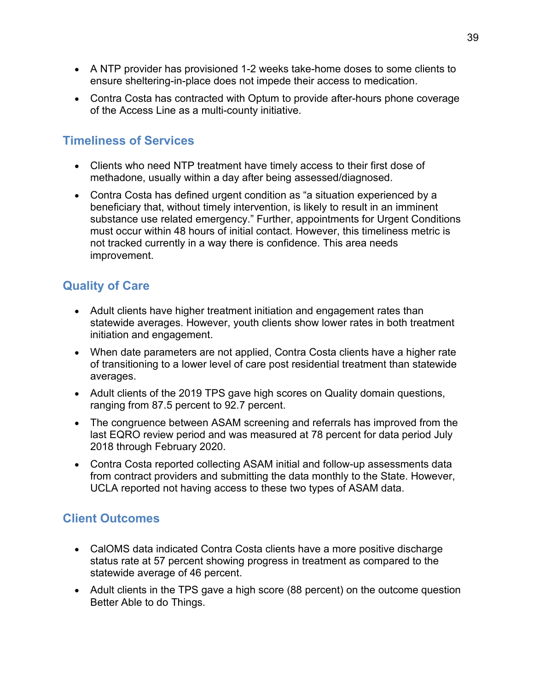- A NTP provider has provisioned 1-2 weeks take-home doses to some clients to ensure sheltering-in-place does not impede their access to medication.
- Contra Costa has contracted with Optum to provide after-hours phone coverage of the Access Line as a multi-county initiative.

## **Timeliness of Services**

- Clients who need NTP treatment have timely access to their first dose of methadone, usually within a day after being assessed/diagnosed.
- Contra Costa has defined urgent condition as "a situation experienced by a beneficiary that, without timely intervention, is likely to result in an imminent substance use related emergency." Further, appointments for Urgent Conditions must occur within 48 hours of initial contact. However, this timeliness metric is not tracked currently in a way there is confidence. This area needs improvement.

## **Quality of Care**

- Adult clients have higher treatment initiation and engagement rates than statewide averages. However, youth clients show lower rates in both treatment initiation and engagement.
- When date parameters are not applied, Contra Costa clients have a higher rate of transitioning to a lower level of care post residential treatment than statewide averages.
- Adult clients of the 2019 TPS gave high scores on Quality domain questions, ranging from 87.5 percent to 92.7 percent.
- The congruence between ASAM screening and referrals has improved from the last EQRO review period and was measured at 78 percent for data period July 2018 through February 2020.
- Contra Costa reported collecting ASAM initial and follow-up assessments data from contract providers and submitting the data monthly to the State. However, UCLA reported not having access to these two types of ASAM data.

### **Client Outcomes**

- CalOMS data indicated Contra Costa clients have a more positive discharge status rate at 57 percent showing progress in treatment as compared to the statewide average of 46 percent.
- Adult clients in the TPS gave a high score (88 percent) on the outcome question Better Able to do Things.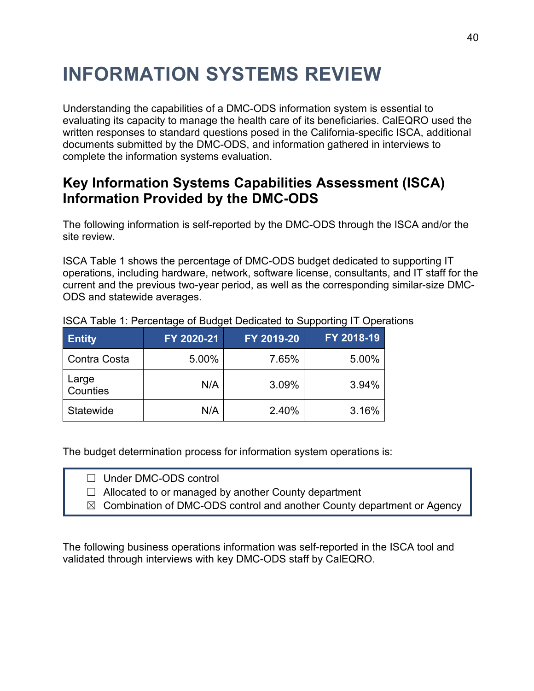# **INFORMATION SYSTEMS REVIEW**

Understanding the capabilities of a DMC-ODS information system is essential to evaluating its capacity to manage the health care of its beneficiaries. CalEQRO used the written responses to standard questions posed in the California-specific ISCA, additional documents submitted by the DMC-ODS, and information gathered in interviews to complete the information systems evaluation.

## **Key Information Systems Capabilities Assessment (ISCA) Information Provided by the DMC-ODS**

The following information is self-reported by the DMC-ODS through the ISCA and/or the site review.

ISCA Table 1 shows the percentage of DMC-ODS budget dedicated to supporting IT operations, including hardware, network, software license, consultants, and IT staff for the current and the previous two-year period, as well as the corresponding similar-size DMC-ODS and statewide averages.

| <b>Entity</b>     | FY 2020-21 | FY 2019-20 | FY 2018-19 |
|-------------------|------------|------------|------------|
| Contra Costa      | 5.00%      | 7.65%      | 5.00%      |
| Large<br>Counties | N/A        | 3.09%      | 3.94%      |
| Statewide         | N/A        | 2.40%      | 3.16%      |

### ISCA Table 1: Percentage of Budget Dedicated to Supporting IT Operations

The budget determination process for information system operations is:

 $\Box$  Allocated to or managed by another County department

☒ Combination of DMC-ODS control and another County department or Agency

The following business operations information was self-reported in the ISCA tool and validated through interviews with key DMC-ODS staff by CalEQRO.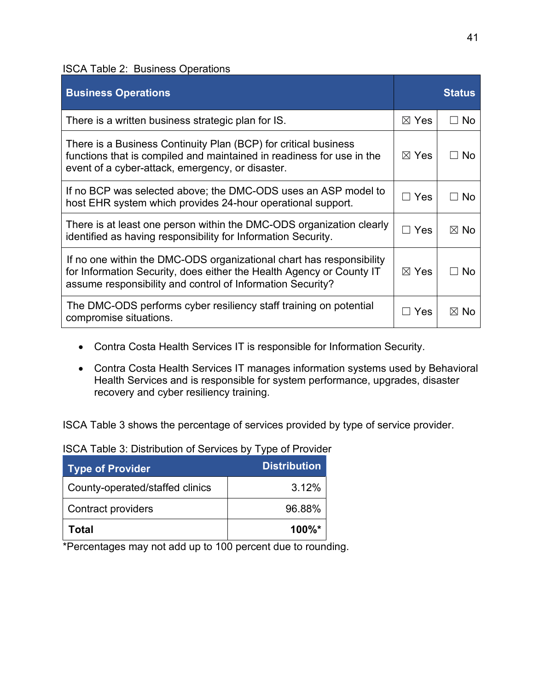ISCA Table 2: Business Operations

| <b>Business Operations</b>                                                                                                                                                                                 |                 | <b>Status</b>  |
|------------------------------------------------------------------------------------------------------------------------------------------------------------------------------------------------------------|-----------------|----------------|
| There is a written business strategic plan for IS.                                                                                                                                                         | $\boxtimes$ Yes | <b>No</b>      |
| There is a Business Continuity Plan (BCP) for critical business<br>functions that is compiled and maintained in readiness for use in the<br>event of a cyber-attack, emergency, or disaster.               | $\boxtimes$ Yes | No.            |
| If no BCP was selected above; the DMC-ODS uses an ASP model to<br>host EHR system which provides 24-hour operational support.                                                                              | $\sqsupset$ Yes | No.            |
| There is at least one person within the DMC-ODS organization clearly<br>identified as having responsibility for Information Security.                                                                      | $\Box$ Yes      | $\boxtimes$ No |
| If no one within the DMC-ODS organizational chart has responsibility<br>for Information Security, does either the Health Agency or County IT<br>assume responsibility and control of Information Security? | $\boxtimes$ Yes | No             |
| The DMC-ODS performs cyber resiliency staff training on potential<br>compromise situations.                                                                                                                | Yes             | $\boxtimes$ No |

- Contra Costa Health Services IT is responsible for Information Security.
- Contra Costa Health Services IT manages information systems used by Behavioral Health Services and is responsible for system performance, upgrades, disaster recovery and cyber resiliency training.

ISCA Table 3 shows the percentage of services provided by type of service provider.

ISCA Table 3: Distribution of Services by Type of Provider

| <b>Type of Provider</b>         | <b>Distribution</b> |
|---------------------------------|---------------------|
| County-operated/staffed clinics | 3.12%               |
| <b>Contract providers</b>       | 96.88%              |
| Total                           | 100%*               |

\*Percentages may not add up to 100 percent due to rounding.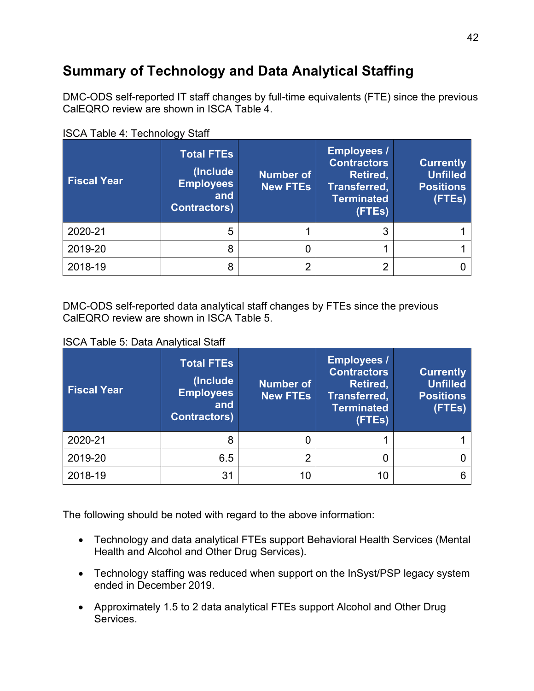# **Summary of Technology and Data Analytical Staffing**

DMC-ODS self-reported IT staff changes by full-time equivalents (FTE) since the previous CalEQRO review are shown in ISCA Table 4.

| <b>Fiscal Year</b> | <b>Total FTEs</b><br>(Include<br><b>Employees</b><br>and<br><b>Contractors</b> ) | <b>Number of</b><br><b>New FTEs</b> | <b>Employees /</b><br><b>Contractors</b><br>Retired,<br>Transferred,<br><b>Terminated</b><br>(FTEs) | <b>Currently</b><br><b>Unfilled</b><br><b>Positions</b><br>(FTEs) |
|--------------------|----------------------------------------------------------------------------------|-------------------------------------|-----------------------------------------------------------------------------------------------------|-------------------------------------------------------------------|
| 2020-21            | 5                                                                                |                                     | 3                                                                                                   |                                                                   |
| 2019-20            | 8                                                                                | 0                                   |                                                                                                     |                                                                   |
| 2018-19            | 8                                                                                | 2                                   | ∩                                                                                                   |                                                                   |

ISCA Table 4: Technology Staff

DMC-ODS self-reported data analytical staff changes by FTEs since the previous CalEQRO review are shown in ISCA Table 5.

ISCA Table 5: Data Analytical Staff

| <b>Fiscal Year</b> | <b>Total FTEs</b><br>(Include<br><b>Employees</b><br>and<br><b>Contractors</b> ) | <b>Number of</b><br><b>New FTEs</b> | <b>Employees /</b><br><b>Contractors</b><br>Retired,<br>Transferred,<br><b>Terminated</b><br>(FTEs) | <b>Currently</b><br><b>Unfilled</b><br><b>Positions</b><br>(FTEs) |
|--------------------|----------------------------------------------------------------------------------|-------------------------------------|-----------------------------------------------------------------------------------------------------|-------------------------------------------------------------------|
| 2020-21            | 8                                                                                |                                     |                                                                                                     |                                                                   |
| 2019-20            | 6.5                                                                              | റ                                   |                                                                                                     |                                                                   |
| 2018-19            | 31                                                                               | 10                                  | 10                                                                                                  |                                                                   |

The following should be noted with regard to the above information:

- Technology and data analytical FTEs support Behavioral Health Services (Mental Health and Alcohol and Other Drug Services).
- Technology staffing was reduced when support on the InSyst/PSP legacy system ended in December 2019.
- Approximately 1.5 to 2 data analytical FTEs support Alcohol and Other Drug Services.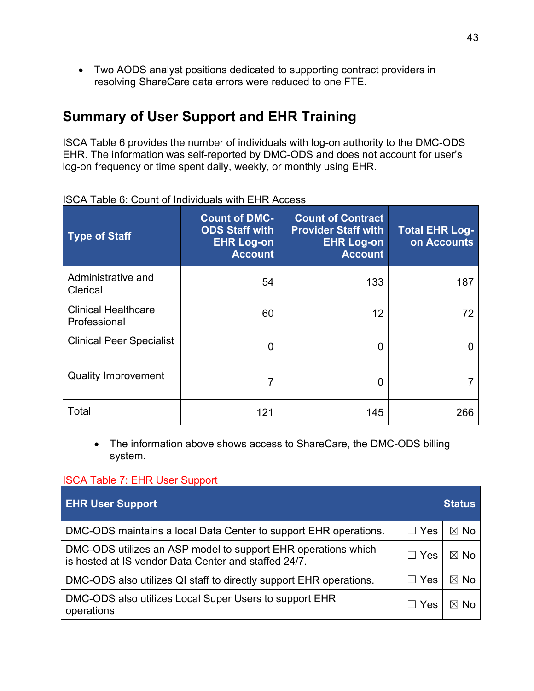• Two AODS analyst positions dedicated to supporting contract providers in resolving ShareCare data errors were reduced to one FTE.

## **Summary of User Support and EHR Training**

ISCA Table 6 provides the number of individuals with log-on authority to the DMC-ODS EHR. The information was self-reported by DMC-ODS and does not account for user's log-on frequency or time spent daily, weekly, or monthly using EHR.

| <b>Type of Staff</b>                       | <b>Count of DMC-</b><br><b>ODS Staff with</b><br><b>EHR Log-on</b><br><b>Account</b> | <b>Count of Contract</b><br><b>Provider Staff with</b><br><b>EHR Log-on</b><br><b>Account</b> | <b>Total EHR Log-</b><br>on Accounts |
|--------------------------------------------|--------------------------------------------------------------------------------------|-----------------------------------------------------------------------------------------------|--------------------------------------|
| Administrative and<br>Clerical             | 54                                                                                   | 133                                                                                           | 187                                  |
| <b>Clinical Healthcare</b><br>Professional | 60                                                                                   | 12                                                                                            | 72                                   |
| <b>Clinical Peer Specialist</b>            | <sup>0</sup>                                                                         | 0                                                                                             |                                      |
| <b>Quality Improvement</b>                 |                                                                                      | 0                                                                                             |                                      |
| Total                                      | 121                                                                                  | 145                                                                                           | 266                                  |

ISCA Table 6: Count of Individuals with EHR Access

• The information above shows access to ShareCare, the DMC-ODS billing system.

#### ISCA Table 7: EHR User Support

| <b>EHR User Support</b>                                                                                               |                | <b>Status</b>  |
|-----------------------------------------------------------------------------------------------------------------------|----------------|----------------|
| DMC-ODS maintains a local Data Center to support EHR operations.                                                      | $\Box$ Yes     | $\boxtimes$ No |
| DMC-ODS utilizes an ASP model to support EHR operations which<br>is hosted at IS vendor Data Center and staffed 24/7. | $\Box$ Yes     | $\boxtimes$ No |
| DMC-ODS also utilizes QI staff to directly support EHR operations.                                                    | Yes<br>$\perp$ | $\boxtimes$ No |
| DMC-ODS also utilizes Local Super Users to support EHR<br>operations                                                  | $\Box$ Yes     | ⊠ No           |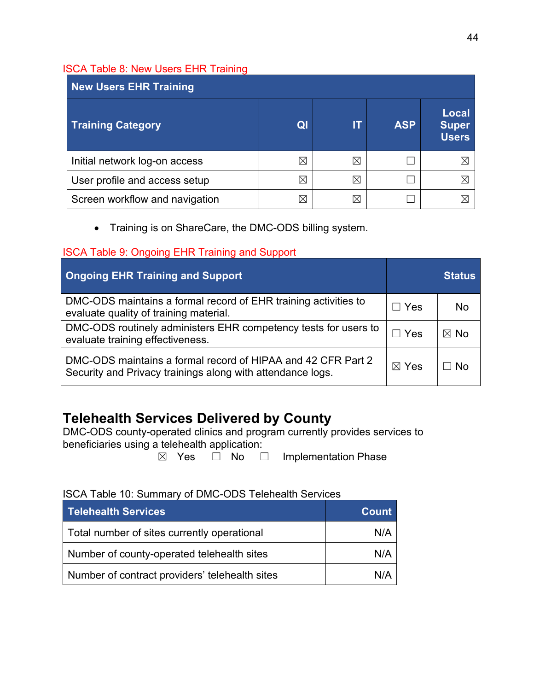### ISCA Table 8: New Users EHR Training

| <b>New Users EHR Training</b>  |                |   |            |                                       |  |
|--------------------------------|----------------|---|------------|---------------------------------------|--|
| <b>Training Category</b>       | Q <sub>l</sub> |   | <b>ASP</b> | Local<br><b>Super</b><br><b>Users</b> |  |
| Initial network log-on access  | $\boxtimes$    | ⋉ |            | ⋉                                     |  |
| User profile and access setup  | ⊠              | ⋉ |            |                                       |  |
| Screen workflow and navigation | $\boxtimes$    | ⋉ |            |                                       |  |

• Training is on ShareCare, the DMC-ODS billing system.

### ISCA Table 9: Ongoing EHR Training and Support

| <b>Ongoing EHR Training and Support</b>                                                                                    | <u>Status</u>   |                |  |
|----------------------------------------------------------------------------------------------------------------------------|-----------------|----------------|--|
| DMC-ODS maintains a formal record of EHR training activities to<br>evaluate quality of training material.                  | $\Box$ Yes      | No             |  |
| DMC-ODS routinely administers EHR competency tests for users to<br>evaluate training effectiveness.                        | $\Box$ Yes      | $\boxtimes$ No |  |
| DMC-ODS maintains a formal record of HIPAA and 42 CFR Part 2<br>Security and Privacy trainings along with attendance logs. | $\boxtimes$ Yes | ⊟ No           |  |

# **Telehealth Services Delivered by County**

DMC-ODS county-operated clinics and program currently provides services to beneficiaries using a telehealth application:

☒ Yes ☐ No ☐ Implementation Phase

### ISCA Table 10: Summary of DMC-ODS Telehealth Services

| <b>Telenealth Services</b>                     | <b>Count</b> |
|------------------------------------------------|--------------|
| Total number of sites currently operational    | N/A          |
| Number of county-operated telehealth sites     | N/A          |
| Number of contract providers' telehealth sites | N/A          |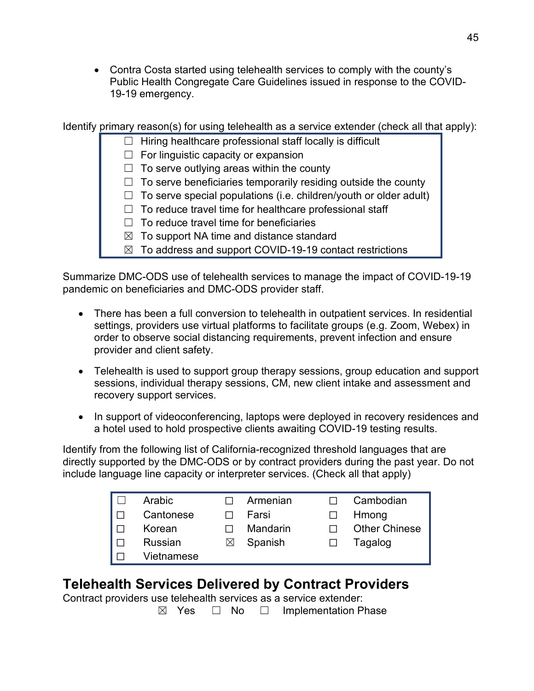• Contra Costa started using telehealth services to comply with the county's Public Health Congregate Care Guidelines issued in response to the COVID-19-19 emergency.

Identify primary reason(s) for using telehealth as a service extender (check all that apply):

- $\Box$  Hiring healthcare professional staff locally is difficult
	- $\Box$  For linguistic capacity or expansion
	- $\Box$  To serve outlying areas within the county
	- $\Box$  To serve beneficiaries temporarily residing outside the county
	- $\Box$  To serve special populations (i.e. children/youth or older adult)
	- $\Box$  To reduce travel time for healthcare professional staff
	- $\Box$  To reduce travel time for beneficiaries
	- $\boxtimes$  To support NA time and distance standard
	- $\boxtimes$  To address and support COVID-19-19 contact restrictions

Summarize DMC-ODS use of telehealth services to manage the impact of COVID-19-19 pandemic on beneficiaries and DMC-ODS provider staff.

- There has been a full conversion to telehealth in outpatient services. In residential settings, providers use virtual platforms to facilitate groups (e.g. Zoom, Webex) in order to observe social distancing requirements, prevent infection and ensure provider and client safety.
- Telehealth is used to support group therapy sessions, group education and support sessions, individual therapy sessions, CM, new client intake and assessment and recovery support services.
- In support of videoconferencing, laptops were deployed in recovery residences and a hotel used to hold prospective clients awaiting COVID-19 testing results.

Identify from the following list of California-recognized threshold languages that are directly supported by the DMC-ODS or by contract providers during the past year. Do not include language line capacity or interpreter services. (Check all that apply)

| Arabic     |           | Armenian | Cambodian            |
|------------|-----------|----------|----------------------|
| Cantonese  |           | Farsi    | Hmong                |
| Korean     |           | Mandarin | <b>Other Chinese</b> |
| Russian    | $\bowtie$ | Spanish  | Tagalog              |
| Vietnamese |           |          |                      |

## **Telehealth Services Delivered by Contract Providers**

Contract providers use telehealth services as a service extender:

 $\boxtimes$  Yes  $\Box$  No  $\Box$  Implementation Phase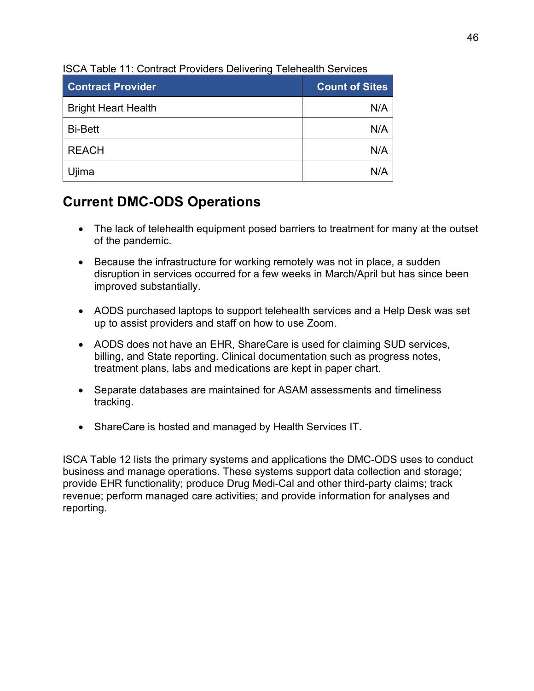| <b>Contract Provider</b>   | <b>Count of Sites</b> |
|----------------------------|-----------------------|
| <b>Bright Heart Health</b> | N/A                   |
| <b>Bi-Bett</b>             | N/A                   |
| <b>REACH</b>               | N/A                   |
| Ujima                      | N/A                   |

ISCA Table 11: Contract Providers Delivering Telehealth Services

## **Current DMC-ODS Operations**

- The lack of telehealth equipment posed barriers to treatment for many at the outset of the pandemic.
- Because the infrastructure for working remotely was not in place, a sudden disruption in services occurred for a few weeks in March/April but has since been improved substantially.
- AODS purchased laptops to support telehealth services and a Help Desk was set up to assist providers and staff on how to use Zoom.
- AODS does not have an EHR, ShareCare is used for claiming SUD services, billing, and State reporting. Clinical documentation such as progress notes, treatment plans, labs and medications are kept in paper chart.
- Separate databases are maintained for ASAM assessments and timeliness tracking.
- ShareCare is hosted and managed by Health Services IT.

ISCA Table 12 lists the primary systems and applications the DMC-ODS uses to conduct business and manage operations. These systems support data collection and storage; provide EHR functionality; produce Drug Medi-Cal and other third-party claims; track revenue; perform managed care activities; and provide information for analyses and reporting.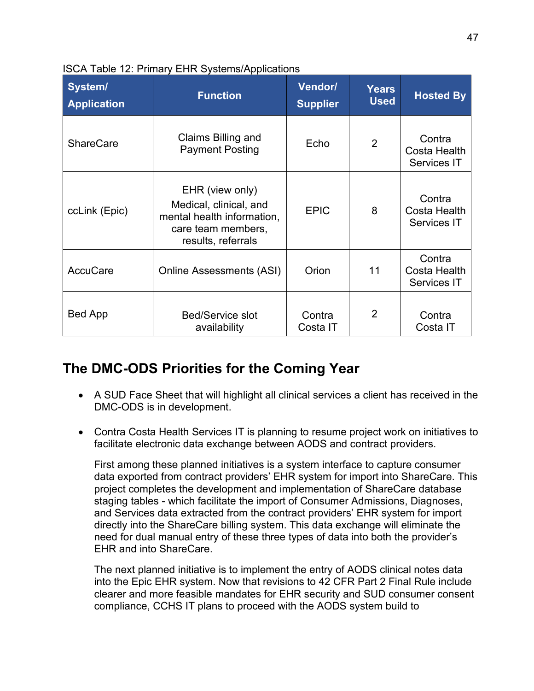| System/<br><b>Application</b>                             | <b>Function</b>                                                                                                     | <b>Vendor/</b><br><b>Supplier</b> | <b>Years</b><br><b>Used</b> | <b>Hosted By</b>                                    |
|-----------------------------------------------------------|---------------------------------------------------------------------------------------------------------------------|-----------------------------------|-----------------------------|-----------------------------------------------------|
| <b>ShareCare</b>                                          | Claims Billing and<br><b>Payment Posting</b>                                                                        | Echo                              | 2                           | Contra<br>Costa Health<br><b>Services IT</b>        |
| ccLink (Epic)                                             | EHR (view only)<br>Medical, clinical, and<br>mental health information,<br>care team members,<br>results, referrals | <b>EPIC</b>                       | 8                           | Contra<br><b>Costa Health</b><br>Services IT        |
| <b>AccuCare</b>                                           | <b>Online Assessments (ASI)</b>                                                                                     |                                   | 11                          | Contra<br><b>Costa Health</b><br><b>Services IT</b> |
| <b>Bed App</b><br><b>Bed/Service slot</b><br>availability |                                                                                                                     | Contra<br>Costa IT                | $\overline{2}$              | Contra<br>Costa IT                                  |

### ISCA Table 12: Primary EHR Systems/Applications

## **The DMC-ODS Priorities for the Coming Year**

- A SUD Face Sheet that will highlight all clinical services a client has received in the DMC-ODS is in development.
- Contra Costa Health Services IT is planning to resume project work on initiatives to facilitate electronic data exchange between AODS and contract providers.

First among these planned initiatives is a system interface to capture consumer data exported from contract providers' EHR system for import into ShareCare. This project completes the development and implementation of ShareCare database staging tables - which facilitate the import of Consumer Admissions, Diagnoses, and Services data extracted from the contract providers' EHR system for import directly into the ShareCare billing system. This data exchange will eliminate the need for dual manual entry of these three types of data into both the provider's EHR and into ShareCare.

The next planned initiative is to implement the entry of AODS clinical notes data into the Epic EHR system. Now that revisions to 42 CFR Part 2 Final Rule include clearer and more feasible mandates for EHR security and SUD consumer consent compliance, CCHS IT plans to proceed with the AODS system build to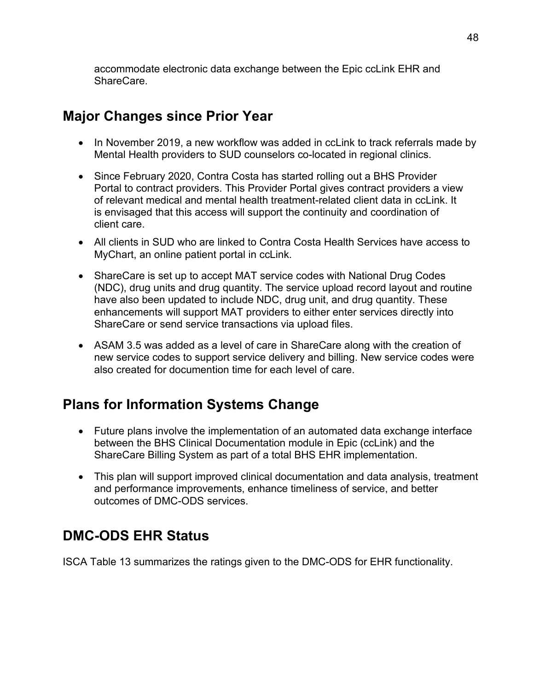accommodate electronic data exchange between the Epic ccLink EHR and ShareCare.

## **Major Changes since Prior Year**

- In November 2019, a new workflow was added in ccLink to track referrals made by Mental Health providers to SUD counselors co-located in regional clinics.
- Since February 2020, Contra Costa has started rolling out a BHS Provider Portal to contract providers. This Provider Portal gives contract providers a view of relevant medical and mental health treatment-related client data in ccLink. It is envisaged that this access will support the continuity and coordination of client care.
- All clients in SUD who are linked to Contra Costa Health Services have access to MyChart, an online patient portal in ccLink.
- ShareCare is set up to accept MAT service codes with National Drug Codes (NDC), drug units and drug quantity. The service upload record layout and routine have also been updated to include NDC, drug unit, and drug quantity. These enhancements will support MAT providers to either enter services directly into ShareCare or send service transactions via upload files.
- ASAM 3.5 was added as a level of care in ShareCare along with the creation of new service codes to support service delivery and billing. New service codes were also created for documention time for each level of care.

# **Plans for Information Systems Change**

- Future plans involve the implementation of an automated data exchange interface between the BHS Clinical Documentation module in Epic (ccLink) and the ShareCare Billing System as part of a total BHS EHR implementation.
- This plan will support improved clinical documentation and data analysis, treatment and performance improvements, enhance timeliness of service, and better outcomes of DMC-ODS services.

# **DMC-ODS EHR Status**

ISCA Table 13 summarizes the ratings given to the DMC-ODS for EHR functionality.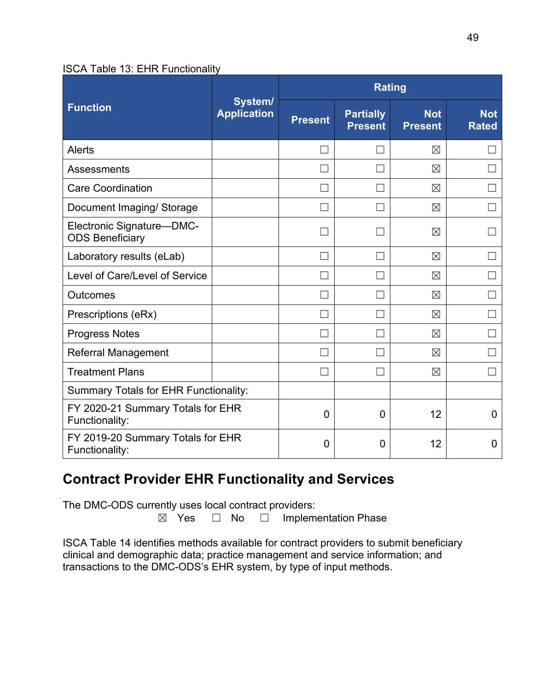#### ISCA Table 13: EHR Functionality

|                                                     |                               | <b>Rating</b>  |                                    |                              |                            |
|-----------------------------------------------------|-------------------------------|----------------|------------------------------------|------------------------------|----------------------------|
| <b>Function</b>                                     | System/<br><b>Application</b> | <b>Present</b> | <b>Partially</b><br><b>Present</b> | <b>Not</b><br><b>Present</b> | <b>Not</b><br><b>Rated</b> |
| Alerts                                              |                               |                | $\mathcal{A}$                      | $\boxtimes$                  |                            |
| Assessments                                         |                               |                |                                    | $\boxtimes$                  |                            |
| <b>Care Coordination</b>                            |                               |                |                                    | $\boxtimes$                  |                            |
| Document Imaging/ Storage                           |                               | r.             | П                                  | $\boxtimes$                  |                            |
| Electronic Signature-DMC-<br><b>ODS Beneficiary</b> |                               |                |                                    | $\boxtimes$                  |                            |
| Laboratory results (eLab)                           |                               |                |                                    | $\boxtimes$                  |                            |
| Level of Care/Level of Service                      |                               |                |                                    | $\boxtimes$                  |                            |
| Outcomes                                            |                               |                |                                    | $\boxtimes$                  |                            |
| Prescriptions (eRx)                                 |                               |                |                                    | $\boxtimes$                  |                            |
| <b>Progress Notes</b>                               |                               |                |                                    | $\times$                     |                            |
| <b>Referral Management</b>                          |                               | $\Box$         | ri i                               | $\boxtimes$                  |                            |
| <b>Treatment Plans</b>                              |                               | $\mathbf{L}$   | $\Box$                             | $\times$                     | $\mathbb{R}^n$             |
| <b>Summary Totals for EHR Functionality:</b>        |                               |                |                                    |                              |                            |
| FY 2020-21 Summary Totals for EHR<br>Functionality: |                               | $\Omega$       | $\overline{0}$                     | 12                           | 0                          |
| FY 2019-20 Summary Totals for EHR<br>Functionality: |                               | $\overline{0}$ | 0                                  | 12                           | 0                          |

## **Contract Provider EHR Functionality and Services**

The DMC-ODS currently uses local contract providers:<br> $\boxtimes$  Yes  $\Box$  No  $\Box$  Implement

Implementation Phase

ISCA Table 14 identifies methods available for contract providers to submit beneficiary clinical and demographic data; practice management and service information; and transactions to the DMC-ODS's EHR system, by type of input methods.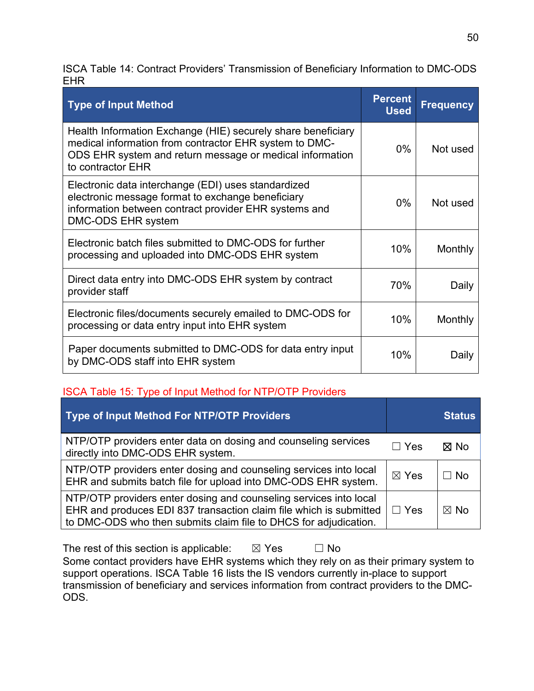ISCA Table 14: Contract Providers' Transmission of Beneficiary Information to DMC-ODS EHR

| <b>Type of Input Method</b>                                                                                                                                                                             | <b>Percent</b><br><b>Used</b> | <b>Frequency</b> |
|---------------------------------------------------------------------------------------------------------------------------------------------------------------------------------------------------------|-------------------------------|------------------|
| Health Information Exchange (HIE) securely share beneficiary<br>medical information from contractor EHR system to DMC-<br>ODS EHR system and return message or medical information<br>to contractor EHR | $0\%$                         | Not used         |
| Electronic data interchange (EDI) uses standardized<br>electronic message format to exchange beneficiary<br>information between contract provider EHR systems and<br>DMC-ODS EHR system                 | $0\%$                         | Not used         |
| Electronic batch files submitted to DMC-ODS for further<br>processing and uploaded into DMC-ODS EHR system                                                                                              | 10%                           | Monthly          |
| Direct data entry into DMC-ODS EHR system by contract<br>provider staff                                                                                                                                 | 70%                           | Daily            |
| Electronic files/documents securely emailed to DMC-ODS for<br>processing or data entry input into EHR system                                                                                            | 10%                           | Monthly          |
| Paper documents submitted to DMC-ODS for data entry input<br>by DMC-ODS staff into EHR system                                                                                                           | 10%                           | Daily            |

### ISCA Table 15: Type of Input Method for NTP/OTP Providers

| Type of Input Method For NTP/OTP Providers                                                                                                                                                                  |                 | <b>Status</b>  |
|-------------------------------------------------------------------------------------------------------------------------------------------------------------------------------------------------------------|-----------------|----------------|
| NTP/OTP providers enter data on dosing and counseling services<br>directly into DMC-ODS EHR system.                                                                                                         | $\Box$ Yes      | ⊠ No           |
| NTP/OTP providers enter dosing and counseling services into local<br>EHR and submits batch file for upload into DMC-ODS EHR system.                                                                         | $\boxtimes$ Yes | $\Box$ No      |
| NTP/OTP providers enter dosing and counseling services into local<br>EHR and produces EDI 837 transaction claim file which is submitted<br>to DMC-ODS who then submits claim file to DHCS for adjudication. | $\Box$ Yes      | $\boxtimes$ No |

The rest of this section is applicable:  $\boxtimes$  Yes  $\Box$  No Some contact providers have EHR systems which they rely on as their primary system to support operations. ISCA Table 16 lists the IS vendors currently in-place to support transmission of beneficiary and services information from contract providers to the DMC-ODS.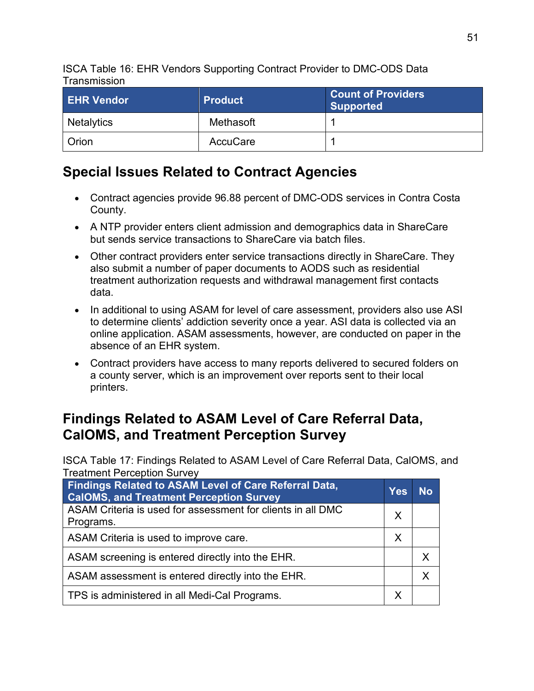ISCA Table 16: EHR Vendors Supporting Contract Provider to DMC-ODS Data **Transmission** 

| <b>EHR Vendor</b> | <b>Product</b> | <b>Count of Providers</b><br><b>Supported</b> |
|-------------------|----------------|-----------------------------------------------|
| <b>Netalytics</b> | Methasoft      |                                               |
| Orion             | AccuCare       |                                               |

## **Special Issues Related to Contract Agencies**

- Contract agencies provide 96.88 percent of DMC-ODS services in Contra Costa County.
- A NTP provider enters client admission and demographics data in ShareCare but sends service transactions to ShareCare via batch files.
- Other contract providers enter service transactions directly in ShareCare. They also submit a number of paper documents to AODS such as residential treatment authorization requests and withdrawal management first contacts data.
- In additional to using ASAM for level of care assessment, providers also use ASI to determine clients' addiction severity once a year. ASI data is collected via an online application. ASAM assessments, however, are conducted on paper in the absence of an EHR system.
- Contract providers have access to many reports delivered to secured folders on a county server, which is an improvement over reports sent to their local printers.

## **Findings Related to ASAM Level of Care Referral Data, CalOMS, and Treatment Perception Survey**

ISCA Table 17: Findings Related to ASAM Level of Care Referral Data, CalOMS, and Treatment Perception Survey

| Findings Related to ASAM Level of Care Referral Data,<br><b>CalOMS, and Treatment Perception Survey</b> | <b>Yes</b> | No. |
|---------------------------------------------------------------------------------------------------------|------------|-----|
| ASAM Criteria is used for assessment for clients in all DMC<br>Programs.                                | $\sf X$    |     |
| ASAM Criteria is used to improve care.                                                                  | X          |     |
| ASAM screening is entered directly into the EHR.                                                        |            |     |
| ASAM assessment is entered directly into the EHR.                                                       |            | x   |
| TPS is administered in all Medi-Cal Programs.                                                           | X          |     |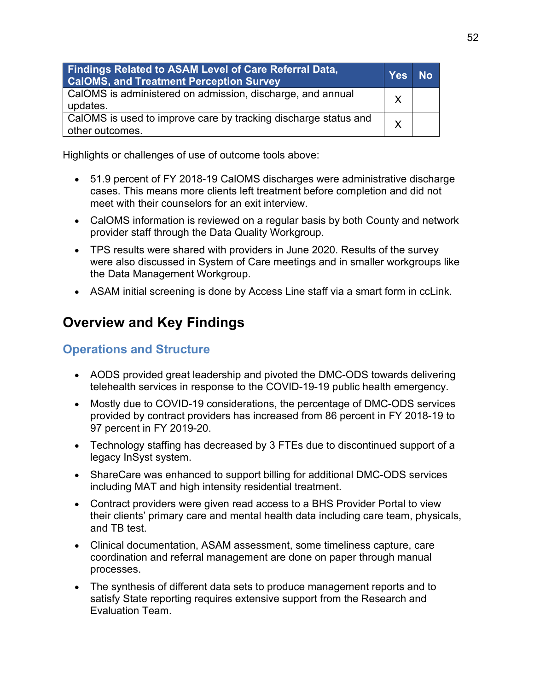| Findings Related to ASAM Level of Care Referral Data,<br><b>CalOMS, and Treatment Perception Survey</b> | <b>Yes</b> | No |
|---------------------------------------------------------------------------------------------------------|------------|----|
| CalOMS is administered on admission, discharge, and annual<br>updates.                                  | X          |    |
| CalOMS is used to improve care by tracking discharge status and<br>other outcomes.                      | X          |    |

Highlights or challenges of use of outcome tools above:

- 51.9 percent of FY 2018-19 CalOMS discharges were administrative discharge cases. This means more clients left treatment before completion and did not meet with their counselors for an exit interview.
- CalOMS information is reviewed on a regular basis by both County and network provider staff through the Data Quality Workgroup.
- TPS results were shared with providers in June 2020. Results of the survey were also discussed in System of Care meetings and in smaller workgroups like the Data Management Workgroup.
- ASAM initial screening is done by Access Line staff via a smart form in ccLink.

## **Overview and Key Findings**

## **Operations and Structure**

- AODS provided great leadership and pivoted the DMC-ODS towards delivering telehealth services in response to the COVID-19-19 public health emergency.
- Mostly due to COVID-19 considerations, the percentage of DMC-ODS services provided by contract providers has increased from 86 percent in FY 2018-19 to 97 percent in FY 2019-20.
- Technology staffing has decreased by 3 FTEs due to discontinued support of a legacy InSyst system.
- ShareCare was enhanced to support billing for additional DMC-ODS services including MAT and high intensity residential treatment.
- Contract providers were given read access to a BHS Provider Portal to view their clients' primary care and mental health data including care team, physicals, and TB test.
- Clinical documentation, ASAM assessment, some timeliness capture, care coordination and referral management are done on paper through manual processes.
- The synthesis of different data sets to produce management reports and to satisfy State reporting requires extensive support from the Research and Evaluation Team.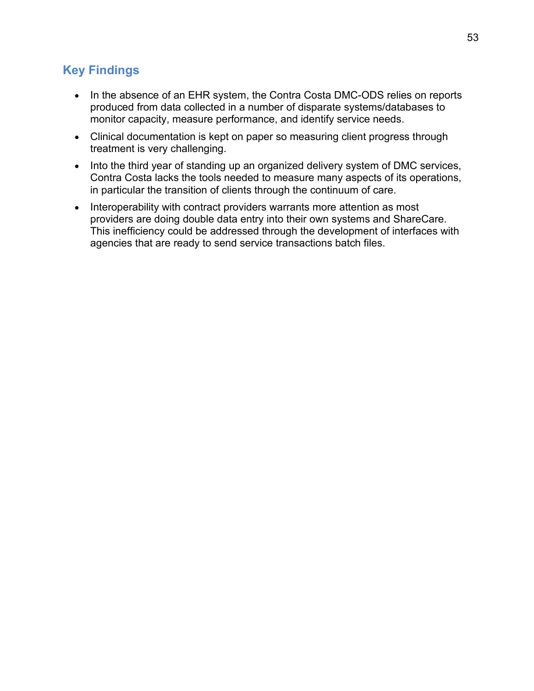## **Key Findings**

- In the absence of an EHR system, the Contra Costa DMC-ODS relies on reports produced from data collected in a number of disparate systems/databases to monitor capacity, measure performance, and identify service needs.
- Clinical documentation is kept on paper so measuring client progress through treatment is very challenging.
- Into the third year of standing up an organized delivery system of DMC services, Contra Costa lacks the tools needed to measure many aspects of its operations, in particular the transition of clients through the continuum of care.
- Interoperability with contract providers warrants more attention as most providers are doing double data entry into their own systems and ShareCare. This inefficiency could be addressed through the development of interfaces with agencies that are ready to send service transactions batch files.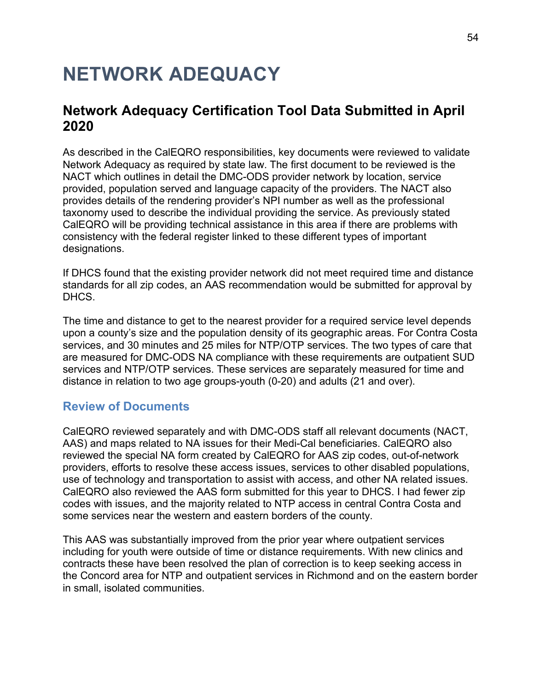# **NETWORK ADEQUACY**

## **Network Adequacy Certification Tool Data Submitted in April 2020**

As described in the CalEQRO responsibilities, key documents were reviewed to validate Network Adequacy as required by state law. The first document to be reviewed is the NACT which outlines in detail the DMC-ODS provider network by location, service provided, population served and language capacity of the providers. The NACT also provides details of the rendering provider's NPI number as well as the professional taxonomy used to describe the individual providing the service. As previously stated CalEQRO will be providing technical assistance in this area if there are problems with consistency with the federal register linked to these different types of important designations.

If DHCS found that the existing provider network did not meet required time and distance standards for all zip codes, an AAS recommendation would be submitted for approval by DHCS.

The time and distance to get to the nearest provider for a required service level depends upon a county's size and the population density of its geographic areas. For Contra Costa services, and 30 minutes and 25 miles for NTP/OTP services. The two types of care that are measured for DMC-ODS NA compliance with these requirements are outpatient SUD services and NTP/OTP services. These services are separately measured for time and distance in relation to two age groups-youth (0-20) and adults (21 and over).

### **Review of Documents**

CalEQRO reviewed separately and with DMC-ODS staff all relevant documents (NACT, AAS) and maps related to NA issues for their Medi-Cal beneficiaries. CalEQRO also reviewed the special NA form created by CalEQRO for AAS zip codes, out-of-network providers, efforts to resolve these access issues, services to other disabled populations, use of technology and transportation to assist with access, and other NA related issues. CalEQRO also reviewed the AAS form submitted for this year to DHCS. I had fewer zip codes with issues, and the majority related to NTP access in central Contra Costa and some services near the western and eastern borders of the county.

This AAS was substantially improved from the prior year where outpatient services including for youth were outside of time or distance requirements. With new clinics and contracts these have been resolved the plan of correction is to keep seeking access in the Concord area for NTP and outpatient services in Richmond and on the eastern border in small, isolated communities.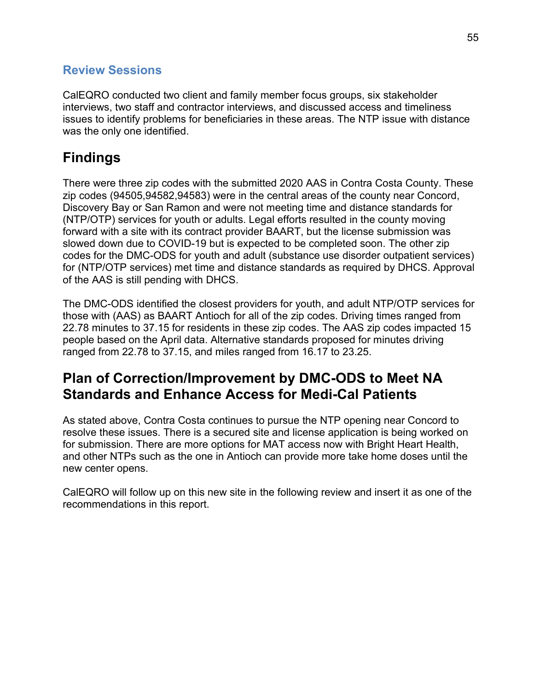### **Review Sessions**

CalEQRO conducted two client and family member focus groups, six stakeholder interviews, two staff and contractor interviews, and discussed access and timeliness issues to identify problems for beneficiaries in these areas. The NTP issue with distance was the only one identified.

# **Findings**

There were three zip codes with the submitted 2020 AAS in Contra Costa County. These zip codes (94505,94582,94583) were in the central areas of the county near Concord, Discovery Bay or San Ramon and were not meeting time and distance standards for (NTP/OTP) services for youth or adults. Legal efforts resulted in the county moving forward with a site with its contract provider BAART, but the license submission was slowed down due to COVID-19 but is expected to be completed soon. The other zip codes for the DMC-ODS for youth and adult (substance use disorder outpatient services) for (NTP/OTP services) met time and distance standards as required by DHCS. Approval of the AAS is still pending with DHCS.

The DMC-ODS identified the closest providers for youth, and adult NTP/OTP services for those with (AAS) as BAART Antioch for all of the zip codes. Driving times ranged from 22.78 minutes to 37.15 for residents in these zip codes. The AAS zip codes impacted 15 people based on the April data. Alternative standards proposed for minutes driving ranged from 22.78 to 37.15, and miles ranged from 16.17 to 23.25.

## **Plan of Correction/Improvement by DMC-ODS to Meet NA Standards and Enhance Access for Medi-Cal Patients**

As stated above, Contra Costa continues to pursue the NTP opening near Concord to resolve these issues. There is a secured site and license application is being worked on for submission. There are more options for MAT access now with Bright Heart Health, and other NTPs such as the one in Antioch can provide more take home doses until the new center opens.

CalEQRO will follow up on this new site in the following review and insert it as one of the recommendations in this report.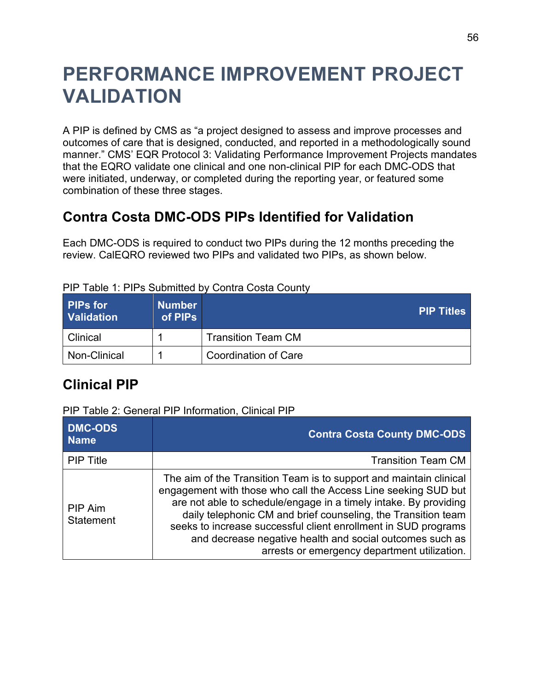# **PERFORMANCE IMPROVEMENT PROJECT VALIDATION**

A PIP is defined by CMS as "a project designed to assess and improve processes and outcomes of care that is designed, conducted, and reported in a methodologically sound manner." CMS' EQR Protocol 3: Validating Performance Improvement Projects mandates that the EQRO validate one clinical and one non-clinical PIP for each DMC-ODS that were initiated, underway, or completed during the reporting year, or featured some combination of these three stages.

## **Contra Costa DMC-ODS PIPs Identified for Validation**

Each DMC-ODS is required to conduct two PIPs during the 12 months preceding the review. CalEQRO reviewed two PIPs and validated two PIPs, as shown below.

| <b>PIPs for</b><br><b>Validation</b> | <b>Number</b><br>of PIPs | <b>PIP Titles</b>         |
|--------------------------------------|--------------------------|---------------------------|
| Clinical                             |                          | <b>Transition Team CM</b> |
| Non-Clinical                         |                          | Coordination of Care      |

### PIP Table 1: PIPs Submitted by Contra Costa County

## **Clinical PIP**

### PIP Table 2: General PIP Information, Clinical PIP

| <b>DMC-ODS</b><br><b>Name</b> | <b>Contra Costa County DMC-ODS</b>                                                                                                                                                                                                                                                                                                                                                                                                                      |
|-------------------------------|---------------------------------------------------------------------------------------------------------------------------------------------------------------------------------------------------------------------------------------------------------------------------------------------------------------------------------------------------------------------------------------------------------------------------------------------------------|
| <b>PIP Title</b>              | <b>Transition Team CM</b>                                                                                                                                                                                                                                                                                                                                                                                                                               |
| PIP Aim<br><b>Statement</b>   | The aim of the Transition Team is to support and maintain clinical<br>engagement with those who call the Access Line seeking SUD but<br>are not able to schedule/engage in a timely intake. By providing<br>daily telephonic CM and brief counseling, the Transition team<br>seeks to increase successful client enrollment in SUD programs<br>and decrease negative health and social outcomes such as<br>arrests or emergency department utilization. |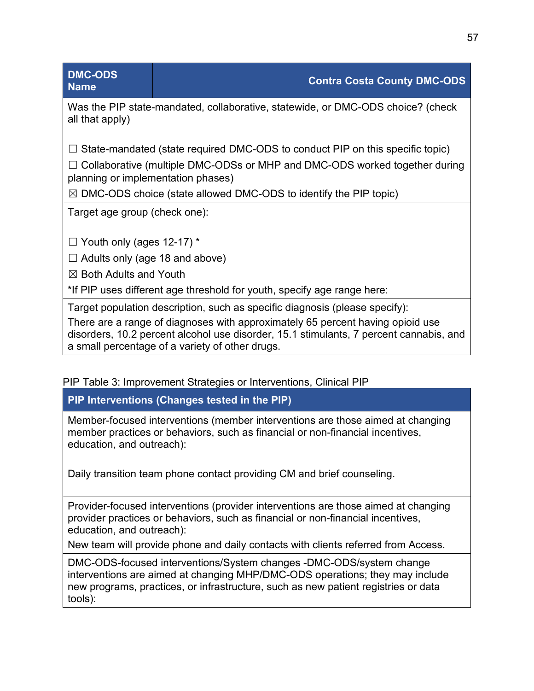| <b>DMC-ODS</b><br><b>Name</b>         | <b>Contra Costa County DMC-ODS</b>                                                   |
|---------------------------------------|--------------------------------------------------------------------------------------|
| all that apply)                       | Was the PIP state-mandated, collaborative, statewide, or DMC-ODS choice? (check      |
|                                       | $\Box$ State-mandated (state required DMC-ODS to conduct PIP on this specific topic) |
| planning or implementation phases)    | $\Box$ Collaborative (multiple DMC-ODSs or MHP and DMC-ODS worked together during    |
|                                       | $\boxtimes$ DMC-ODS choice (state allowed DMC-ODS to identify the PIP topic)         |
| Target age group (check one):         |                                                                                      |
| $\Box$ Youth only (ages 12-17) *      |                                                                                      |
| $\Box$ Adults only (age 18 and above) |                                                                                      |
| $\boxtimes$ Both Adults and Youth     |                                                                                      |
|                                       | *If PIP uses different age threshold for youth, specify age range here:              |
|                                       | Target population description, such as specific diagnosis (please specify):          |
|                                       | There are a range of diagnoses with approximately 65 percent having opioid use       |

disorders, 10.2 percent alcohol use disorder, 15.1 stimulants, 7 percent cannabis, and a small percentage of a variety of other drugs.

### PIP Table 3: Improvement Strategies or Interventions, Clinical PIP

**PIP Interventions (Changes tested in the PIP)**

Member-focused interventions (member interventions are those aimed at changing member practices or behaviors, such as financial or non-financial incentives, education, and outreach):

Daily transition team phone contact providing CM and brief counseling.

Provider-focused interventions (provider interventions are those aimed at changing provider practices or behaviors, such as financial or non-financial incentives, education, and outreach):

New team will provide phone and daily contacts with clients referred from Access.

DMC-ODS-focused interventions/System changes -DMC-ODS/system change interventions are aimed at changing MHP/DMC-ODS operations; they may include new programs, practices, or infrastructure, such as new patient registries or data tools):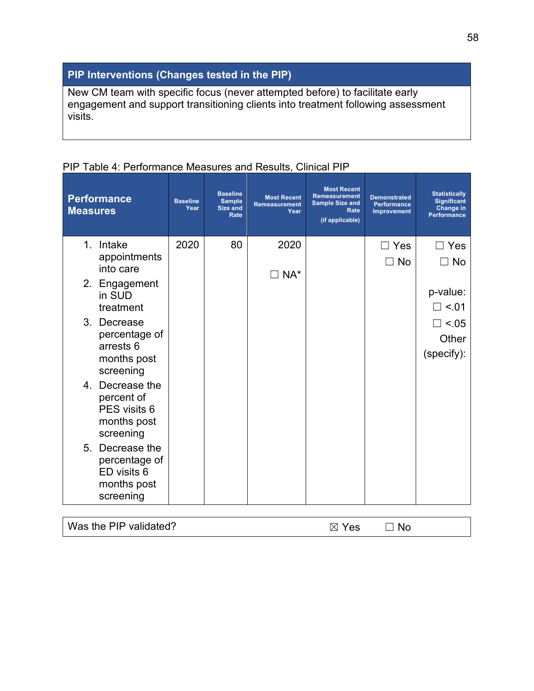## **PIP Interventions (Changes tested in the PIP)**

New CM team with specific focus (never attempted before) to facilitate early engagement and support transitioning clients into treatment following assessment visits.

| <b>Performance</b><br><b>Measures</b> | <b>Baseline</b><br>Year | <b>Baseline</b><br><b>Sample</b><br><b>Size and</b><br>Rate | <b>Most Recent</b><br><b>Remeasurement</b><br>Year | <b>Most Recent</b><br><b>Remeasurement</b><br><b>Sample Size and</b><br>Rate<br>(if applicable) | <b>Demonstrated</b><br><b>Performance</b><br>Improvement | <b>Statistically</b><br><b>Significant</b><br>Change in<br><b>Performance</b> |
|---------------------------------------|-------------------------|-------------------------------------------------------------|----------------------------------------------------|-------------------------------------------------------------------------------------------------|----------------------------------------------------------|-------------------------------------------------------------------------------|
| 1 <sub>1</sub><br>Intake              | 2020                    | 80                                                          | 2020                                               |                                                                                                 | $\Box$ Yes                                               | Yes                                                                           |
| appointments<br>into care             |                         |                                                             | $\Box$ NA*                                         |                                                                                                 | No                                                       | <b>No</b>                                                                     |
| 2. Engagement                         |                         |                                                             |                                                    |                                                                                                 |                                                          | p-value:                                                                      |
| in SUD<br>treatment                   |                         |                                                             |                                                    |                                                                                                 |                                                          | $\Box$ <.01                                                                   |
| $3_{-}$<br>Decrease                   |                         |                                                             |                                                    |                                                                                                 |                                                          | $\Box$ <.05                                                                   |
| percentage of<br>arrests 6            |                         |                                                             |                                                    |                                                                                                 |                                                          | Other                                                                         |
| months post                           |                         |                                                             |                                                    |                                                                                                 |                                                          | (specify):                                                                    |
| screening<br>4. Decrease the          |                         |                                                             |                                                    |                                                                                                 |                                                          |                                                                               |
| percent of                            |                         |                                                             |                                                    |                                                                                                 |                                                          |                                                                               |
| PES visits 6<br>months post           |                         |                                                             |                                                    |                                                                                                 |                                                          |                                                                               |
| screening                             |                         |                                                             |                                                    |                                                                                                 |                                                          |                                                                               |
| 5. Decrease the                       |                         |                                                             |                                                    |                                                                                                 |                                                          |                                                                               |
| percentage of<br>ED visits 6          |                         |                                                             |                                                    |                                                                                                 |                                                          |                                                                               |
| months post                           |                         |                                                             |                                                    |                                                                                                 |                                                          |                                                                               |
| screening                             |                         |                                                             |                                                    |                                                                                                 |                                                          |                                                                               |
| Was the PIP validated?                |                         |                                                             |                                                    | $\boxtimes$ Yes                                                                                 | <b>No</b>                                                |                                                                               |

## PIP Table 4: Performance Measures and Results, Clinical PIP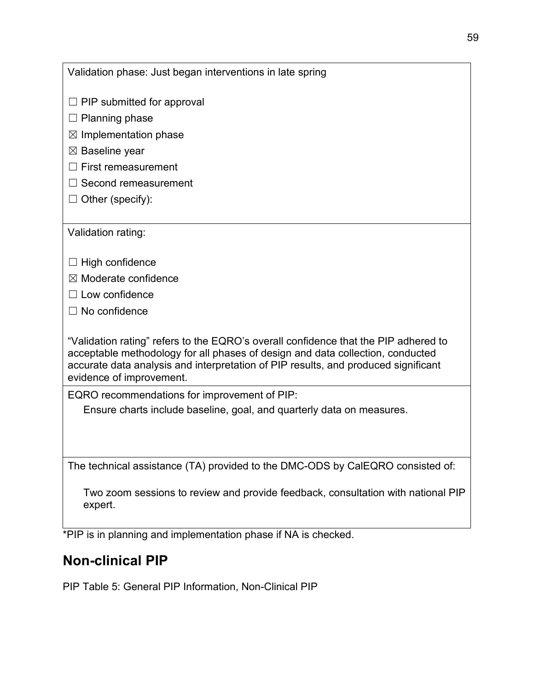| Validation phase: Just began interventions in late spring                                                                                                                                                                                                                               |
|-----------------------------------------------------------------------------------------------------------------------------------------------------------------------------------------------------------------------------------------------------------------------------------------|
| $\Box$ PIP submitted for approval                                                                                                                                                                                                                                                       |
| $\Box$ Planning phase                                                                                                                                                                                                                                                                   |
| $\boxtimes$ Implementation phase                                                                                                                                                                                                                                                        |
| $\boxtimes$ Baseline year                                                                                                                                                                                                                                                               |
| <b>First remeasurement</b>                                                                                                                                                                                                                                                              |
| $\Box$ Second remeasurement                                                                                                                                                                                                                                                             |
| $\Box$ Other (specify):                                                                                                                                                                                                                                                                 |
|                                                                                                                                                                                                                                                                                         |
| Validation rating:                                                                                                                                                                                                                                                                      |
|                                                                                                                                                                                                                                                                                         |
| $\Box$ High confidence                                                                                                                                                                                                                                                                  |
| $\boxtimes$ Moderate confidence                                                                                                                                                                                                                                                         |
| $\Box$ Low confidence                                                                                                                                                                                                                                                                   |
| $\Box$ No confidence                                                                                                                                                                                                                                                                    |
| "Validation rating" refers to the EQRO's overall confidence that the PIP adhered to<br>acceptable methodology for all phases of design and data collection, conducted<br>accurate data analysis and interpretation of PIP results, and produced significant<br>evidence of improvement. |
| EQRO recommendations for improvement of PIP:                                                                                                                                                                                                                                            |
| Ensure charts include baseline, goal, and quarterly data on measures.                                                                                                                                                                                                                   |
|                                                                                                                                                                                                                                                                                         |
| The technical assistance (TA) provided to the DMC-ODS by CalEQRO consisted of:                                                                                                                                                                                                          |
| Two zoom sessions to review and provide feedback, consultation with national PIP<br>expert.                                                                                                                                                                                             |
| $*$ DID is in planning and implementation phases if $N_A$ is sheaked                                                                                                                                                                                                                    |

\*PIP is in planning and implementation phase if NA is checked.

# **Non-clinical PIP**

PIP Table 5: General PIP Information, Non-Clinical PIP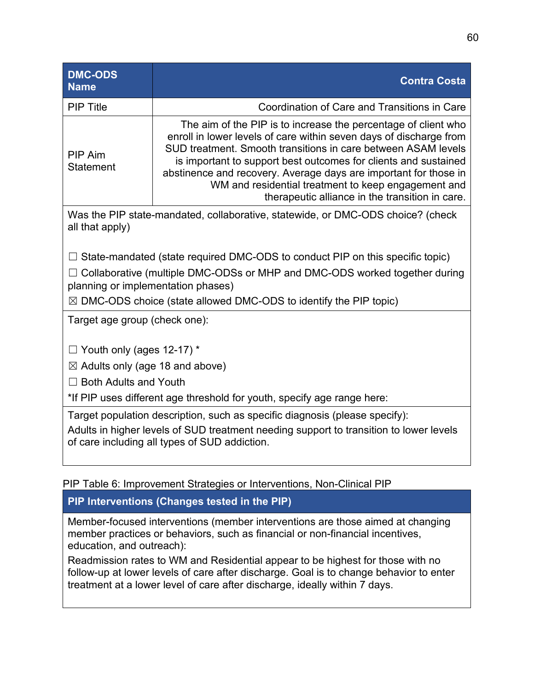| <b>DMC-ODS</b><br><b>Name</b>                                                                                                                                                                                          | <b>Contra Costa</b>                                                                                                                                                                                                                                                                                                                                                                                                                                    |  |  |  |  |
|------------------------------------------------------------------------------------------------------------------------------------------------------------------------------------------------------------------------|--------------------------------------------------------------------------------------------------------------------------------------------------------------------------------------------------------------------------------------------------------------------------------------------------------------------------------------------------------------------------------------------------------------------------------------------------------|--|--|--|--|
| <b>PIP Title</b>                                                                                                                                                                                                       | Coordination of Care and Transitions in Care                                                                                                                                                                                                                                                                                                                                                                                                           |  |  |  |  |
| <b>PIP Aim</b><br><b>Statement</b>                                                                                                                                                                                     | The aim of the PIP is to increase the percentage of client who<br>enroll in lower levels of care within seven days of discharge from<br>SUD treatment. Smooth transitions in care between ASAM levels<br>is important to support best outcomes for clients and sustained<br>abstinence and recovery. Average days are important for those in<br>WM and residential treatment to keep engagement and<br>therapeutic alliance in the transition in care. |  |  |  |  |
| all that apply)                                                                                                                                                                                                        | Was the PIP state-mandated, collaborative, statewide, or DMC-ODS choice? (check                                                                                                                                                                                                                                                                                                                                                                        |  |  |  |  |
|                                                                                                                                                                                                                        | $\Box$ State-mandated (state required DMC-ODS to conduct PIP on this specific topic)                                                                                                                                                                                                                                                                                                                                                                   |  |  |  |  |
| planning or implementation phases)                                                                                                                                                                                     | $\Box$ Collaborative (multiple DMC-ODSs or MHP and DMC-ODS worked together during                                                                                                                                                                                                                                                                                                                                                                      |  |  |  |  |
|                                                                                                                                                                                                                        | $\boxtimes$ DMC-ODS choice (state allowed DMC-ODS to identify the PIP topic)                                                                                                                                                                                                                                                                                                                                                                           |  |  |  |  |
| Target age group (check one):                                                                                                                                                                                          |                                                                                                                                                                                                                                                                                                                                                                                                                                                        |  |  |  |  |
| $\Box$ Youth only (ages 12-17) *                                                                                                                                                                                       |                                                                                                                                                                                                                                                                                                                                                                                                                                                        |  |  |  |  |
|                                                                                                                                                                                                                        | $\boxtimes$ Adults only (age 18 and above)                                                                                                                                                                                                                                                                                                                                                                                                             |  |  |  |  |
| $\Box$ Both Adults and Youth                                                                                                                                                                                           |                                                                                                                                                                                                                                                                                                                                                                                                                                                        |  |  |  |  |
| *If PIP uses different age threshold for youth, specify age range here:                                                                                                                                                |                                                                                                                                                                                                                                                                                                                                                                                                                                                        |  |  |  |  |
| Target population description, such as specific diagnosis (please specify):<br>Adults in higher levels of SUD treatment needing support to transition to lower levels<br>of care including all types of SUD addiction. |                                                                                                                                                                                                                                                                                                                                                                                                                                                        |  |  |  |  |

PIP Table 6: Improvement Strategies or Interventions, Non-Clinical PIP

## **PIP Interventions (Changes tested in the PIP)**

Member-focused interventions (member interventions are those aimed at changing member practices or behaviors, such as financial or non-financial incentives, education, and outreach):

Readmission rates to WM and Residential appear to be highest for those with no follow-up at lower levels of care after discharge. Goal is to change behavior to enter treatment at a lower level of care after discharge, ideally within 7 days.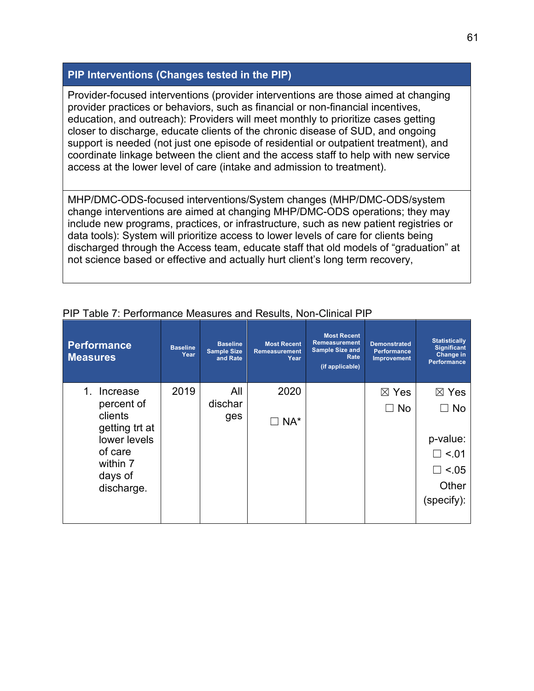### **PIP Interventions (Changes tested in the PIP)**

Provider-focused interventions (provider interventions are those aimed at changing provider practices or behaviors, such as financial or non-financial incentives, education, and outreach): Providers will meet monthly to prioritize cases getting closer to discharge, educate clients of the chronic disease of SUD, and ongoing support is needed (not just one episode of residential or outpatient treatment), and coordinate linkage between the client and the access staff to help with new service access at the lower level of care (intake and admission to treatment).

MHP/DMC-ODS-focused interventions/System changes (MHP/DMC-ODS/system change interventions are aimed at changing MHP/DMC-ODS operations; they may include new programs, practices, or infrastructure, such as new patient registries or data tools): System will prioritize access to lower levels of care for clients being discharged through the Access team, educate staff that old models of "graduation" at not science based or effective and actually hurt client's long term recovery,

| Performance<br><b>Measures</b>          | <b>Baseline</b><br>Year | <b>Baseline</b><br><b>Sample Size</b><br>and Rate | <b>Most Recent</b><br><b>Remeasurement</b><br>Year | <b>Most Recent</b><br><b>Remeasurement</b><br><b>Sample Size and</b><br>Rate<br>(if applicable) | <b>Demonstrated</b><br><b>Performance</b><br><b>Improvement</b> | <b>Statistically</b><br><b>Significant</b><br>Change in<br><b>Performance</b> |
|-----------------------------------------|-------------------------|---------------------------------------------------|----------------------------------------------------|-------------------------------------------------------------------------------------------------|-----------------------------------------------------------------|-------------------------------------------------------------------------------|
| Increase<br>1.                          | 2019                    | All                                               | 2020                                               |                                                                                                 | $\boxtimes$ Yes                                                 | $\boxtimes$ Yes                                                               |
| percent of<br>clients<br>getting trt at |                         | dischar<br>ges                                    | NA*                                                |                                                                                                 | $\Box$ No                                                       | <b>No</b>                                                                     |
| lower levels                            |                         |                                                   |                                                    |                                                                                                 |                                                                 | p-value:                                                                      |
| of care                                 |                         |                                                   |                                                    |                                                                                                 |                                                                 | $\square$ <.01                                                                |
| within 7<br>days of                     |                         |                                                   |                                                    |                                                                                                 |                                                                 | $\Box$ <.05                                                                   |
| discharge.                              |                         |                                                   |                                                    |                                                                                                 |                                                                 | Other                                                                         |
|                                         |                         |                                                   |                                                    |                                                                                                 |                                                                 | (specify):                                                                    |
|                                         |                         |                                                   |                                                    |                                                                                                 |                                                                 |                                                                               |

### PIP Table 7: Performance Measures and Results, Non-Clinical PIP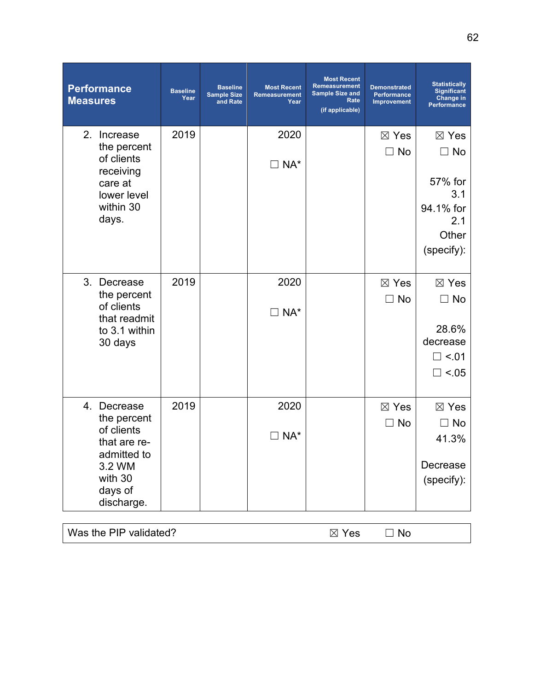| <b>Performance</b><br><b>Measures</b>                                                                                 | <b>Baseline</b><br>Year | <b>Baseline</b><br><b>Sample Size</b><br>and Rate | <b>Most Recent</b><br>Remeasurement<br>Year | <b>Most Recent</b><br><b>Remeasurement</b><br><b>Sample Size and</b><br>Rate<br>(if applicable) | <b>Demonstrated</b><br>Performance<br><b>Improvement</b> | <b>Statistically</b><br><b>Significant</b><br><b>Change in</b><br>Performance             |
|-----------------------------------------------------------------------------------------------------------------------|-------------------------|---------------------------------------------------|---------------------------------------------|-------------------------------------------------------------------------------------------------|----------------------------------------------------------|-------------------------------------------------------------------------------------------|
| 2.<br>Increase<br>the percent<br>of clients<br>receiving<br>care at<br>lower level<br>within 30<br>days.              | 2019                    |                                                   | 2020<br>$\Box$ NA*                          |                                                                                                 | $\boxtimes$ Yes<br>$\Box$ No                             | $\boxtimes$ Yes<br>$\Box$ No<br>57% for<br>3.1<br>94.1% for<br>2.1<br>Other<br>(specify): |
| 3. Decrease<br>the percent<br>of clients<br>that readmit<br>to 3.1 within<br>30 days                                  | 2019                    |                                                   | 2020<br>$\Box$ NA*                          |                                                                                                 | $\boxtimes$ Yes<br>$\Box$ No                             | $\boxtimes$ Yes<br>$\Box$ No<br>28.6%<br>decrease<br>$\square$ <.01<br>$\Box$ <.05        |
| 4. Decrease<br>the percent<br>of clients<br>that are re-<br>admitted to<br>3.2 WM<br>with 30<br>days of<br>discharge. | 2019                    |                                                   | 2020<br>$\exists$ NA*                       |                                                                                                 | $\boxtimes$ Yes<br>$\sqsupset$ No                        | $\boxtimes$ Yes<br>No<br>41.3%<br>Decrease<br>(specify):                                  |

| Was the PIP validated? | $\boxtimes$ Yes | $\neg$ No |  |
|------------------------|-----------------|-----------|--|
|------------------------|-----------------|-----------|--|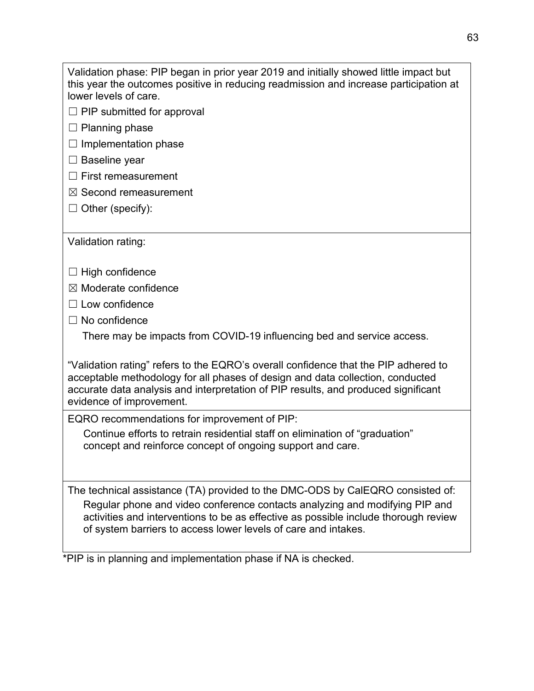Validation phase: PIP began in prior year 2019 and initially showed little impact but this year the outcomes positive in reducing readmission and increase participation at lower levels of care.

- $\Box$  PIP submitted for approval
- $\Box$  Planning phase
- $\Box$  Implementation phase
- □ Baseline year
- ☐ First remeasurement
- ☒ Second remeasurement
- $\Box$  Other (specify):

Validation rating:

- $\Box$  High confidence
- $<sup>2</sup>$  Moderate confidence</sup>
- ☐ Low confidence
- $\Box$  No confidence

There may be impacts from COVID-19 influencing bed and service access.

"Validation rating" refers to the EQRO's overall confidence that the PIP adhered to acceptable methodology for all phases of design and data collection, conducted accurate data analysis and interpretation of PIP results, and produced significant evidence of improvement.

EQRO recommendations for improvement of PIP:

Continue efforts to retrain residential staff on elimination of "graduation" concept and reinforce concept of ongoing support and care.

The technical assistance (TA) provided to the DMC-ODS by CalEQRO consisted of: Regular phone and video conference contacts analyzing and modifying PIP and activities and interventions to be as effective as possible include thorough review of system barriers to access lower levels of care and intakes.

\*PIP is in planning and implementation phase if NA is checked.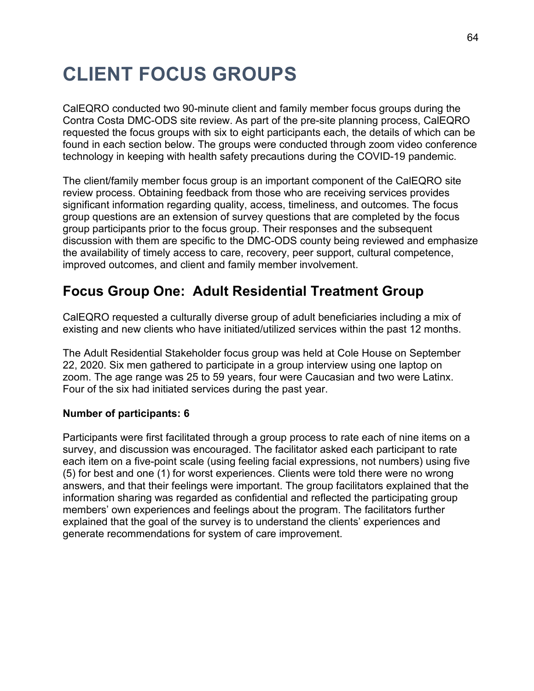# **CLIENT FOCUS GROUPS**

CalEQRO conducted two 90-minute client and family member focus groups during the Contra Costa DMC-ODS site review. As part of the pre-site planning process, CalEQRO requested the focus groups with six to eight participants each, the details of which can be found in each section below. The groups were conducted through zoom video conference technology in keeping with health safety precautions during the COVID-19 pandemic.

The client/family member focus group is an important component of the CalEQRO site review process. Obtaining feedback from those who are receiving services provides significant information regarding quality, access, timeliness, and outcomes. The focus group questions are an extension of survey questions that are completed by the focus group participants prior to the focus group. Their responses and the subsequent discussion with them are specific to the DMC-ODS county being reviewed and emphasize the availability of timely access to care, recovery, peer support, cultural competence, improved outcomes, and client and family member involvement.

## **Focus Group One: Adult Residential Treatment Group**

CalEQRO requested a culturally diverse group of adult beneficiaries including a mix of existing and new clients who have initiated/utilized services within the past 12 months.

The Adult Residential Stakeholder focus group was held at Cole House on September 22, 2020. Six men gathered to participate in a group interview using one laptop on zoom. The age range was 25 to 59 years, four were Caucasian and two were Latinx. Four of the six had initiated services during the past year.

#### **Number of participants: 6**

Participants were first facilitated through a group process to rate each of nine items on a survey, and discussion was encouraged. The facilitator asked each participant to rate each item on a five-point scale (using feeling facial expressions, not numbers) using five (5) for best and one (1) for worst experiences. Clients were told there were no wrong answers, and that their feelings were important. The group facilitators explained that the information sharing was regarded as confidential and reflected the participating group members' own experiences and feelings about the program. The facilitators further explained that the goal of the survey is to understand the clients' experiences and generate recommendations for system of care improvement.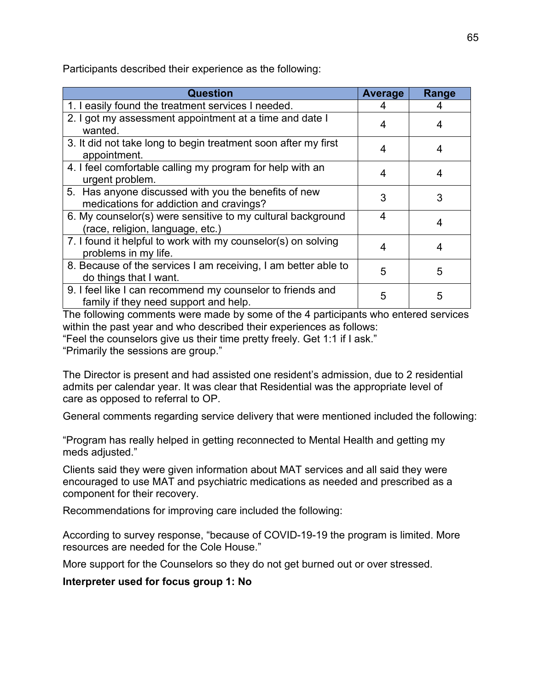Participants described their experience as the following:

| <b>Question</b>                                                                                     | <b>Average</b> | Range |
|-----------------------------------------------------------------------------------------------------|----------------|-------|
| 1. I easily found the treatment services I needed.                                                  | 4              |       |
| 2. I got my assessment appointment at a time and date I<br>wanted.                                  | 4              |       |
| 3. It did not take long to begin treatment soon after my first<br>appointment.                      | 4              |       |
| 4. I feel comfortable calling my program for help with an<br>urgent problem.                        | 4              |       |
| 5. Has anyone discussed with you the benefits of new<br>medications for addiction and cravings?     | 3              | 3     |
| 6. My counselor(s) were sensitive to my cultural background<br>(race, religion, language, etc.)     | 4              | 4     |
| 7. I found it helpful to work with my counselor(s) on solving<br>problems in my life.               | 4              | 4     |
| 8. Because of the services I am receiving, I am better able to<br>do things that I want.            | 5              | 5     |
| 9. I feel like I can recommend my counselor to friends and<br>family if they need support and help. | 5              | 5     |

The following comments were made by some of the 4 participants who entered services within the past year and who described their experiences as follows: "Feel the counselors give us their time pretty freely. Get 1:1 if I ask."

"Primarily the sessions are group."

The Director is present and had assisted one resident's admission, due to 2 residential admits per calendar year. It was clear that Residential was the appropriate level of care as opposed to referral to OP.

General comments regarding service delivery that were mentioned included the following:

"Program has really helped in getting reconnected to Mental Health and getting my meds adjusted."

Clients said they were given information about MAT services and all said they were encouraged to use MAT and psychiatric medications as needed and prescribed as a component for their recovery.

Recommendations for improving care included the following:

According to survey response, "because of COVID-19-19 the program is limited. More resources are needed for the Cole House."

More support for the Counselors so they do not get burned out or over stressed.

**Interpreter used for focus group 1: No**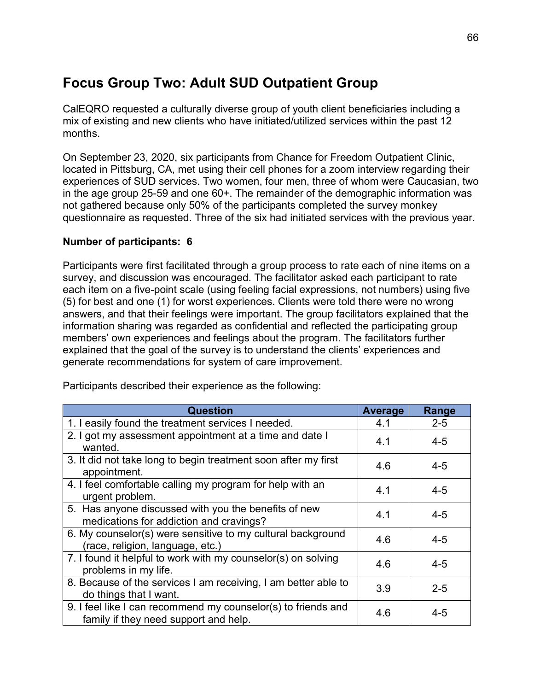# **Focus Group Two: Adult SUD Outpatient Group**

CalEQRO requested a culturally diverse group of youth client beneficiaries including a mix of existing and new clients who have initiated/utilized services within the past 12 months.

On September 23, 2020, six participants from Chance for Freedom Outpatient Clinic, located in Pittsburg, CA, met using their cell phones for a zoom interview regarding their experiences of SUD services. Two women, four men, three of whom were Caucasian, two in the age group 25-59 and one 60+. The remainder of the demographic information was not gathered because only 50% of the participants completed the survey monkey questionnaire as requested. Three of the six had initiated services with the previous year.

### **Number of participants: 6**

Participants were first facilitated through a group process to rate each of nine items on a survey, and discussion was encouraged. The facilitator asked each participant to rate each item on a five-point scale (using feeling facial expressions, not numbers) using five (5) for best and one (1) for worst experiences. Clients were told there were no wrong answers, and that their feelings were important. The group facilitators explained that the information sharing was regarded as confidential and reflected the participating group members' own experiences and feelings about the program. The facilitators further explained that the goal of the survey is to understand the clients' experiences and generate recommendations for system of care improvement.

| <b>Question</b>                                                                                        | Average | Range   |
|--------------------------------------------------------------------------------------------------------|---------|---------|
| 1. I easily found the treatment services I needed.                                                     | 4.1     | $2 - 5$ |
| 2. I got my assessment appointment at a time and date I<br>wanted.                                     | 4.1     | $4 - 5$ |
| 3. It did not take long to begin treatment soon after my first<br>appointment.                         | 4.6     | $4 - 5$ |
| 4. I feel comfortable calling my program for help with an<br>urgent problem.                           | 4.1     | $4 - 5$ |
| 5. Has anyone discussed with you the benefits of new<br>medications for addiction and cravings?        | 4.1     | $4 - 5$ |
| 6. My counselor(s) were sensitive to my cultural background<br>(race, religion, language, etc.)        | 4.6     | $4 - 5$ |
| 7. I found it helpful to work with my counselor(s) on solving<br>problems in my life.                  | 4.6     | $4 - 5$ |
| 8. Because of the services I am receiving, I am better able to<br>do things that I want.               | 3.9     | $2 - 5$ |
| 9. I feel like I can recommend my counselor(s) to friends and<br>family if they need support and help. | 4.6     | $4 - 5$ |

Participants described their experience as the following: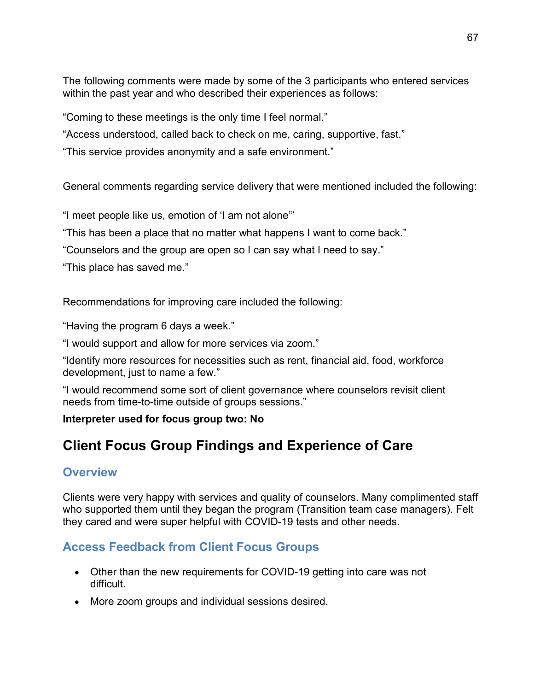The following comments were made by some of the 3 participants who entered services within the past year and who described their experiences as follows:

"Coming to these meetings is the only time I feel normal."

"Access understood, called back to check on me, caring, supportive, fast."

"This service provides anonymity and a safe environment."

General comments regarding service delivery that were mentioned included the following:

"I meet people like us, emotion of 'I am not alone'"

"This has been a place that no matter what happens I want to come back."

"Counselors and the group are open so I can say what I need to say."

"This place has saved me."

Recommendations for improving care included the following:

"Having the program 6 days a week."

"I would support and allow for more services via zoom."

"Identify more resources for necessities such as rent, financial aid, food, workforce development, just to name a few."

"I would recommend some sort of client governance where counselors revisit client needs from time-to-time outside of groups sessions."

### **Interpreter used for focus group two: No**

# **Client Focus Group Findings and Experience of Care**

### **Overview**

Clients were very happy with services and quality of counselors. Many complimented staff who supported them until they began the program (Transition team case managers). Felt they cared and were super helpful with COVID-19 tests and other needs.

## **Access Feedback from Client Focus Groups**

- Other than the new requirements for COVID-19 getting into care was not difficult.
- More zoom groups and individual sessions desired.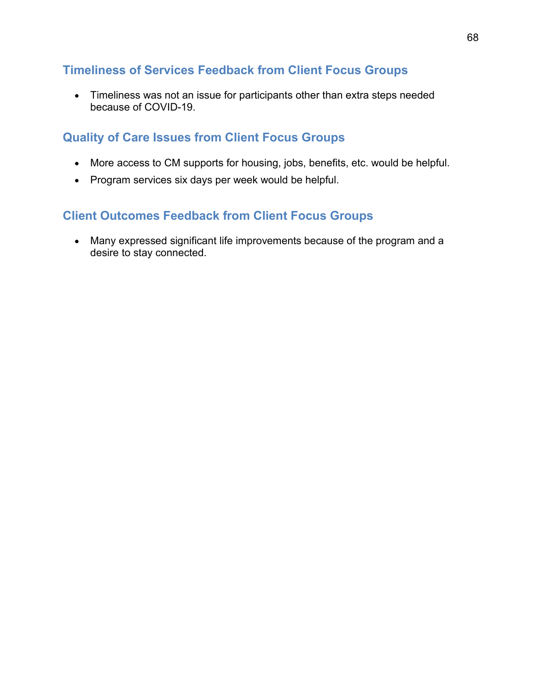### **Timeliness of Services Feedback from Client Focus Groups**

• Timeliness was not an issue for participants other than extra steps needed because of COVID-19.

## **Quality of Care Issues from Client Focus Groups**

- More access to CM supports for housing, jobs, benefits, etc. would be helpful.
- Program services six days per week would be helpful.

## **Client Outcomes Feedback from Client Focus Groups**

• Many expressed significant life improvements because of the program and a desire to stay connected.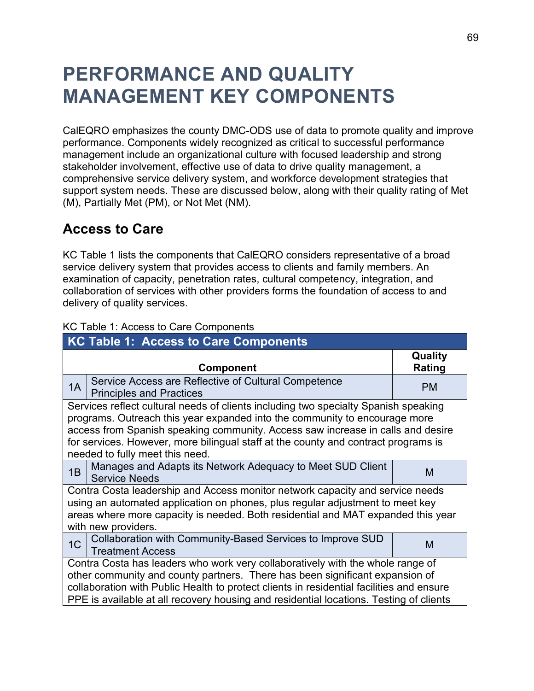# **PERFORMANCE AND QUALITY MANAGEMENT KEY COMPONENTS**

CalEQRO emphasizes the county DMC-ODS use of data to promote quality and improve performance. Components widely recognized as critical to successful performance management include an organizational culture with focused leadership and strong stakeholder involvement, effective use of data to drive quality management, a comprehensive service delivery system, and workforce development strategies that support system needs. These are discussed below, along with their quality rating of Met (M), Partially Met (PM), or Not Met (NM).

## **Access to Care**

KC Table 1 lists the components that CalEQRO considers representative of a broad service delivery system that provides access to clients and family members. An examination of capacity, penetration rates, cultural competency, integration, and collaboration of services with other providers forms the foundation of access to and delivery of quality services.

| <b>KC Table 1: Access to Care Components</b>                                                                                                                                                                                                                                                                                                         |                                                                                                                                                                                                                                                                                                                                                                               |                   |  |  |  |
|------------------------------------------------------------------------------------------------------------------------------------------------------------------------------------------------------------------------------------------------------------------------------------------------------------------------------------------------------|-------------------------------------------------------------------------------------------------------------------------------------------------------------------------------------------------------------------------------------------------------------------------------------------------------------------------------------------------------------------------------|-------------------|--|--|--|
|                                                                                                                                                                                                                                                                                                                                                      | <b>Component</b>                                                                                                                                                                                                                                                                                                                                                              | Quality<br>Rating |  |  |  |
| 1A                                                                                                                                                                                                                                                                                                                                                   | Service Access are Reflective of Cultural Competence<br><b>Principles and Practices</b>                                                                                                                                                                                                                                                                                       | <b>PM</b>         |  |  |  |
|                                                                                                                                                                                                                                                                                                                                                      | Services reflect cultural needs of clients including two specialty Spanish speaking<br>programs. Outreach this year expanded into the community to encourage more<br>access from Spanish speaking community. Access saw increase in calls and desire<br>for services. However, more bilingual staff at the county and contract programs is<br>needed to fully meet this need. |                   |  |  |  |
| 1B                                                                                                                                                                                                                                                                                                                                                   | Manages and Adapts its Network Adequacy to Meet SUD Client<br><b>Service Needs</b>                                                                                                                                                                                                                                                                                            | M                 |  |  |  |
| Contra Costa leadership and Access monitor network capacity and service needs<br>using an automated application on phones, plus regular adjustment to meet key<br>areas where more capacity is needed. Both residential and MAT expanded this year<br>with new providers.                                                                            |                                                                                                                                                                                                                                                                                                                                                                               |                   |  |  |  |
| 1 <sup>C</sup>                                                                                                                                                                                                                                                                                                                                       | Collaboration with Community-Based Services to Improve SUD<br>Treatment Access                                                                                                                                                                                                                                                                                                | м                 |  |  |  |
| Contra Costa has leaders who work very collaboratively with the whole range of<br>other community and county partners. There has been significant expansion of<br>collaboration with Public Health to protect clients in residential facilities and ensure<br>PPE is available at all recovery housing and residential locations. Testing of clients |                                                                                                                                                                                                                                                                                                                                                                               |                   |  |  |  |

### KC Table 1: Access to Care Components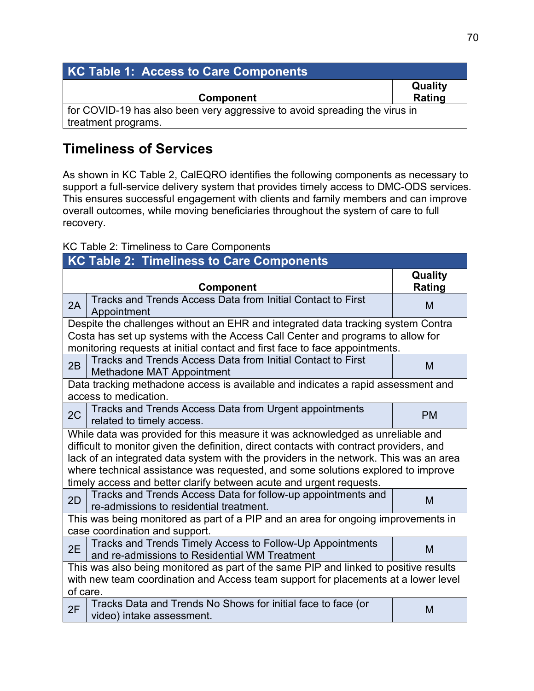| KC Table 1: Access to Care Components                                      |                          |
|----------------------------------------------------------------------------|--------------------------|
| <b>Component</b>                                                           | <b>Quality</b><br>Rating |
| for COVID-19 has also been very aggressive to avoid spreading the virus in |                          |
| treatment programs.                                                        |                          |

# **Timeliness of Services**

As shown in KC Table 2, CalEQRO identifies the following components as necessary to support a full-service delivery system that provides timely access to DMC-ODS services. This ensures successful engagement with clients and family members and can improve overall outcomes, while moving beneficiaries throughout the system of care to full recovery.

### KC Table 2: Timeliness to Care Components

| <b>KC Table 2: Timeliness to Care Components</b>                                                                                                                                                                                                                                                                                                                                                                              |                                                                                                            |                   |  |  |
|-------------------------------------------------------------------------------------------------------------------------------------------------------------------------------------------------------------------------------------------------------------------------------------------------------------------------------------------------------------------------------------------------------------------------------|------------------------------------------------------------------------------------------------------------|-------------------|--|--|
|                                                                                                                                                                                                                                                                                                                                                                                                                               | Component                                                                                                  | Quality<br>Rating |  |  |
| 2A                                                                                                                                                                                                                                                                                                                                                                                                                            | Tracks and Trends Access Data from Initial Contact to First<br>Appointment                                 | M                 |  |  |
| Despite the challenges without an EHR and integrated data tracking system Contra<br>Costa has set up systems with the Access Call Center and programs to allow for<br>monitoring requests at initial contact and first face to face appointments.                                                                                                                                                                             |                                                                                                            |                   |  |  |
| 2B                                                                                                                                                                                                                                                                                                                                                                                                                            | Tracks and Trends Access Data from Initial Contact to First<br>Methadone MAT Appointment                   | M                 |  |  |
| Data tracking methadone access is available and indicates a rapid assessment and<br>access to medication.                                                                                                                                                                                                                                                                                                                     |                                                                                                            |                   |  |  |
| 2C                                                                                                                                                                                                                                                                                                                                                                                                                            | Tracks and Trends Access Data from Urgent appointments<br>related to timely access.                        | <b>PM</b>         |  |  |
| While data was provided for this measure it was acknowledged as unreliable and<br>difficult to monitor given the definition, direct contacts with contract providers, and<br>lack of an integrated data system with the providers in the network. This was an area<br>where technical assistance was requested, and some solutions explored to improve<br>timely access and better clarify between acute and urgent requests. |                                                                                                            |                   |  |  |
| 2D                                                                                                                                                                                                                                                                                                                                                                                                                            | Tracks and Trends Access Data for follow-up appointments and<br>re-admissions to residential treatment.    | M                 |  |  |
| This was being monitored as part of a PIP and an area for ongoing improvements in<br>case coordination and support.                                                                                                                                                                                                                                                                                                           |                                                                                                            |                   |  |  |
| 2E                                                                                                                                                                                                                                                                                                                                                                                                                            | Tracks and Trends Timely Access to Follow-Up Appointments<br>and re-admissions to Residential WM Treatment | M                 |  |  |
| This was also being monitored as part of the same PIP and linked to positive results<br>with new team coordination and Access team support for placements at a lower level<br>of care.                                                                                                                                                                                                                                        |                                                                                                            |                   |  |  |
| 2F                                                                                                                                                                                                                                                                                                                                                                                                                            | Tracks Data and Trends No Shows for initial face to face (or<br>video) intake assessment.                  | M                 |  |  |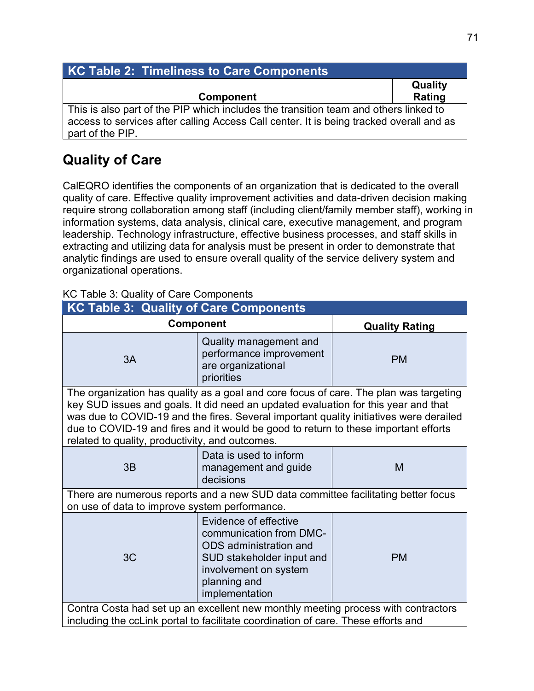| <b>KC Table 2: Timeliness to Care Components</b>                                        |                |  |  |  |
|-----------------------------------------------------------------------------------------|----------------|--|--|--|
|                                                                                         | <b>Quality</b> |  |  |  |
| <b>Component</b>                                                                        | Rating         |  |  |  |
| This is also part of the PIP which includes the transition team and others linked to    |                |  |  |  |
| access to services after calling Access Call center. It is being tracked overall and as |                |  |  |  |
| part of the PIP.                                                                        |                |  |  |  |

# **Quality of Care**

CalEQRO identifies the components of an organization that is dedicated to the overall quality of care. Effective quality improvement activities and data-driven decision making require strong collaboration among staff (including client/family member staff), working in information systems, data analysis, clinical care, executive management, and program leadership. Technology infrastructure, effective business processes, and staff skills in extracting and utilizing data for analysis must be present in order to demonstrate that analytic findings are used to ensure overall quality of the service delivery system and organizational operations.

### KC Table 3: Quality of Care Components

| <b>KC Table 3: Quality of Care Components</b>                                                                                                                                                                                                                                                                                                                                                                   |                                                                                                                                                                    |           |  |  |  |  |
|-----------------------------------------------------------------------------------------------------------------------------------------------------------------------------------------------------------------------------------------------------------------------------------------------------------------------------------------------------------------------------------------------------------------|--------------------------------------------------------------------------------------------------------------------------------------------------------------------|-----------|--|--|--|--|
| <b>Component</b>                                                                                                                                                                                                                                                                                                                                                                                                | <b>Quality Rating</b>                                                                                                                                              |           |  |  |  |  |
| 3A                                                                                                                                                                                                                                                                                                                                                                                                              | Quality management and<br>performance improvement<br>are organizational<br>priorities                                                                              | <b>PM</b> |  |  |  |  |
| The organization has quality as a goal and core focus of care. The plan was targeting<br>key SUD issues and goals. It did need an updated evaluation for this year and that<br>was due to COVID-19 and the fires. Several important quality initiatives were derailed<br>due to COVID-19 and fires and it would be good to return to these important efforts<br>related to quality, productivity, and outcomes. |                                                                                                                                                                    |           |  |  |  |  |
| 3B                                                                                                                                                                                                                                                                                                                                                                                                              | Data is used to inform<br>management and guide<br>decisions                                                                                                        | M         |  |  |  |  |
| There are numerous reports and a new SUD data committee facilitating better focus<br>on use of data to improve system performance.                                                                                                                                                                                                                                                                              |                                                                                                                                                                    |           |  |  |  |  |
| 3C                                                                                                                                                                                                                                                                                                                                                                                                              | Evidence of effective<br>communication from DMC-<br>ODS administration and<br>SUD stakeholder input and<br>involvement on system<br>planning and<br>implementation | <b>PM</b> |  |  |  |  |
| Contra Costa had set up an excellent new monthly meeting process with contractors<br>including the ccLink portal to facilitate coordination of care. These efforts and                                                                                                                                                                                                                                          |                                                                                                                                                                    |           |  |  |  |  |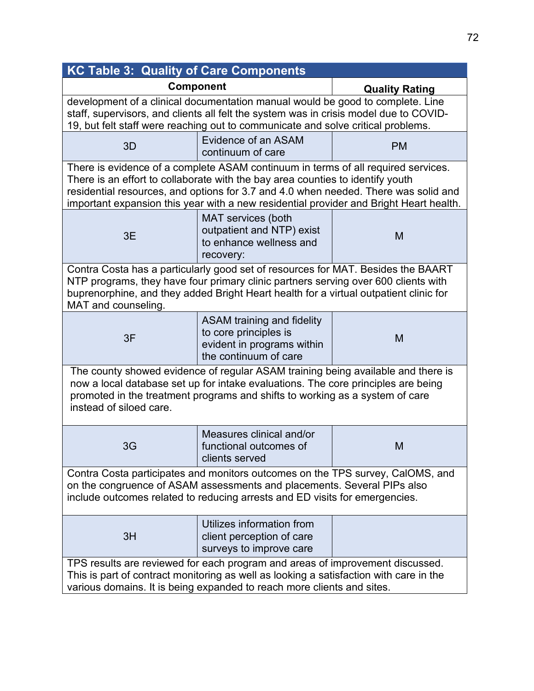| <b>KC Table 3: Quality of Care Components</b>                                                                                                                                                                                                                                                                                                        |                                                                                                                   |           |  |  |  |
|------------------------------------------------------------------------------------------------------------------------------------------------------------------------------------------------------------------------------------------------------------------------------------------------------------------------------------------------------|-------------------------------------------------------------------------------------------------------------------|-----------|--|--|--|
| <b>Component</b>                                                                                                                                                                                                                                                                                                                                     | <b>Quality Rating</b>                                                                                             |           |  |  |  |
| development of a clinical documentation manual would be good to complete. Line<br>staff, supervisors, and clients all felt the system was in crisis model due to COVID-<br>19, but felt staff were reaching out to communicate and solve critical problems.                                                                                          |                                                                                                                   |           |  |  |  |
| 3D                                                                                                                                                                                                                                                                                                                                                   | Evidence of an ASAM<br>continuum of care                                                                          | <b>PM</b> |  |  |  |
| There is evidence of a complete ASAM continuum in terms of all required services.<br>There is an effort to collaborate with the bay area counties to identify youth<br>residential resources, and options for 3.7 and 4.0 when needed. There was solid and<br>important expansion this year with a new residential provider and Bright Heart health. |                                                                                                                   |           |  |  |  |
| 3E                                                                                                                                                                                                                                                                                                                                                   | MAT services (both<br>outpatient and NTP) exist<br>to enhance wellness and<br>recovery:                           | M         |  |  |  |
| Contra Costa has a particularly good set of resources for MAT. Besides the BAART<br>NTP programs, they have four primary clinic partners serving over 600 clients with<br>buprenorphine, and they added Bright Heart health for a virtual outpatient clinic for<br>MAT and counseling.                                                               |                                                                                                                   |           |  |  |  |
| 3F                                                                                                                                                                                                                                                                                                                                                   | <b>ASAM training and fidelity</b><br>to core principles is<br>evident in programs within<br>the continuum of care | M         |  |  |  |
| The county showed evidence of regular ASAM training being available and there is<br>now a local database set up for intake evaluations. The core principles are being<br>promoted in the treatment programs and shifts to working as a system of care<br>instead of siloed care.                                                                     |                                                                                                                   |           |  |  |  |
| 3G                                                                                                                                                                                                                                                                                                                                                   | Measures clinical and/or<br>functional outcomes of<br>clients served                                              | M         |  |  |  |
| Contra Costa participates and monitors outcomes on the TPS survey, CalOMS, and<br>on the congruence of ASAM assessments and placements. Several PIPs also<br>include outcomes related to reducing arrests and ED visits for emergencies.                                                                                                             |                                                                                                                   |           |  |  |  |
| 3H                                                                                                                                                                                                                                                                                                                                                   | Utilizes information from<br>client perception of care<br>surveys to improve care                                 |           |  |  |  |
| TPS results are reviewed for each program and areas of improvement discussed.<br>This is part of contract monitoring as well as looking a satisfaction with care in the<br>various domains. It is being expanded to reach more clients and sites.                                                                                                    |                                                                                                                   |           |  |  |  |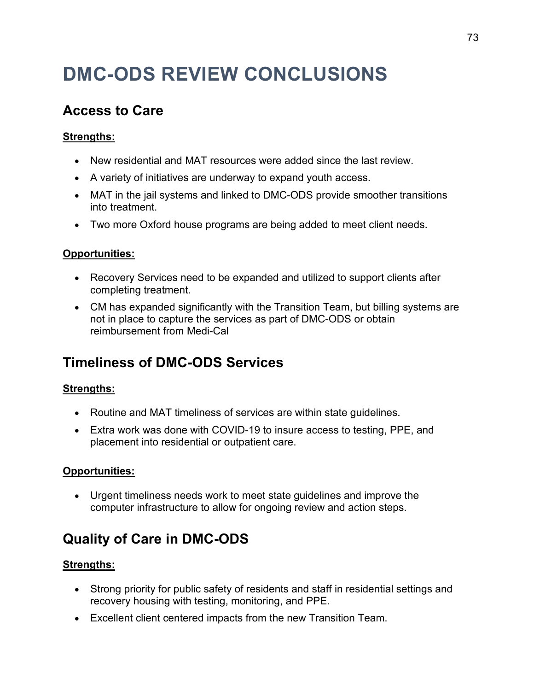# **DMC-ODS REVIEW CONCLUSIONS**

# **Access to Care**

### **Strengths:**

- New residential and MAT resources were added since the last review.
- A variety of initiatives are underway to expand youth access.
- MAT in the jail systems and linked to DMC-ODS provide smoother transitions into treatment.
- Two more Oxford house programs are being added to meet client needs.

#### **Opportunities:**

- Recovery Services need to be expanded and utilized to support clients after completing treatment.
- CM has expanded significantly with the Transition Team, but billing systems are not in place to capture the services as part of DMC-ODS or obtain reimbursement from Medi-Cal

# **Timeliness of DMC-ODS Services**

#### **Strengths:**

- Routine and MAT timeliness of services are within state guidelines.
- Extra work was done with COVID-19 to insure access to testing, PPE, and placement into residential or outpatient care.

#### **Opportunities:**

• Urgent timeliness needs work to meet state guidelines and improve the computer infrastructure to allow for ongoing review and action steps.

# **Quality of Care in DMC-ODS**

#### **Strengths:**

- Strong priority for public safety of residents and staff in residential settings and recovery housing with testing, monitoring, and PPE.
- Excellent client centered impacts from the new Transition Team.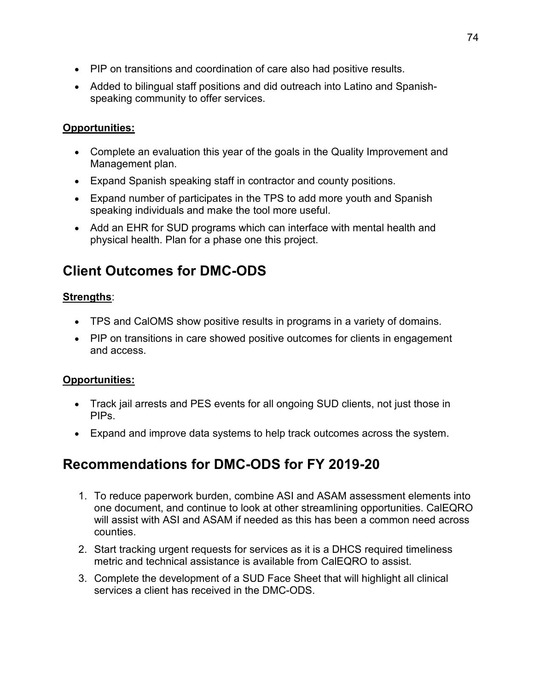- PIP on transitions and coordination of care also had positive results.
- Added to bilingual staff positions and did outreach into Latino and Spanishspeaking community to offer services.

#### **Opportunities:**

- Complete an evaluation this year of the goals in the Quality Improvement and Management plan.
- Expand Spanish speaking staff in contractor and county positions.
- Expand number of participates in the TPS to add more youth and Spanish speaking individuals and make the tool more useful.
- Add an EHR for SUD programs which can interface with mental health and physical health. Plan for a phase one this project.

# **Client Outcomes for DMC-ODS**

#### **Strengths**:

- TPS and CalOMS show positive results in programs in a variety of domains.
- PIP on transitions in care showed positive outcomes for clients in engagement and access.

#### **Opportunities:**

- Track jail arrests and PES events for all ongoing SUD clients, not just those in PIPs.
- Expand and improve data systems to help track outcomes across the system.

## **Recommendations for DMC-ODS for FY 2019-20**

- 1. To reduce paperwork burden, combine ASI and ASAM assessment elements into one document, and continue to look at other streamlining opportunities. CalEQRO will assist with ASI and ASAM if needed as this has been a common need across counties.
- 2. Start tracking urgent requests for services as it is a DHCS required timeliness metric and technical assistance is available from CalEQRO to assist.
- 3. Complete the development of a SUD Face Sheet that will highlight all clinical services a client has received in the DMC-ODS.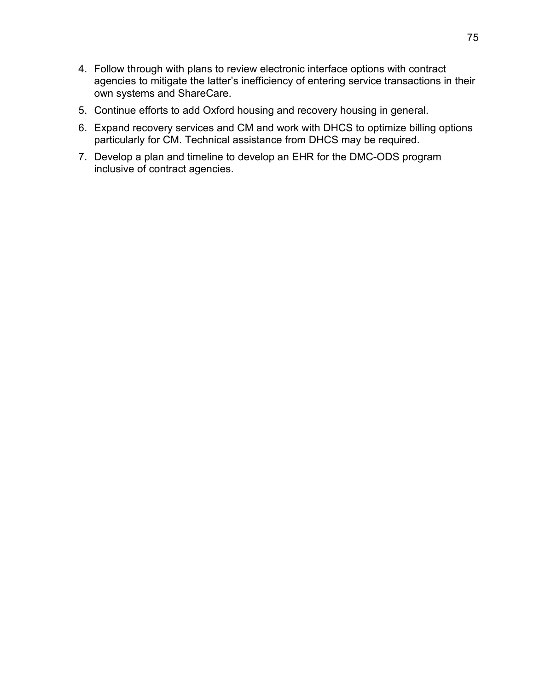- 4. Follow through with plans to review electronic interface options with contract agencies to mitigate the latter's inefficiency of entering service transactions in their own systems and ShareCare.
- 5. Continue efforts to add Oxford housing and recovery housing in general.
- 6. Expand recovery services and CM and work with DHCS to optimize billing options particularly for CM. Technical assistance from DHCS may be required.
- 7. Develop a plan and timeline to develop an EHR for the DMC-ODS program inclusive of contract agencies.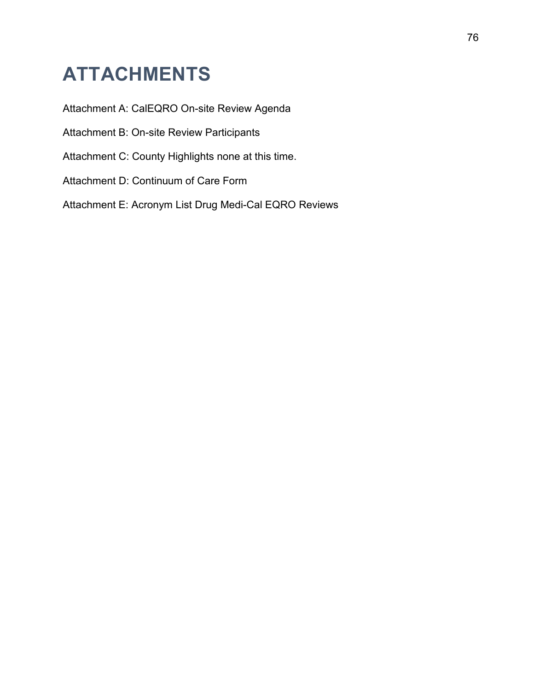# **ATTACHMENTS**

Attachment A: CalEQRO On-site Review Agenda

Attachment B: On-site Review Participants

Attachment C: County Highlights none at this time.

Attachment D: Continuum of Care Form

Attachment E: Acronym List Drug Medi-Cal EQRO Reviews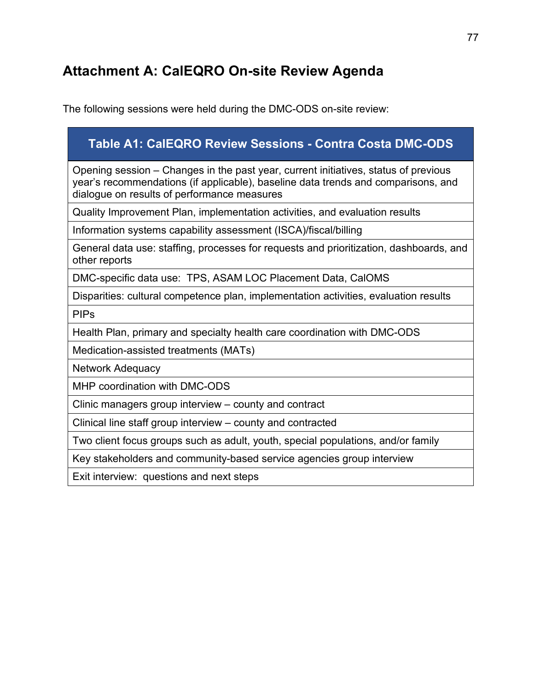# **Attachment A: CalEQRO On-site Review Agenda**

The following sessions were held during the DMC-ODS on-site review:

### **Table A1: CalEQRO Review Sessions - Contra Costa DMC-ODS**

Opening session – Changes in the past year, current initiatives, status of previous year's recommendations (if applicable), baseline data trends and comparisons, and dialogue on results of performance measures

Quality Improvement Plan, implementation activities, and evaluation results

Information systems capability assessment (ISCA)/fiscal/billing

General data use: staffing, processes for requests and prioritization, dashboards, and other reports

DMC-specific data use: TPS, ASAM LOC Placement Data, CalOMS

Disparities: cultural competence plan, implementation activities, evaluation results

PIPs

Health Plan, primary and specialty health care coordination with DMC-ODS

Medication-assisted treatments (MATs)

Network Adequacy

MHP coordination with DMC-ODS

Clinic managers group interview – county and contract

Clinical line staff group interview – county and contracted

Two client focus groups such as adult, youth, special populations, and/or family

Key stakeholders and community-based service agencies group interview

Exit interview: questions and next steps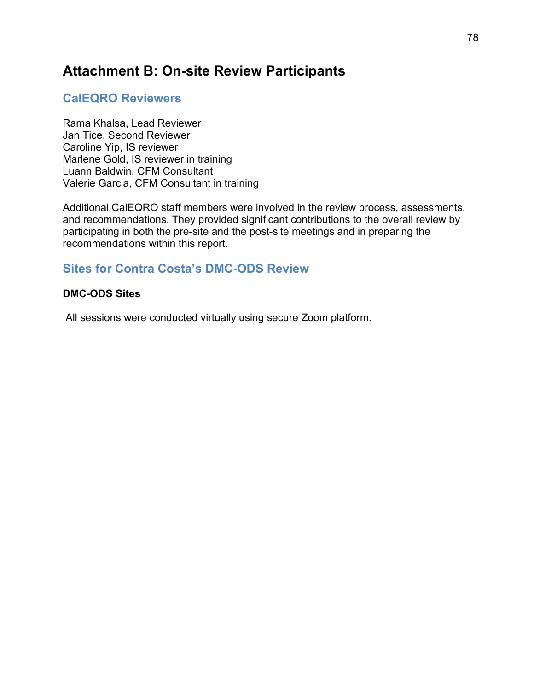## **Attachment B: On-site Review Participants**

### **CalEQRO Reviewers**

Rama Khalsa, Lead Reviewer Jan Tice, Second Reviewer Caroline Yip, IS reviewer Marlene Gold, IS reviewer in training Luann Baldwin, CFM Consultant Valerie Garcia, CFM Consultant in training

Additional CalEQRO staff members were involved in the review process, assessments, and recommendations. They provided significant contributions to the overall review by participating in both the pre-site and the post-site meetings and in preparing the recommendations within this report.

### **Sites for Contra Costa's DMC-ODS Review**

#### **DMC-ODS Sites**

All sessions were conducted virtually using secure Zoom platform.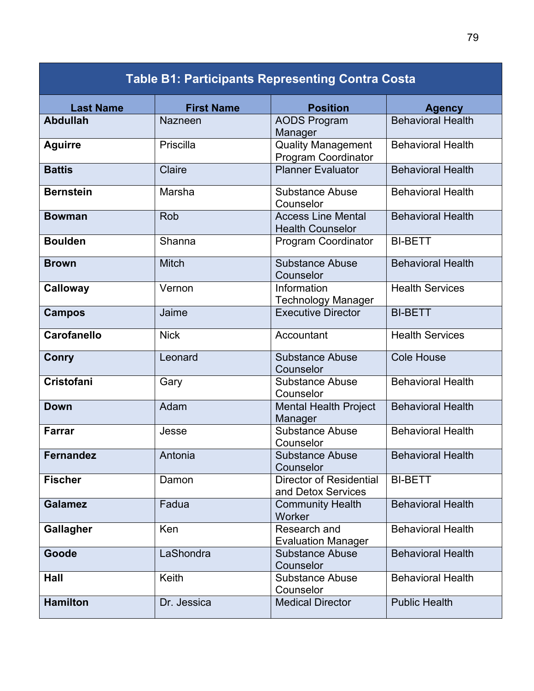| <b>Table B1: Participants Representing Contra Costa</b> |                   |                                                         |                          |
|---------------------------------------------------------|-------------------|---------------------------------------------------------|--------------------------|
| <b>Last Name</b>                                        | <b>First Name</b> | <b>Position</b>                                         | <b>Agency</b>            |
| <b>Abdullah</b>                                         | Nazneen           | <b>AODS Program</b><br>Manager                          | <b>Behavioral Health</b> |
| <b>Aguirre</b>                                          | Priscilla         | <b>Quality Management</b><br><b>Program Coordinator</b> | <b>Behavioral Health</b> |
| <b>Battis</b>                                           | Claire            | <b>Planner Evaluator</b>                                | <b>Behavioral Health</b> |
| <b>Bernstein</b>                                        | Marsha            | <b>Substance Abuse</b><br>Counselor                     | <b>Behavioral Health</b> |
| <b>Bowman</b>                                           | Rob               | <b>Access Line Mental</b><br><b>Health Counselor</b>    | <b>Behavioral Health</b> |
| <b>Boulden</b>                                          | Shanna            | Program Coordinator                                     | <b>BI-BETT</b>           |
| <b>Brown</b>                                            | <b>Mitch</b>      | <b>Substance Abuse</b><br>Counselor                     | <b>Behavioral Health</b> |
| <b>Calloway</b>                                         | Vernon            | Information<br><b>Technology Manager</b>                | <b>Health Services</b>   |
| <b>Campos</b>                                           | Jaime             | <b>Executive Director</b>                               | <b>BI-BETT</b>           |
| <b>Carofanello</b>                                      | <b>Nick</b>       | Accountant                                              | <b>Health Services</b>   |
| <b>Conry</b>                                            | Leonard           | <b>Substance Abuse</b><br>Counselor                     | <b>Cole House</b>        |
| Cristofani                                              | Gary              | <b>Substance Abuse</b><br>Counselor                     | <b>Behavioral Health</b> |
| <b>Down</b>                                             | Adam              | <b>Mental Health Project</b><br>Manager                 | <b>Behavioral Health</b> |
| <b>Farrar</b>                                           | Jesse             | <b>Substance Abuse</b><br>Counselor                     | <b>Behavioral Health</b> |
| <b>Fernandez</b>                                        | Antonia           | <b>Substance Abuse</b><br>Counselor                     | <b>Behavioral Health</b> |
| <b>Fischer</b>                                          | Damon             | <b>Director of Residential</b><br>and Detox Services    | <b>BI-BETT</b>           |
| <b>Galamez</b>                                          | Fadua             | <b>Community Health</b><br>Worker                       | <b>Behavioral Health</b> |
| <b>Gallagher</b>                                        | Ken               | Research and<br><b>Evaluation Manager</b>               | <b>Behavioral Health</b> |
| Goode                                                   | LaShondra         | <b>Substance Abuse</b><br>Counselor                     | <b>Behavioral Health</b> |
| Hall                                                    | Keith             | <b>Substance Abuse</b><br>Counselor                     | <b>Behavioral Health</b> |
| <b>Hamilton</b>                                         | Dr. Jessica       | <b>Medical Director</b>                                 | <b>Public Health</b>     |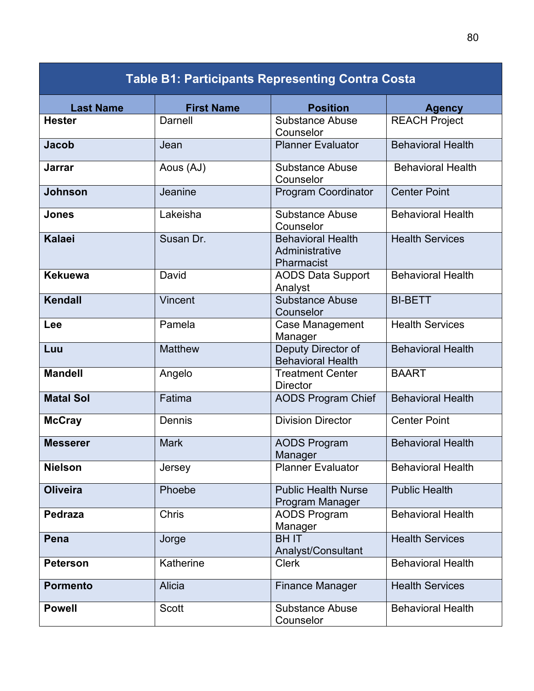| <b>Table B1: Participants Representing Contra Costa</b> |                   |                                                          |                          |  |
|---------------------------------------------------------|-------------------|----------------------------------------------------------|--------------------------|--|
| <b>Last Name</b>                                        | <b>First Name</b> | <b>Position</b>                                          | <b>Agency</b>            |  |
| <b>Hester</b>                                           | <b>Darnell</b>    | <b>Substance Abuse</b><br>Counselor                      | <b>REACH Project</b>     |  |
| <b>Jacob</b>                                            | Jean              | <b>Planner Evaluator</b>                                 | <b>Behavioral Health</b> |  |
| Jarrar                                                  | Aous (AJ)         | <b>Substance Abuse</b><br>Counselor                      | <b>Behavioral Health</b> |  |
| <b>Johnson</b>                                          | Jeanine           | <b>Program Coordinator</b>                               | <b>Center Point</b>      |  |
| <b>Jones</b>                                            | Lakeisha          | <b>Substance Abuse</b><br>Counselor                      | <b>Behavioral Health</b> |  |
| <b>Kalaei</b>                                           | Susan Dr.         | <b>Behavioral Health</b><br>Administrative<br>Pharmacist | <b>Health Services</b>   |  |
| <b>Kekuewa</b>                                          | David             | <b>AODS Data Support</b><br>Analyst                      | <b>Behavioral Health</b> |  |
| Kendall                                                 | Vincent           | <b>Substance Abuse</b><br>Counselor                      | <b>BI-BETT</b>           |  |
| Lee                                                     | Pamela            | Case Management<br>Manager                               | <b>Health Services</b>   |  |
| Luu                                                     | <b>Matthew</b>    | Deputy Director of<br><b>Behavioral Health</b>           | <b>Behavioral Health</b> |  |
| <b>Mandell</b>                                          | Angelo            | <b>Treatment Center</b><br><b>Director</b>               | <b>BAART</b>             |  |
| <b>Matal Sol</b>                                        | Fatima            | <b>AODS Program Chief</b>                                | <b>Behavioral Health</b> |  |
| <b>McCray</b>                                           | Dennis            | <b>Division Director</b>                                 | <b>Center Point</b>      |  |
| <b>Messerer</b>                                         | <b>Mark</b>       | <b>AODS Program</b><br>Manager                           | <b>Behavioral Health</b> |  |
| <b>Nielson</b>                                          | Jersey            | <b>Planner Evaluator</b>                                 | <b>Behavioral Health</b> |  |
| <b>Oliveira</b>                                         | Phoebe            | <b>Public Health Nurse</b><br>Program Manager            | <b>Public Health</b>     |  |
| <b>Pedraza</b>                                          | <b>Chris</b>      | <b>AODS Program</b><br>Manager                           | <b>Behavioral Health</b> |  |
| Pena                                                    | Jorge             | <b>BHIT</b><br>Analyst/Consultant                        | <b>Health Services</b>   |  |
| <b>Peterson</b>                                         | Katherine         | <b>Clerk</b>                                             | <b>Behavioral Health</b> |  |
| <b>Pormento</b>                                         | <b>Alicia</b>     | <b>Finance Manager</b>                                   | <b>Health Services</b>   |  |
| <b>Powell</b>                                           | Scott             | <b>Substance Abuse</b><br>Counselor                      | <b>Behavioral Health</b> |  |

80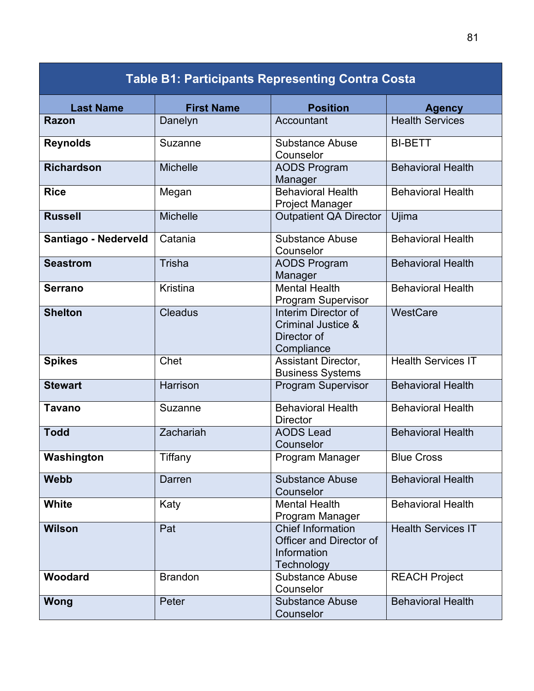| <b>Table B1: Participants Representing Contra Costa</b> |                   |                                                                                         |                           |
|---------------------------------------------------------|-------------------|-----------------------------------------------------------------------------------------|---------------------------|
| <b>Last Name</b>                                        | <b>First Name</b> | <b>Position</b>                                                                         | <b>Agency</b>             |
| <b>Razon</b>                                            | Danelyn           | Accountant                                                                              | <b>Health Services</b>    |
| <b>Reynolds</b>                                         | Suzanne           | <b>Substance Abuse</b><br>Counselor                                                     | <b>BI-BETT</b>            |
| <b>Richardson</b>                                       | <b>Michelle</b>   | <b>AODS Program</b><br>Manager                                                          | <b>Behavioral Health</b>  |
| <b>Rice</b>                                             | Megan             | <b>Behavioral Health</b><br>Project Manager                                             | <b>Behavioral Health</b>  |
| <b>Russell</b>                                          | <b>Michelle</b>   | <b>Outpatient QA Director</b>                                                           | Ujima                     |
| Santiago - Nederveld                                    | Catania           | <b>Substance Abuse</b><br>Counselor                                                     | <b>Behavioral Health</b>  |
| <b>Seastrom</b>                                         | Trisha            | <b>AODS Program</b><br>Manager                                                          | <b>Behavioral Health</b>  |
| <b>Serrano</b>                                          | Kristina          | <b>Mental Health</b><br>Program Supervisor                                              | <b>Behavioral Health</b>  |
| <b>Shelton</b>                                          | <b>Cleadus</b>    | Interim Director of<br>Criminal Justice &<br>Director of<br>Compliance                  | WestCare                  |
| <b>Spikes</b>                                           | Chet              | Assistant Director,<br><b>Business Systems</b>                                          | <b>Health Services IT</b> |
| <b>Stewart</b>                                          | Harrison          | <b>Program Supervisor</b>                                                               | <b>Behavioral Health</b>  |
| <b>Tavano</b>                                           | Suzanne           | <b>Behavioral Health</b><br><b>Director</b>                                             | <b>Behavioral Health</b>  |
| <b>Todd</b>                                             | Zachariah         | <b>AODS Lead</b><br>Counselor                                                           | <b>Behavioral Health</b>  |
| Washington                                              | Tiffany           | Program Manager                                                                         | <b>Blue Cross</b>         |
| <b>Webb</b>                                             | Darren            | <b>Substance Abuse</b><br>Counselor                                                     | <b>Behavioral Health</b>  |
| White                                                   | Katy              | <b>Mental Health</b><br>Program Manager                                                 | <b>Behavioral Health</b>  |
| <b>Wilson</b>                                           | Pat               | <b>Chief Information</b><br><b>Officer and Director of</b><br>Information<br>Technology | <b>Health Services IT</b> |
| Woodard                                                 | <b>Brandon</b>    | <b>Substance Abuse</b><br>Counselor                                                     | <b>REACH Project</b>      |
| Wong                                                    | Peter             | <b>Substance Abuse</b><br>Counselor                                                     | <b>Behavioral Health</b>  |

81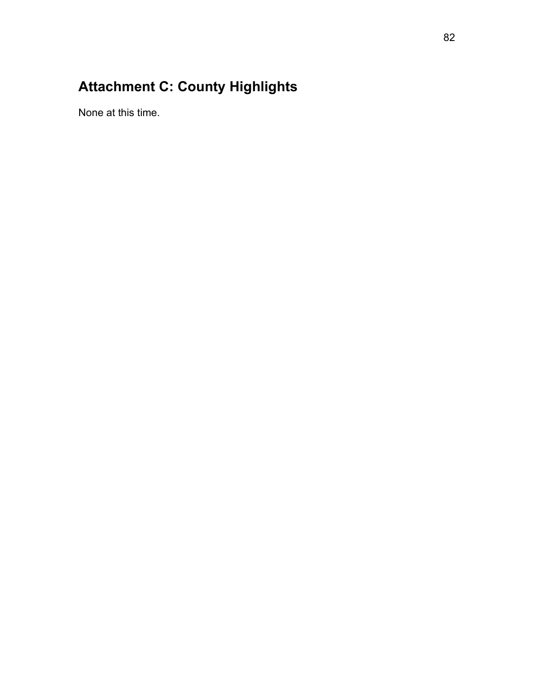# **Attachment C: County Highlights**

None at this time.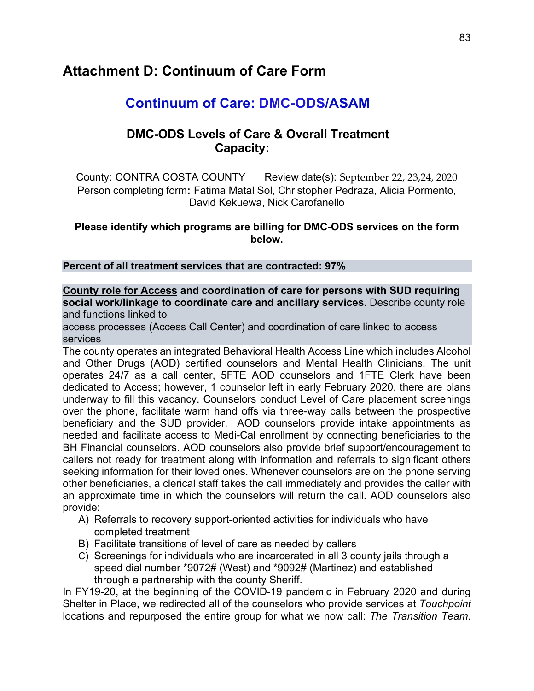### **Attachment D: Continuum of Care Form**

## **Continuum of Care: DMC-ODS/ASAM**

### **DMC-ODS Levels of Care & Overall Treatment Capacity:**

County: CONTRA COSTA COUNTY Review date(s): September 22, 23,24, 2020 Person completing form**:** Fatima Matal Sol, Christopher Pedraza, Alicia Pormento, David Kekuewa, Nick Carofanello

#### **Please identify which programs are billing for DMC-ODS services on the form below.**

#### **Percent of all treatment services that are contracted: 97%**

**County role for Access and coordination of care for persons with SUD requiring social work/linkage to coordinate care and ancillary services.** Describe county role and functions linked to

access processes (Access Call Center) and coordination of care linked to access services

The county operates an integrated Behavioral Health Access Line which includes Alcohol and Other Drugs (AOD) certified counselors and Mental Health Clinicians. The unit operates 24/7 as a call center, 5FTE AOD counselors and 1FTE Clerk have been dedicated to Access; however, 1 counselor left in early February 2020, there are plans underway to fill this vacancy. Counselors conduct Level of Care placement screenings over the phone, facilitate warm hand offs via three-way calls between the prospective beneficiary and the SUD provider. AOD counselors provide intake appointments as needed and facilitate access to Medi-Cal enrollment by connecting beneficiaries to the BH Financial counselors. AOD counselors also provide brief support/encouragement to callers not ready for treatment along with information and referrals to significant others seeking information for their loved ones. Whenever counselors are on the phone serving other beneficiaries, a clerical staff takes the call immediately and provides the caller with an approximate time in which the counselors will return the call. AOD counselors also provide:

- A) Referrals to recovery support-oriented activities for individuals who have completed treatment
- B) Facilitate transitions of level of care as needed by callers
- C) Screenings for individuals who are incarcerated in all 3 county jails through a speed dial number \*9072# (West) and \*9092# (Martinez) and established through a partnership with the county Sheriff.

In FY19-20, at the beginning of the COVID-19 pandemic in February 2020 and during Shelter in Place, we redirected all of the counselors who provide services at *Touchpoint*  locations and repurposed the entire group for what we now call: *The Transition Team*.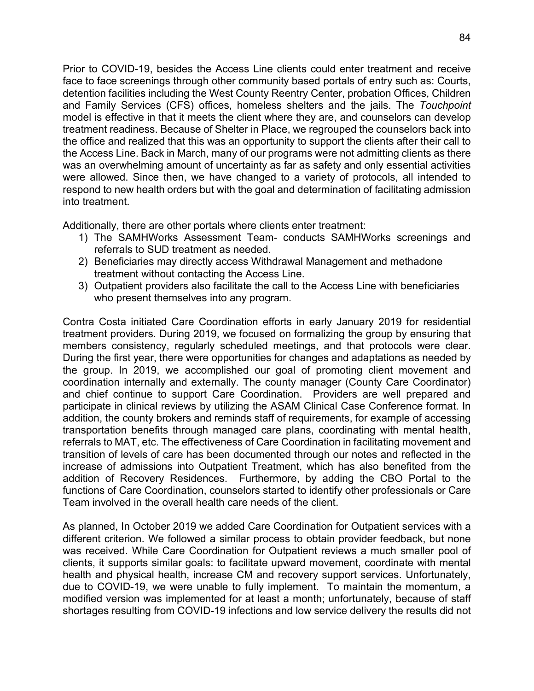Prior to COVID-19, besides the Access Line clients could enter treatment and receive face to face screenings through other community based portals of entry such as: Courts, detention facilities including the West County Reentry Center, probation Offices, Children and Family Services (CFS) offices, homeless shelters and the jails. The *Touchpoint*  model is effective in that it meets the client where they are, and counselors can develop treatment readiness. Because of Shelter in Place, we regrouped the counselors back into the office and realized that this was an opportunity to support the clients after their call to the Access Line. Back in March, many of our programs were not admitting clients as there was an overwhelming amount of uncertainty as far as safety and only essential activities were allowed. Since then, we have changed to a variety of protocols, all intended to respond to new health orders but with the goal and determination of facilitating admission into treatment.

Additionally, there are other portals where clients enter treatment:

- 1) The SAMHWorks Assessment Team- conducts SAMHWorks screenings and referrals to SUD treatment as needed.
- 2) Beneficiaries may directly access Withdrawal Management and methadone treatment without contacting the Access Line.
- 3) Outpatient providers also facilitate the call to the Access Line with beneficiaries who present themselves into any program.

Contra Costa initiated Care Coordination efforts in early January 2019 for residential treatment providers. During 2019, we focused on formalizing the group by ensuring that members consistency, regularly scheduled meetings, and that protocols were clear. During the first year, there were opportunities for changes and adaptations as needed by the group. In 2019, we accomplished our goal of promoting client movement and coordination internally and externally. The county manager (County Care Coordinator) and chief continue to support Care Coordination. Providers are well prepared and participate in clinical reviews by utilizing the ASAM Clinical Case Conference format. In addition, the county brokers and reminds staff of requirements, for example of accessing transportation benefits through managed care plans, coordinating with mental health, referrals to MAT, etc. The effectiveness of Care Coordination in facilitating movement and transition of levels of care has been documented through our notes and reflected in the increase of admissions into Outpatient Treatment, which has also benefited from the addition of Recovery Residences. Furthermore, by adding the CBO Portal to the functions of Care Coordination, counselors started to identify other professionals or Care Team involved in the overall health care needs of the client.

As planned, In October 2019 we added Care Coordination for Outpatient services with a different criterion. We followed a similar process to obtain provider feedback, but none was received. While Care Coordination for Outpatient reviews a much smaller pool of clients, it supports similar goals: to facilitate upward movement, coordinate with mental health and physical health, increase CM and recovery support services. Unfortunately, due to COVID-19, we were unable to fully implement. To maintain the momentum, a modified version was implemented for at least a month; unfortunately, because of staff shortages resulting from COVID-19 infections and low service delivery the results did not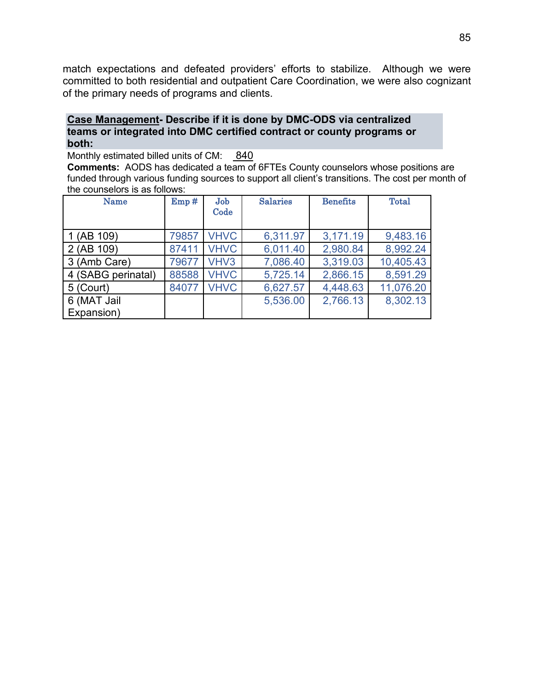match expectations and defeated providers' efforts to stabilize. Although we were committed to both residential and outpatient Care Coordination, we were also cognizant of the primary needs of programs and clients.

#### **Case Management- Describe if it is done by DMC-ODS via centralized teams or integrated into DMC certified contract or county programs or both:**

Monthly estimated billed units of CM: 840

**Comments:** AODS has dedicated a team of 6FTEs County counselors whose positions are funded through various funding sources to support all client's transitions. The cost per month of the counselors is as follows:

| Name               | Emp#  | Job<br>Code | <b>Salaries</b> | <b>Benefits</b> | <b>Total</b> |
|--------------------|-------|-------------|-----------------|-----------------|--------------|
| $1$ (AB $109$ )    | 79857 | <b>VHVC</b> | 6,311.97        | 3,171.19        | 9,483.16     |
| 2 (AB 109)         | 87411 | <b>VHVC</b> | 6,011.40        | 2,980.84        | 8,992.24     |
| 3 (Amb Care)       | 79677 | VHV3        | 7,086.40        | 3,319.03        | 10,405.43    |
| 4 (SABG perinatal) | 88588 | <b>VHVC</b> | 5,725.14        | 2,866.15        | 8,591.29     |
| 5 (Court)          | 84077 | <b>VHVC</b> | 6,627.57        | 4,448.63        | 11,076.20    |
| 6 (MAT Jail        |       |             | 5,536.00        | 2,766.13        | 8,302.13     |
| Expansion)         |       |             |                 |                 |              |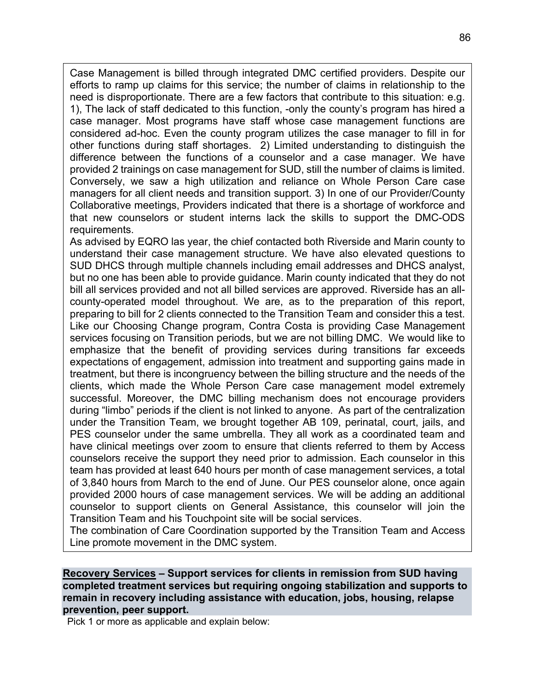Case Management is billed through integrated DMC certified providers. Despite our efforts to ramp up claims for this service; the number of claims in relationship to the need is disproportionate. There are a few factors that contribute to this situation: e.g. 1), The lack of staff dedicated to this function, -only the county's program has hired a case manager. Most programs have staff whose case management functions are considered ad-hoc. Even the county program utilizes the case manager to fill in for other functions during staff shortages. 2) Limited understanding to distinguish the difference between the functions of a counselor and a case manager. We have provided 2 trainings on case management for SUD, still the number of claims is limited. Conversely, we saw a high utilization and reliance on Whole Person Care case managers for all client needs and transition support. 3) In one of our Provider/County Collaborative meetings, Providers indicated that there is a shortage of workforce and that new counselors or student interns lack the skills to support the DMC-ODS requirements.

As advised by EQRO las year, the chief contacted both Riverside and Marin county to understand their case management structure. We have also elevated questions to SUD DHCS through multiple channels including email addresses and DHCS analyst, but no one has been able to provide guidance. Marin county indicated that they do not bill all services provided and not all billed services are approved. Riverside has an allcounty-operated model throughout. We are, as to the preparation of this report, preparing to bill for 2 clients connected to the Transition Team and consider this a test. Like our Choosing Change program, Contra Costa is providing Case Management services focusing on Transition periods, but we are not billing DMC. We would like to emphasize that the benefit of providing services during transitions far exceeds expectations of engagement, admission into treatment and supporting gains made in treatment, but there is incongruency between the billing structure and the needs of the clients, which made the Whole Person Care case management model extremely successful. Moreover, the DMC billing mechanism does not encourage providers during "limbo" periods if the client is not linked to anyone. As part of the centralization under the Transition Team, we brought together AB 109, perinatal, court, jails, and PES counselor under the same umbrella. They all work as a coordinated team and have clinical meetings over zoom to ensure that clients referred to them by Access counselors receive the support they need prior to admission. Each counselor in this team has provided at least 640 hours per month of case management services, a total of 3,840 hours from March to the end of June. Our PES counselor alone, once again provided 2000 hours of case management services. We will be adding an additional counselor to support clients on General Assistance, this counselor will join the Transition Team and his Touchpoint site will be social services.

The combination of Care Coordination supported by the Transition Team and Access Line promote movement in the DMC system.

#### **Recovery Services – Support services for clients in remission from SUD having completed treatment services but requiring ongoing stabilization and supports to remain in recovery including assistance with education, jobs, housing, relapse prevention, peer support.**

Pick 1 or more as applicable and explain below: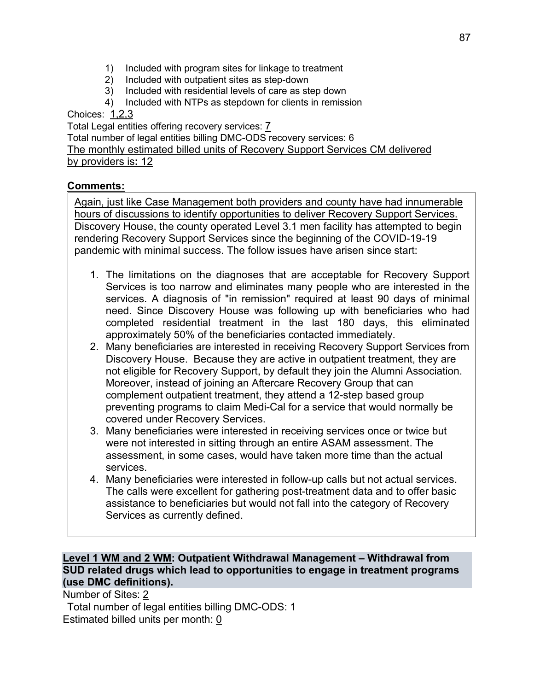- 1) Included with program sites for linkage to treatment<br>2) Included with outpatient sites as step-down
- 2) Included with outpatient sites as step-down
- 3) Included with residential levels of care as step down
- 4) Included with NTPs as stepdown for clients in remission

Choices: 1,2,3

Total Legal entities offering recovery services: 7

Total number of legal entities billing DMC-ODS recovery services: 6 The monthly estimated billed units of Recovery Support Services CM delivered by providers is**:** 12

#### **Comments:**

Again, just like Case Management both providers and county have had innumerable hours of discussions to identify opportunities to deliver Recovery Support Services. Discovery House, the county operated Level 3.1 men facility has attempted to begin rendering Recovery Support Services since the beginning of the COVID-19-19 pandemic with minimal success. The follow issues have arisen since start:

- 1. The limitations on the diagnoses that are acceptable for Recovery Support Services is too narrow and eliminates many people who are interested in the services. A diagnosis of "in remission" required at least 90 days of minimal need. Since Discovery House was following up with beneficiaries who had completed residential treatment in the last 180 days, this eliminated approximately 50% of the beneficiaries contacted immediately.
- 2. Many beneficiaries are interested in receiving Recovery Support Services from Discovery House. Because they are active in outpatient treatment, they are not eligible for Recovery Support, by default they join the Alumni Association. Moreover, instead of joining an Aftercare Recovery Group that can complement outpatient treatment, they attend a 12-step based group preventing programs to claim Medi-Cal for a service that would normally be covered under Recovery Services.
- 3. Many beneficiaries were interested in receiving services once or twice but were not interested in sitting through an entire ASAM assessment. The assessment, in some cases, would have taken more time than the actual services.
- 4. Many beneficiaries were interested in follow-up calls but not actual services. The calls were excellent for gathering post-treatment data and to offer basic assistance to beneficiaries but would not fall into the category of Recovery Services as currently defined.

#### **Level 1 WM and 2 WM: Outpatient Withdrawal Management – Withdrawal from SUD related drugs which lead to opportunities to engage in treatment programs (use DMC definitions).**

Number of Sites: 2

Total number of legal entities billing DMC-ODS: 1 Estimated billed units per month: 0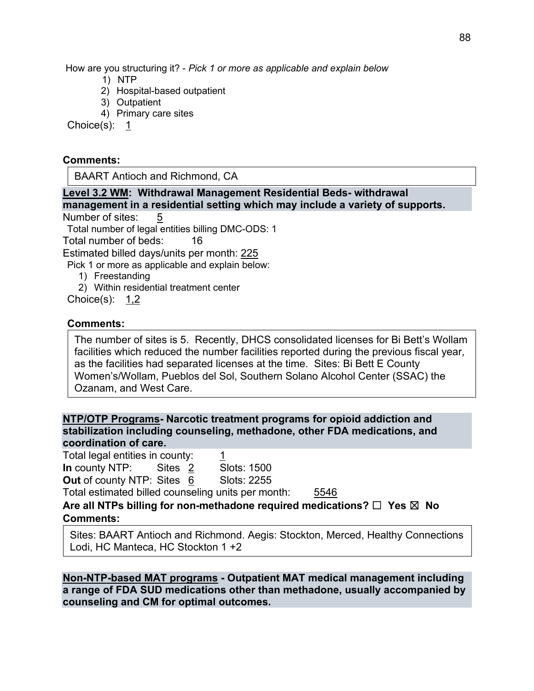How are you structuring it? - *Pick 1 or more as applicable and explain below*

- 1) NTP
- 2) Hospital-based outpatient
- 3) Outpatient
- 4) Primary care sites

Choice(s): 1

#### **Comments:**

BAART Antioch and Richmond, CA

**Level 3.2 WM: Withdrawal Management Residential Beds- withdrawal management in a residential setting which may include a variety of supports.**

Number of sites: 5

Total number of legal entities billing DMC-ODS: 1

Total number of beds: 16

Estimated billed days/units per month: 225

Pick 1 or more as applicable and explain below:

- 1) Freestanding
- 2) Within residential treatment center

Choice(s): 1,2

#### **Comments:**

The number of sites is 5. Recently, DHCS consolidated licenses for Bi Bett's Wollam facilities which reduced the number facilities reported during the previous fiscal year, as the facilities had separated licenses at the time. Sites: Bi Bett E County Women's/Wollam, Pueblos del Sol, Southern Solano Alcohol Center (SSAC) the Ozanam, and West Care.

**NTP/OTP Programs- Narcotic treatment programs for opioid addiction and stabilization including counseling, methadone, other FDA medications, and coordination of care.**

Total legal entities in county: 1 **In** county NTP: Sites 2 Slots: 1500 **Out of county NTP: Sites 6 Slots: 2255** 

Total estimated billed counseling units per month: 5546

**Are all NTPs billing for non-methadone required medications?** ☐ **Yes** ☒ **No Comments:**

Sites: BAART Antioch and Richmond. Aegis: Stockton, Merced, Healthy Connections Lodi, HC Manteca, HC Stockton 1 +2

**Non-NTP-based MAT programs - Outpatient MAT medical management including a range of FDA SUD medications other than methadone, usually accompanied by counseling and CM for optimal outcomes.**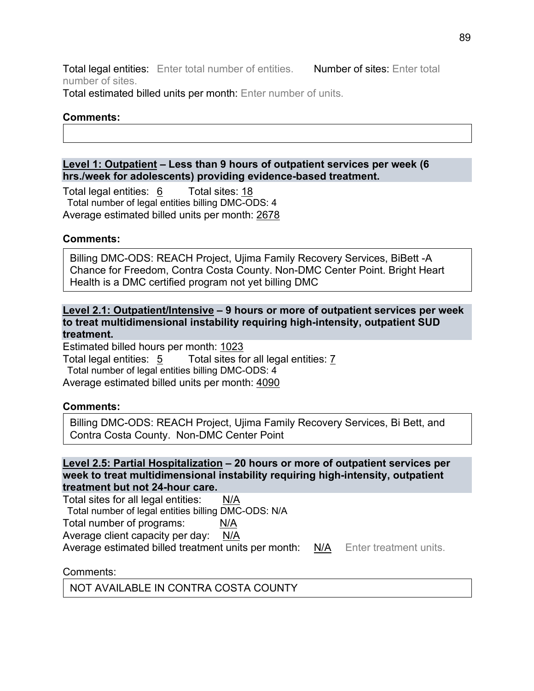Total legal entities: Enter total number of entities. Number of sites: Enter total number of sites.

Total estimated billed units per month: Enter number of units.

#### **Comments:**

#### **Level 1: Outpatient – Less than 9 hours of outpatient services per week (6 hrs./week for adolescents) providing evidence-based treatment.**

Total legal entities: 6 Total sites: 18 Total number of legal entities billing DMC-ODS: 4 Average estimated billed units per month: 2678

#### **Comments:**

Billing DMC-ODS: REACH Project, Ujima Family Recovery Services, BiBett -A Chance for Freedom, Contra Costa County. Non-DMC Center Point. Bright Heart Health is a DMC certified program not yet billing DMC

#### **Level 2.1: Outpatient/Intensive – 9 hours or more of outpatient services per week to treat multidimensional instability requiring high-intensity, outpatient SUD treatment.**

Estimated billed hours per month: 1023 Total legal entities: 5 Total sites for all legal entities: 7 Total number of legal entities billing DMC-ODS: 4 Average estimated billed units per month: 4090

#### **Comments:**

Billing DMC-ODS: REACH Project, Ujima Family Recovery Services, Bi Bett, and Contra Costa County. Non-DMC Center Point

#### **Level 2.5: Partial Hospitalization – 20 hours or more of outpatient services per week to treat multidimensional instability requiring high-intensity, outpatient treatment but not 24-hour care.**

Total sites for all legal entities: N/A Total number of legal entities billing DMC-ODS: N/A Total number of programs: N/A Average client capacity per day: N/A Average estimated billed treatment units per month: N/A Enter treatment units.

Comments:

NOT AVAILABLE IN CONTRA COSTA COUNTY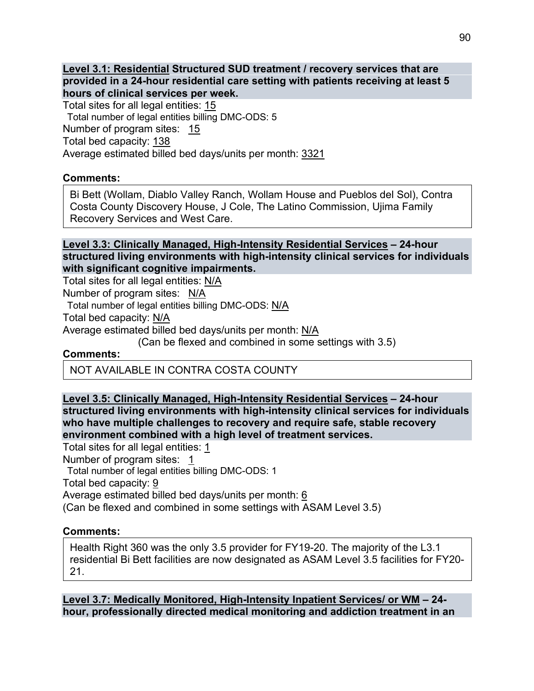**Level 3.1: Residential Structured SUD treatment / recovery services that are provided in a 24-hour residential care setting with patients receiving at least 5 hours of clinical services per week.** 

Total sites for all legal entities: 15

Total number of legal entities billing DMC-ODS: 5

Number of program sites: 15

Total bed capacity: 138

Average estimated billed bed days/units per month: 3321

#### **Comments:**

Bi Bett (Wollam, Diablo Valley Ranch, Wollam House and Pueblos del Sol), Contra Costa County Discovery House, J Cole, The Latino Commission, Ujima Family Recovery Services and West Care.

#### **Level 3.3: Clinically Managed, High-Intensity Residential Services – 24-hour structured living environments with high-intensity clinical services for individuals with significant cognitive impairments.**

Total sites for all legal entities: N/A

Number of program sites: N/A

Total number of legal entities billing DMC-ODS: N/A

Total bed capacity: N/A

Average estimated billed bed days/units per month: N/A

(Can be flexed and combined in some settings with 3.5)

#### **Comments:**

NOT AVAILABLE IN CONTRA COSTA COUNTY

#### **Level 3.5: Clinically Managed, High-Intensity Residential Services – 24-hour structured living environments with high-intensity clinical services for individuals who have multiple challenges to recovery and require safe, stable recovery environment combined with a high level of treatment services.**

Total sites for all legal entities: 1 Number of program sites: 1 Total number of legal entities billing DMC-ODS: 1 Total bed capacity: 9 Average estimated billed bed days/units per month: 6 (Can be flexed and combined in some settings with ASAM Level 3.5)

#### **Comments:**

Health Right 360 was the only 3.5 provider for FY19-20. The majority of the L3.1 residential Bi Bett facilities are now designated as ASAM Level 3.5 facilities for FY20- 21.

**Level 3.7: Medically Monitored, High-Intensity Inpatient Services/ or WM – 24 hour, professionally directed medical monitoring and addiction treatment in an**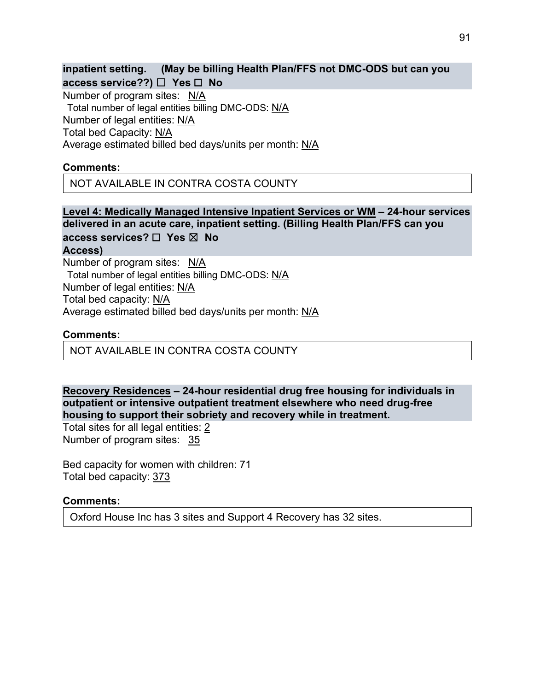**inpatient setting. (May be billing Health Plan/FFS not DMC-ODS but can you access service??)** ☐ **Yes** ☐ **No**

Number of program sites: N/A Total number of legal entities billing DMC-ODS: N/A Number of legal entities: N/A Total bed Capacity: N/A Average estimated billed bed days/units per month: N/A

#### **Comments:**

NOT AVAILABLE IN CONTRA COSTA COUNTY

**Level 4: Medically Managed Intensive Inpatient Services or WM – 24-hour services delivered in an acute care, inpatient setting. (Billing Health Plan/FFS can you access services?** ☐ **Yes** ☒ **No**

**Access)**

Number of program sites: N/A Total number of legal entities billing DMC-ODS: N/A Number of legal entities: N/A Total bed capacity: N/A Average estimated billed bed days/units per month: N/A

#### **Comments:**

NOT AVAILABLE IN CONTRA COSTA COUNTY

**Recovery Residences – 24-hour residential drug free housing for individuals in outpatient or intensive outpatient treatment elsewhere who need drug-free housing to support their sobriety and recovery while in treatment.** 

Total sites for all legal entities: 2 Number of program sites: 35

Bed capacity for women with children: 71 Total bed capacity: 373

#### **Comments:**

Oxford House Inc has 3 sites and Support 4 Recovery has 32 sites.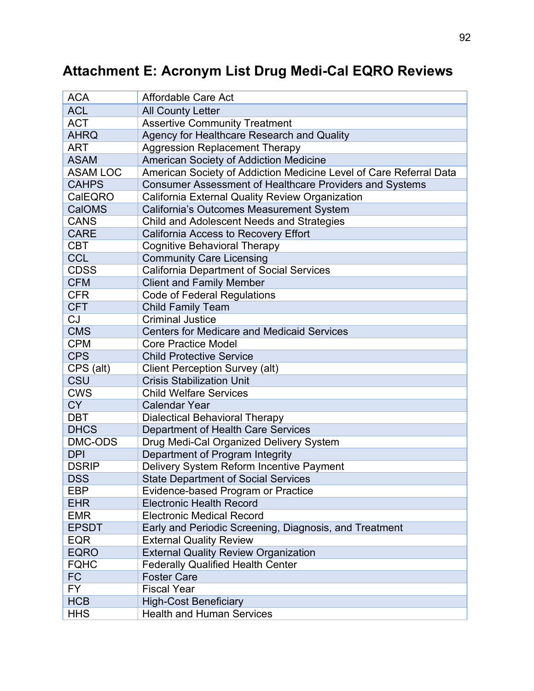# **Attachment E: Acronym List Drug Medi-Cal EQRO Reviews**

| <b>ACA</b>      | <b>Affordable Care Act</b>                                         |
|-----------------|--------------------------------------------------------------------|
| <b>ACL</b>      | <b>All County Letter</b>                                           |
| <b>ACT</b>      | <b>Assertive Community Treatment</b>                               |
| <b>AHRQ</b>     | Agency for Healthcare Research and Quality                         |
| <b>ART</b>      | <b>Aggression Replacement Therapy</b>                              |
| <b>ASAM</b>     | American Society of Addiction Medicine                             |
| <b>ASAM LOC</b> | American Society of Addiction Medicine Level of Care Referral Data |
| <b>CAHPS</b>    | Consumer Assessment of Healthcare Providers and Systems            |
| CalEQRO         | California External Quality Review Organization                    |
| CalOMS          | California's Outcomes Measurement System                           |
| <b>CANS</b>     | Child and Adolescent Needs and Strategies                          |
| <b>CARE</b>     | California Access to Recovery Effort                               |
| <b>CBT</b>      | <b>Cognitive Behavioral Therapy</b>                                |
| <b>CCL</b>      | <b>Community Care Licensing</b>                                    |
| <b>CDSS</b>     | <b>California Department of Social Services</b>                    |
| <b>CFM</b>      | <b>Client and Family Member</b>                                    |
| <b>CFR</b>      | <b>Code of Federal Regulations</b>                                 |
| <b>CFT</b>      | <b>Child Family Team</b>                                           |
| CJ              | <b>Criminal Justice</b>                                            |
| <b>CMS</b>      | <b>Centers for Medicare and Medicaid Services</b>                  |
| <b>CPM</b>      | <b>Core Practice Model</b>                                         |
| <b>CPS</b>      | <b>Child Protective Service</b>                                    |
| CPS (alt)       | Client Perception Survey (alt)                                     |
| <b>CSU</b>      | <b>Crisis Stabilization Unit</b>                                   |
| <b>CWS</b>      | <b>Child Welfare Services</b>                                      |
| <b>CY</b>       | <b>Calendar Year</b>                                               |
| <b>DBT</b>      | <b>Dialectical Behavioral Therapy</b>                              |
| <b>DHCS</b>     | Department of Health Care Services                                 |
| DMC-ODS         | Drug Medi-Cal Organized Delivery System                            |
| <b>DPI</b>      | Department of Program Integrity                                    |
| <b>DSRIP</b>    | Delivery System Reform Incentive Payment                           |
| <b>DSS</b>      | <b>State Department of Social Services</b>                         |
| EBP             | Evidence-based Program or Practice                                 |
| <b>EHR</b>      | <b>Electronic Health Record</b>                                    |
| <b>EMR</b>      | <b>Electronic Medical Record</b>                                   |
| <b>EPSDT</b>    | Early and Periodic Screening, Diagnosis, and Treatment             |
| <b>EQR</b>      | <b>External Quality Review</b>                                     |
| <b>EQRO</b>     | <b>External Quality Review Organization</b>                        |
| <b>FQHC</b>     | <b>Federally Qualified Health Center</b>                           |
| <b>FC</b>       | <b>Foster Care</b>                                                 |
| <b>FY</b>       | <b>Fiscal Year</b>                                                 |
| <b>HCB</b>      | <b>High-Cost Beneficiary</b>                                       |
| <b>HHS</b>      | <b>Health and Human Services</b>                                   |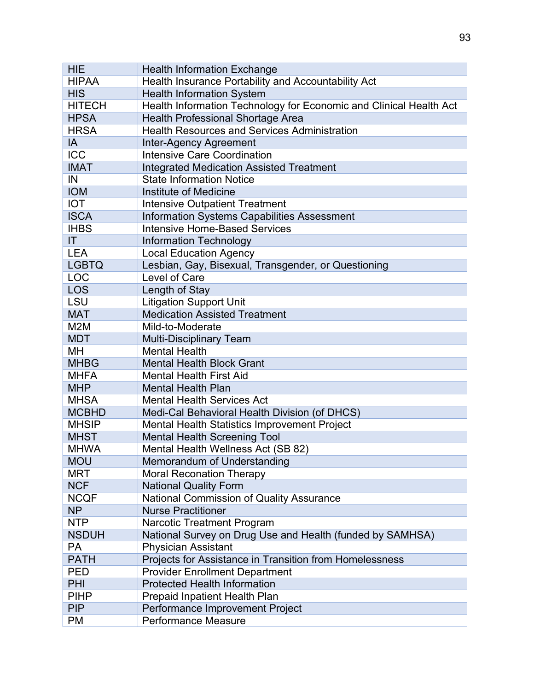| <b>HIE</b>       | <b>Health Information Exchange</b>                                 |
|------------------|--------------------------------------------------------------------|
| <b>HIPAA</b>     | Health Insurance Portability and Accountability Act                |
| <b>HIS</b>       | <b>Health Information System</b>                                   |
| <b>HITECH</b>    | Health Information Technology for Economic and Clinical Health Act |
| <b>HPSA</b>      | <b>Health Professional Shortage Area</b>                           |
| <b>HRSA</b>      | <b>Health Resources and Services Administration</b>                |
| IA               | <b>Inter-Agency Agreement</b>                                      |
| <b>ICC</b>       | <b>Intensive Care Coordination</b>                                 |
| <b>IMAT</b>      | <b>Integrated Medication Assisted Treatment</b>                    |
| IN               | <b>State Information Notice</b>                                    |
| <b>IOM</b>       | <b>Institute of Medicine</b>                                       |
| <b>IOT</b>       | <b>Intensive Outpatient Treatment</b>                              |
| <b>ISCA</b>      | <b>Information Systems Capabilities Assessment</b>                 |
| <b>IHBS</b>      | <b>Intensive Home-Based Services</b>                               |
| T                | <b>Information Technology</b>                                      |
| <b>LEA</b>       | <b>Local Education Agency</b>                                      |
| <b>LGBTQ</b>     | Lesbian, Gay, Bisexual, Transgender, or Questioning                |
| <b>LOC</b>       | Level of Care                                                      |
| <b>LOS</b>       | Length of Stay                                                     |
| LSU              | <b>Litigation Support Unit</b>                                     |
| <b>MAT</b>       | <b>Medication Assisted Treatment</b>                               |
| M <sub>2</sub> M | Mild-to-Moderate                                                   |
| <b>MDT</b>       | <b>Multi-Disciplinary Team</b>                                     |
| MH               | <b>Mental Health</b>                                               |
| <b>MHBG</b>      | <b>Mental Health Block Grant</b>                                   |
| <b>MHFA</b>      | <b>Mental Health First Aid</b>                                     |
| <b>MHP</b>       | <b>Mental Health Plan</b>                                          |
| <b>MHSA</b>      | <b>Mental Health Services Act</b>                                  |
| <b>MCBHD</b>     | Medi-Cal Behavioral Health Division (of DHCS)                      |
| <b>MHSIP</b>     | Mental Health Statistics Improvement Project                       |
| <b>MHST</b>      | <b>Mental Health Screening Tool</b>                                |
| <b>MHWA</b>      | Mental Health Wellness Act (SB 82)                                 |
| <b>MOU</b>       | Memorandum of Understanding                                        |
| <b>MRT</b>       | <b>Moral Reconation Therapy</b>                                    |
| <b>NCF</b>       | <b>National Quality Form</b>                                       |
| <b>NCQF</b>      | <b>National Commission of Quality Assurance</b>                    |
| <b>NP</b>        | <b>Nurse Practitioner</b>                                          |
| <b>NTP</b>       | <b>Narcotic Treatment Program</b>                                  |
| <b>NSDUH</b>     | National Survey on Drug Use and Health (funded by SAMHSA)          |
| <b>PA</b>        | <b>Physician Assistant</b>                                         |
| <b>PATH</b>      | Projects for Assistance in Transition from Homelessness            |
| <b>PED</b>       | <b>Provider Enrollment Department</b>                              |
| PHI              | <b>Protected Health Information</b>                                |
| <b>PIHP</b>      | <b>Prepaid Inpatient Health Plan</b>                               |
| <b>PIP</b>       | Performance Improvement Project                                    |
| <b>PM</b>        | Performance Measure                                                |